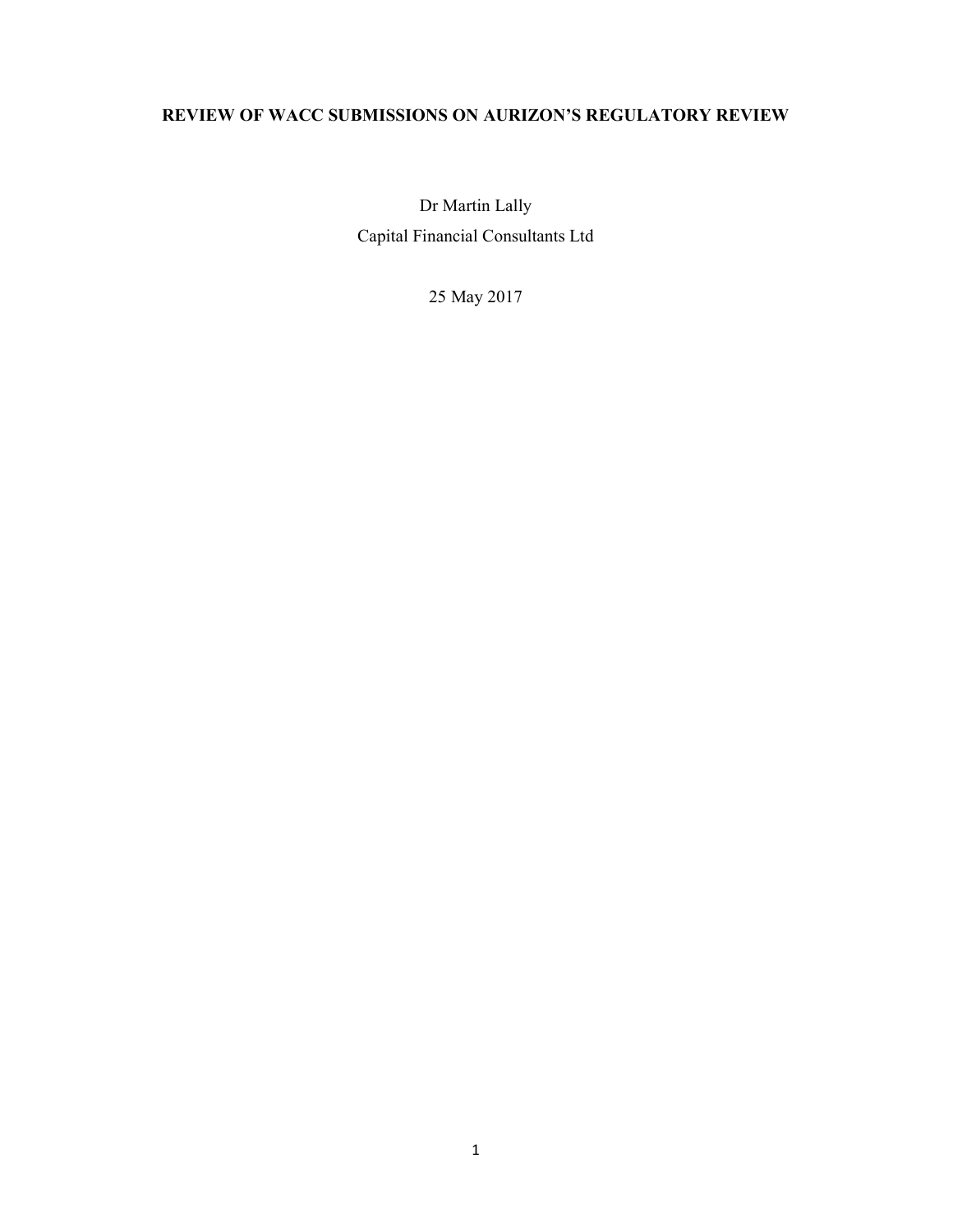# REVIEW OF WACC SUBMISSIONS ON AURIZON'S REGULATORY REVIEW

Dr Martin Lally Capital Financial Consultants Ltd

25 May 2017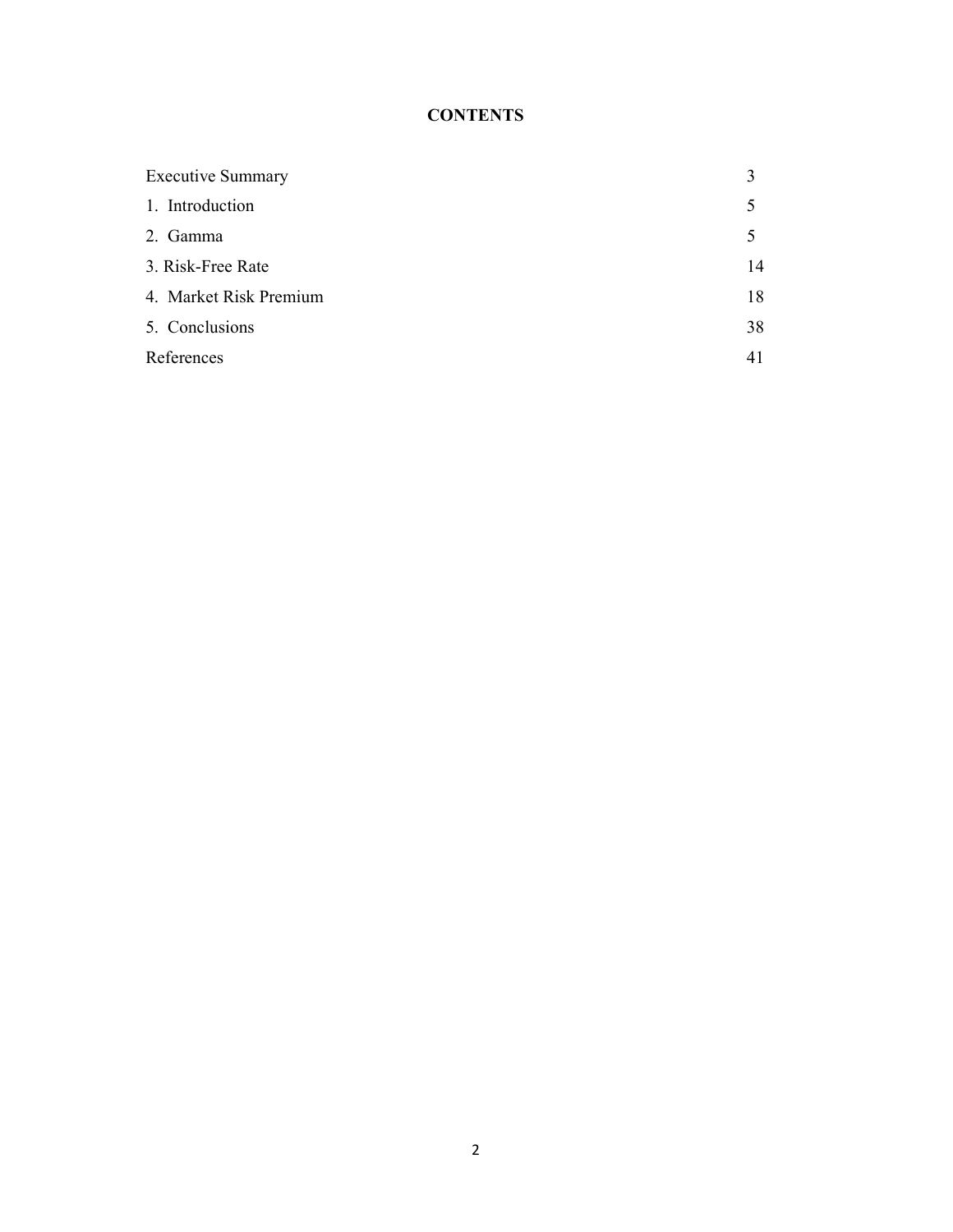# **CONTENTS**

| <b>Executive Summary</b> |    |
|--------------------------|----|
| 1. Introduction          | 5  |
| 2. Gamma                 | 5  |
| 3. Risk-Free Rate        | 14 |
| 4. Market Risk Premium   | 18 |
| 5. Conclusions           | 38 |
| References               | 41 |
|                          |    |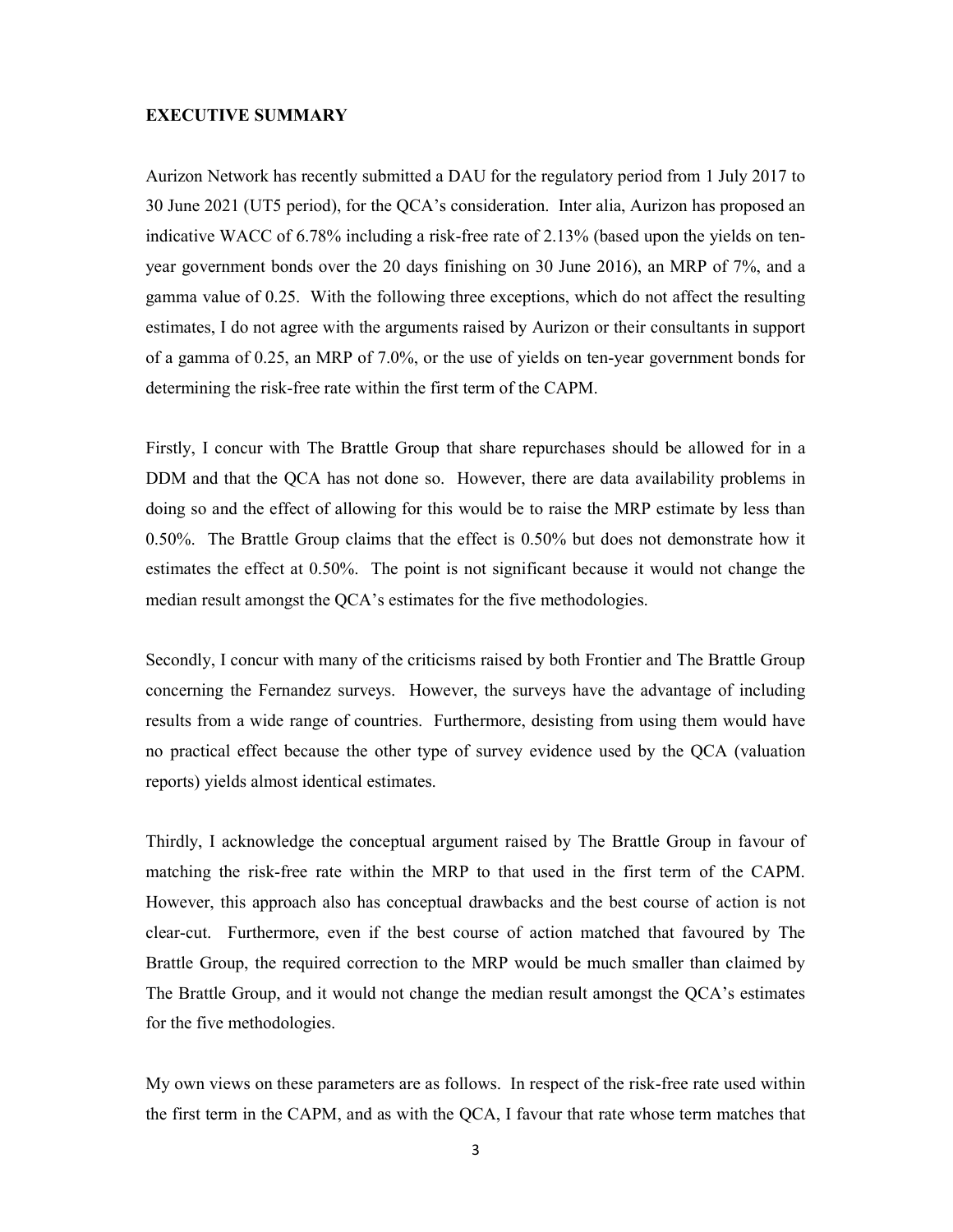### EXECUTIVE SUMMARY

Aurizon Network has recently submitted a DAU for the regulatory period from 1 July 2017 to 30 June 2021 (UT5 period), for the QCA's consideration. Inter alia, Aurizon has proposed an indicative WACC of 6.78% including a risk-free rate of 2.13% (based upon the yields on tenyear government bonds over the 20 days finishing on 30 June 2016), an MRP of 7%, and a gamma value of 0.25. With the following three exceptions, which do not affect the resulting estimates, I do not agree with the arguments raised by Aurizon or their consultants in support of a gamma of 0.25, an MRP of 7.0%, or the use of yields on ten-year government bonds for determining the risk-free rate within the first term of the CAPM.

Firstly, I concur with The Brattle Group that share repurchases should be allowed for in a DDM and that the QCA has not done so. However, there are data availability problems in doing so and the effect of allowing for this would be to raise the MRP estimate by less than 0.50%. The Brattle Group claims that the effect is 0.50% but does not demonstrate how it estimates the effect at 0.50%. The point is not significant because it would not change the median result amongst the QCA's estimates for the five methodologies.

Secondly, I concur with many of the criticisms raised by both Frontier and The Brattle Group concerning the Fernandez surveys. However, the surveys have the advantage of including results from a wide range of countries. Furthermore, desisting from using them would have no practical effect because the other type of survey evidence used by the QCA (valuation reports) yields almost identical estimates.

Thirdly, I acknowledge the conceptual argument raised by The Brattle Group in favour of matching the risk-free rate within the MRP to that used in the first term of the CAPM. However, this approach also has conceptual drawbacks and the best course of action is not clear-cut. Furthermore, even if the best course of action matched that favoured by The Brattle Group, the required correction to the MRP would be much smaller than claimed by The Brattle Group, and it would not change the median result amongst the QCA's estimates for the five methodologies.

My own views on these parameters are as follows. In respect of the risk-free rate used within the first term in the CAPM, and as with the QCA, I favour that rate whose term matches that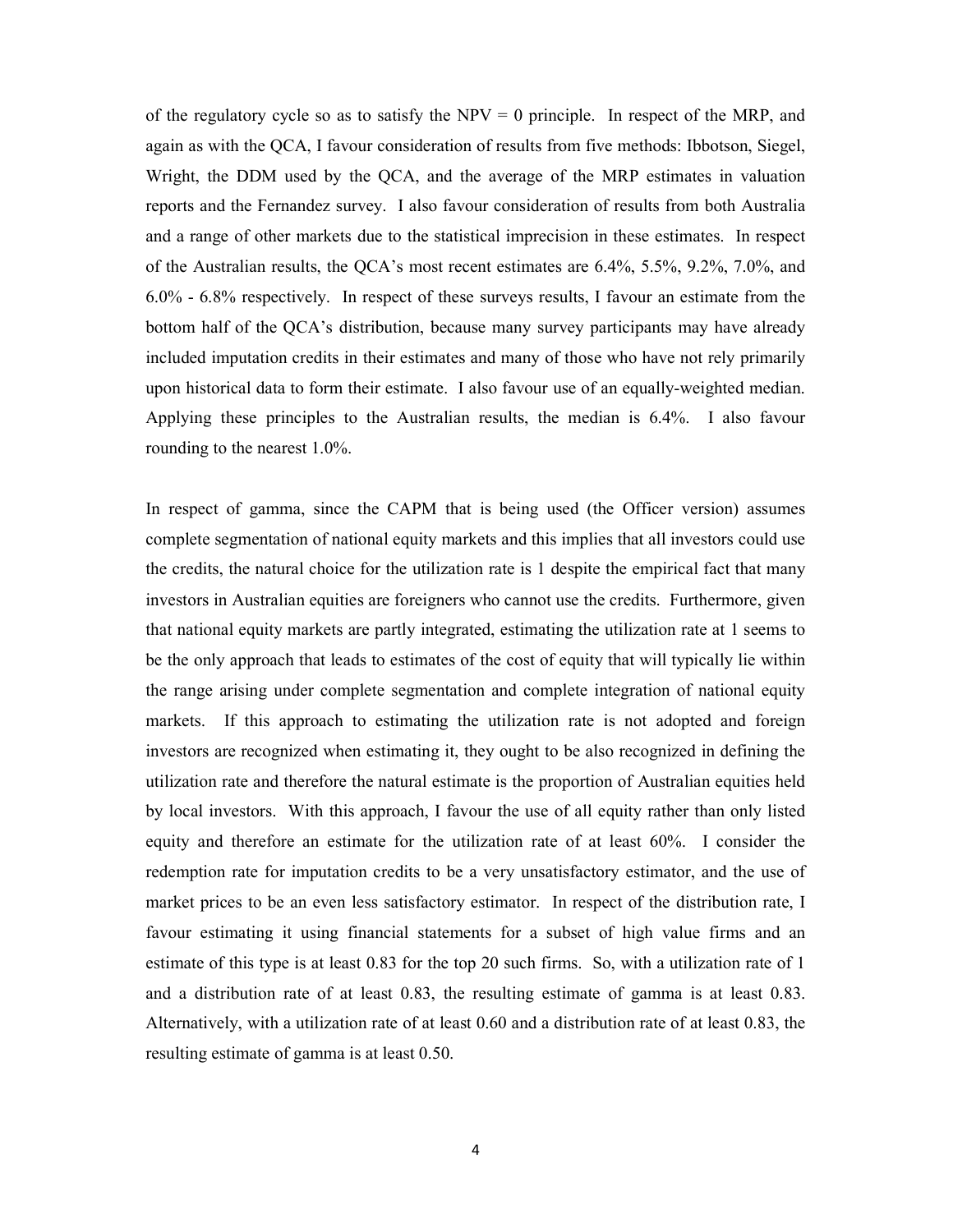of the regulatory cycle so as to satisfy the  $NPV = 0$  principle. In respect of the MRP, and again as with the QCA, I favour consideration of results from five methods: Ibbotson, Siegel, Wright, the DDM used by the QCA, and the average of the MRP estimates in valuation reports and the Fernandez survey. I also favour consideration of results from both Australia and a range of other markets due to the statistical imprecision in these estimates. In respect of the Australian results, the QCA's most recent estimates are 6.4%, 5.5%, 9.2%, 7.0%, and 6.0% - 6.8% respectively. In respect of these surveys results, I favour an estimate from the bottom half of the QCA's distribution, because many survey participants may have already included imputation credits in their estimates and many of those who have not rely primarily upon historical data to form their estimate. I also favour use of an equally-weighted median. Applying these principles to the Australian results, the median is 6.4%. I also favour rounding to the nearest 1.0%.

In respect of gamma, since the CAPM that is being used (the Officer version) assumes complete segmentation of national equity markets and this implies that all investors could use the credits, the natural choice for the utilization rate is 1 despite the empirical fact that many investors in Australian equities are foreigners who cannot use the credits. Furthermore, given that national equity markets are partly integrated, estimating the utilization rate at 1 seems to be the only approach that leads to estimates of the cost of equity that will typically lie within the range arising under complete segmentation and complete integration of national equity markets. If this approach to estimating the utilization rate is not adopted and foreign investors are recognized when estimating it, they ought to be also recognized in defining the utilization rate and therefore the natural estimate is the proportion of Australian equities held by local investors. With this approach, I favour the use of all equity rather than only listed equity and therefore an estimate for the utilization rate of at least 60%. I consider the redemption rate for imputation credits to be a very unsatisfactory estimator, and the use of market prices to be an even less satisfactory estimator. In respect of the distribution rate, I favour estimating it using financial statements for a subset of high value firms and an estimate of this type is at least 0.83 for the top 20 such firms. So, with a utilization rate of 1 and a distribution rate of at least 0.83, the resulting estimate of gamma is at least 0.83. Alternatively, with a utilization rate of at least 0.60 and a distribution rate of at least 0.83, the resulting estimate of gamma is at least 0.50.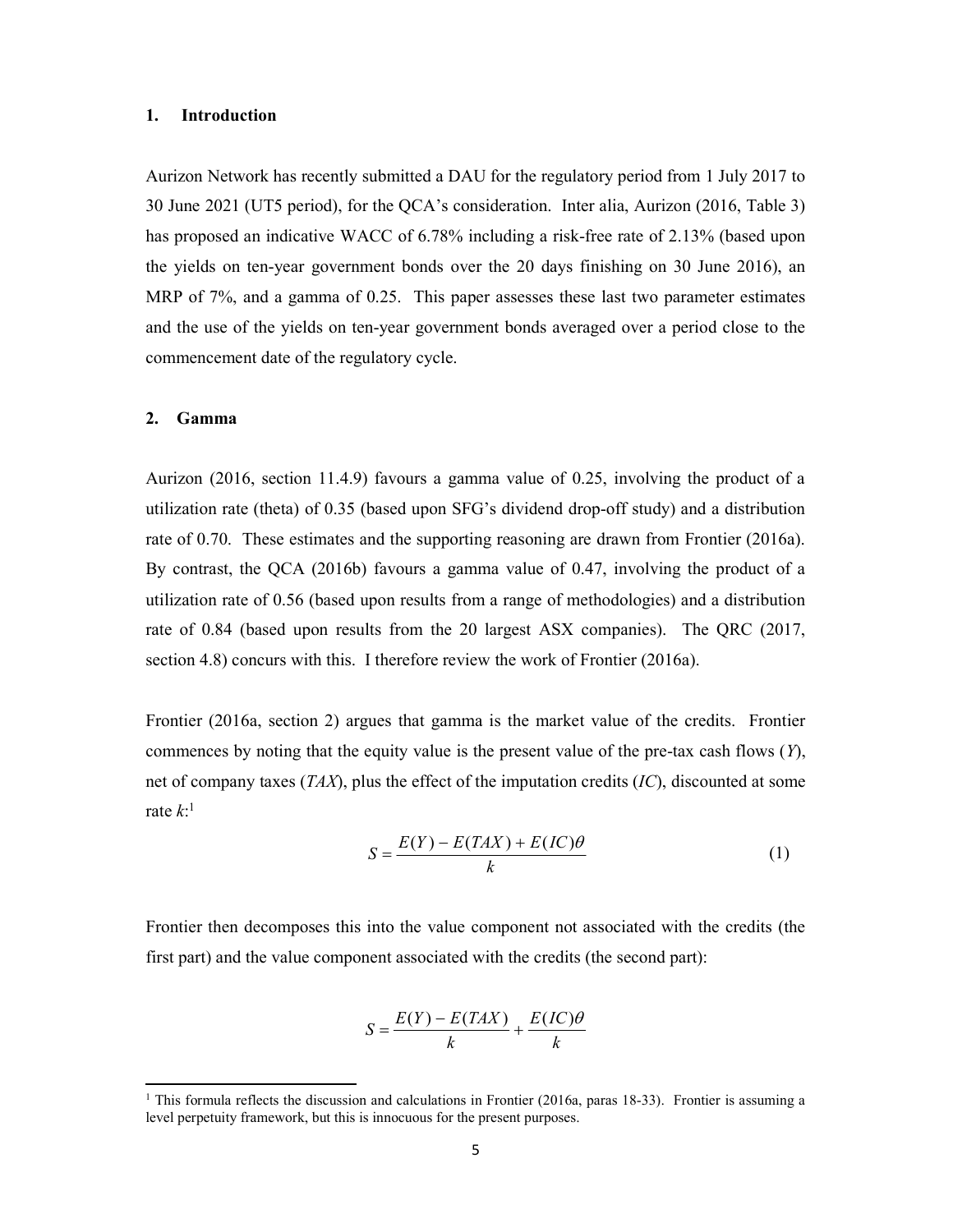#### 1. Introduction

Aurizon Network has recently submitted a DAU for the regulatory period from 1 July 2017 to 30 June 2021 (UT5 period), for the QCA's consideration. Inter alia, Aurizon (2016, Table 3) has proposed an indicative WACC of 6.78% including a risk-free rate of 2.13% (based upon the yields on ten-year government bonds over the 20 days finishing on 30 June 2016), an MRP of 7%, and a gamma of 0.25. This paper assesses these last two parameter estimates and the use of the yields on ten-year government bonds averaged over a period close to the commencement date of the regulatory cycle.

#### 2. Gamma

1

Aurizon (2016, section 11.4.9) favours a gamma value of 0.25, involving the product of a utilization rate (theta) of 0.35 (based upon SFG's dividend drop-off study) and a distribution rate of 0.70. These estimates and the supporting reasoning are drawn from Frontier (2016a). By contrast, the QCA (2016b) favours a gamma value of 0.47, involving the product of a utilization rate of 0.56 (based upon results from a range of methodologies) and a distribution rate of 0.84 (based upon results from the 20 largest ASX companies). The QRC (2017, section 4.8) concurs with this. I therefore review the work of Frontier (2016a).

Frontier (2016a, section 2) argues that gamma is the market value of the credits. Frontier commences by noting that the equity value is the present value of the pre-tax cash flows  $(Y)$ , net of company taxes  $(TAX)$ , plus the effect of the imputation credits  $(IC)$ , discounted at some rate  $k$ :<sup>1</sup>

$$
S = \frac{E(Y) - E(TAX) + E(IC)\theta}{k}
$$
 (1)

Frontier then decomposes this into the value component not associated with the credits (the first part) and the value component associated with the credits (the second part):

$$
S = \frac{E(Y) - E(TAX)}{k} + \frac{E(IC)\theta}{k}
$$

<sup>&</sup>lt;sup>1</sup> This formula reflects the discussion and calculations in Frontier (2016a, paras 18-33). Frontier is assuming a level perpetuity framework, but this is innocuous for the present purposes.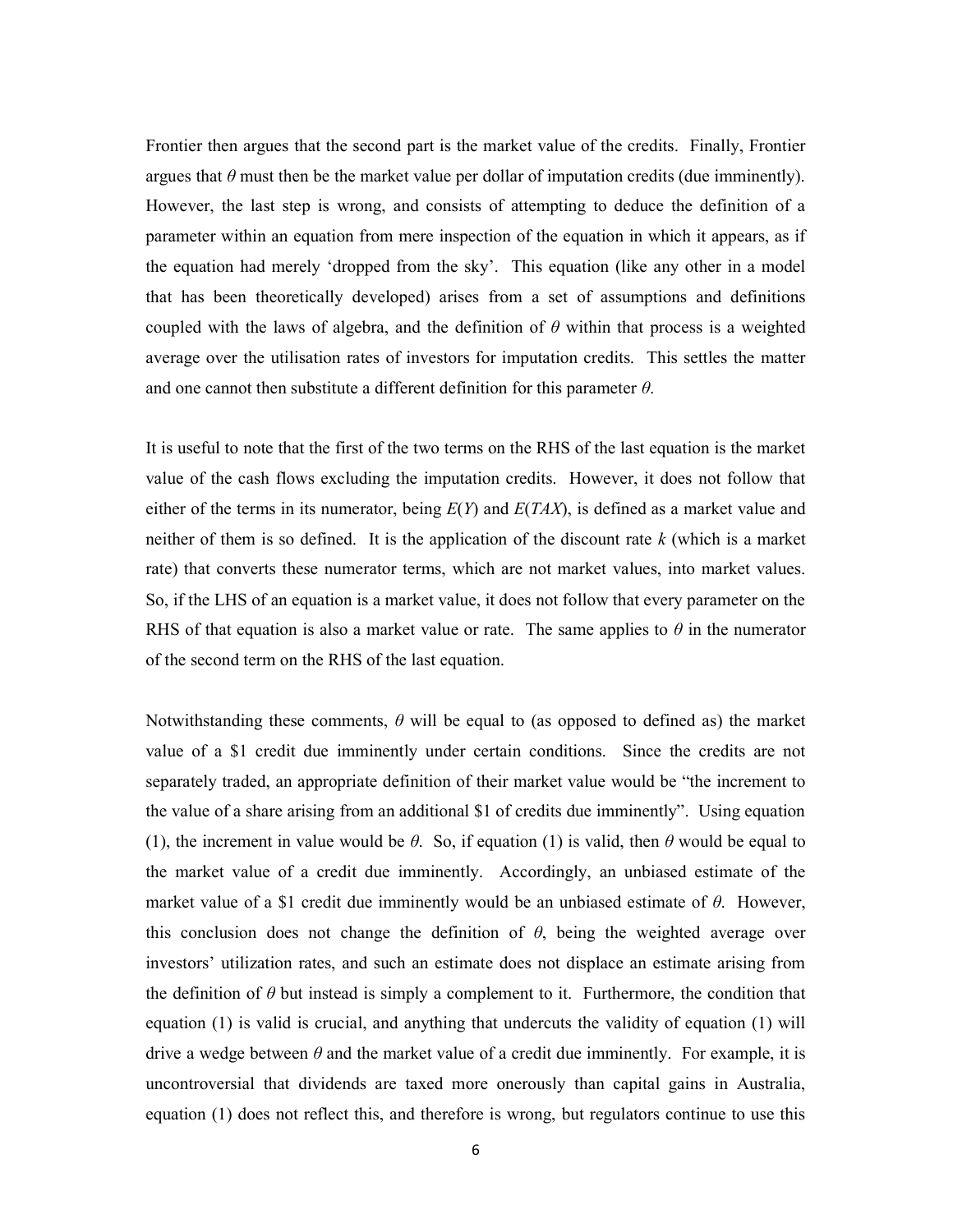Frontier then argues that the second part is the market value of the credits. Finally, Frontier argues that  $\theta$  must then be the market value per dollar of imputation credits (due imminently). However, the last step is wrong, and consists of attempting to deduce the definition of a parameter within an equation from mere inspection of the equation in which it appears, as if the equation had merely 'dropped from the sky'. This equation (like any other in a model that has been theoretically developed) arises from a set of assumptions and definitions coupled with the laws of algebra, and the definition of  $\theta$  within that process is a weighted average over the utilisation rates of investors for imputation credits. This settles the matter and one cannot then substitute a different definition for this parameter  $\theta$ .

It is useful to note that the first of the two terms on the RHS of the last equation is the market value of the cash flows excluding the imputation credits. However, it does not follow that either of the terms in its numerator, being  $E(Y)$  and  $E(TAX)$ , is defined as a market value and neither of them is so defined. It is the application of the discount rate  $k$  (which is a market rate) that converts these numerator terms, which are not market values, into market values. So, if the LHS of an equation is a market value, it does not follow that every parameter on the RHS of that equation is also a market value or rate. The same applies to  $\theta$  in the numerator of the second term on the RHS of the last equation.

Notwithstanding these comments,  $\theta$  will be equal to (as opposed to defined as) the market value of a \$1 credit due imminently under certain conditions. Since the credits are not separately traded, an appropriate definition of their market value would be "the increment to the value of a share arising from an additional \$1 of credits due imminently". Using equation (1), the increment in value would be  $\theta$ . So, if equation (1) is valid, then  $\theta$  would be equal to the market value of a credit due imminently. Accordingly, an unbiased estimate of the market value of a \$1 credit due imminently would be an unbiased estimate of  $\theta$ . However, this conclusion does not change the definition of  $\theta$ , being the weighted average over investors' utilization rates, and such an estimate does not displace an estimate arising from the definition of  $\theta$  but instead is simply a complement to it. Furthermore, the condition that equation (1) is valid is crucial, and anything that undercuts the validity of equation (1) will drive a wedge between  $\theta$  and the market value of a credit due imminently. For example, it is uncontroversial that dividends are taxed more onerously than capital gains in Australia, equation (1) does not reflect this, and therefore is wrong, but regulators continue to use this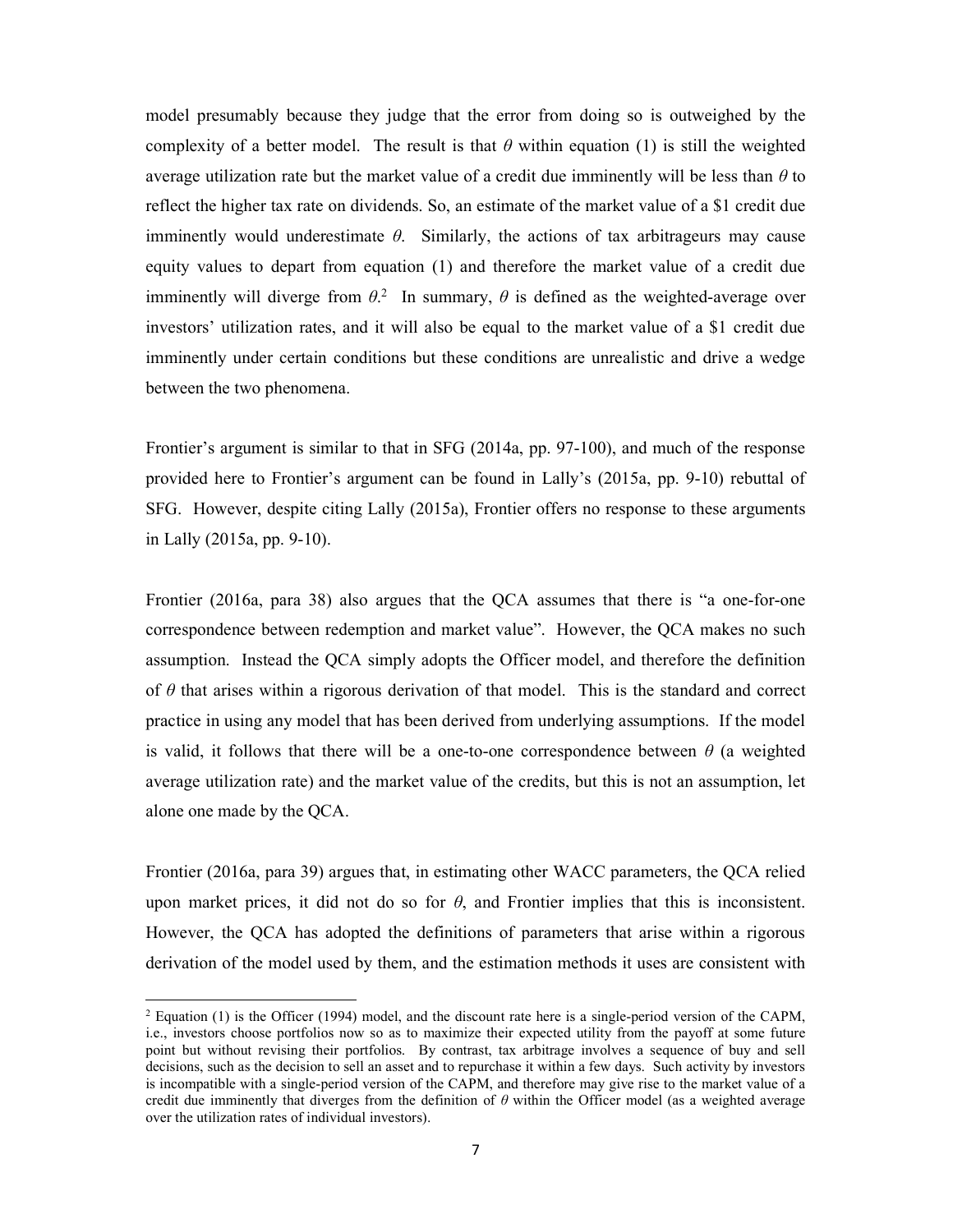model presumably because they judge that the error from doing so is outweighed by the complexity of a better model. The result is that  $\theta$  within equation (1) is still the weighted average utilization rate but the market value of a credit due imminently will be less than  $\theta$  to reflect the higher tax rate on dividends. So, an estimate of the market value of a \$1 credit due imminently would underestimate  $\theta$ . Similarly, the actions of tax arbitrageurs may cause equity values to depart from equation (1) and therefore the market value of a credit due imminently will diverge from  $\theta$ <sup>2</sup>. In summary,  $\theta$  is defined as the weighted-average over investors' utilization rates, and it will also be equal to the market value of a \$1 credit due imminently under certain conditions but these conditions are unrealistic and drive a wedge between the two phenomena.

Frontier's argument is similar to that in SFG (2014a, pp. 97-100), and much of the response provided here to Frontier's argument can be found in Lally's (2015a, pp. 9-10) rebuttal of SFG. However, despite citing Lally (2015a), Frontier offers no response to these arguments in Lally (2015a, pp. 9-10).

Frontier (2016a, para 38) also argues that the QCA assumes that there is "a one-for-one correspondence between redemption and market value". However, the QCA makes no such assumption. Instead the QCA simply adopts the Officer model, and therefore the definition of  $\theta$  that arises within a rigorous derivation of that model. This is the standard and correct practice in using any model that has been derived from underlying assumptions. If the model is valid, it follows that there will be a one-to-one correspondence between  $\theta$  (a weighted average utilization rate) and the market value of the credits, but this is not an assumption, let alone one made by the QCA.

Frontier (2016a, para 39) argues that, in estimating other WACC parameters, the QCA relied upon market prices, it did not do so for  $\theta$ , and Frontier implies that this is inconsistent. However, the QCA has adopted the definitions of parameters that arise within a rigorous derivation of the model used by them, and the estimation methods it uses are consistent with

1

<sup>&</sup>lt;sup>2</sup> Equation (1) is the Officer (1994) model, and the discount rate here is a single-period version of the CAPM, i.e., investors choose portfolios now so as to maximize their expected utility from the payoff at some future point but without revising their portfolios. By contrast, tax arbitrage involves a sequence of buy and sell decisions, such as the decision to sell an asset and to repurchase it within a few days. Such activity by investors is incompatible with a single-period version of the CAPM, and therefore may give rise to the market value of a credit due imminently that diverges from the definition of  $\theta$  within the Officer model (as a weighted average over the utilization rates of individual investors).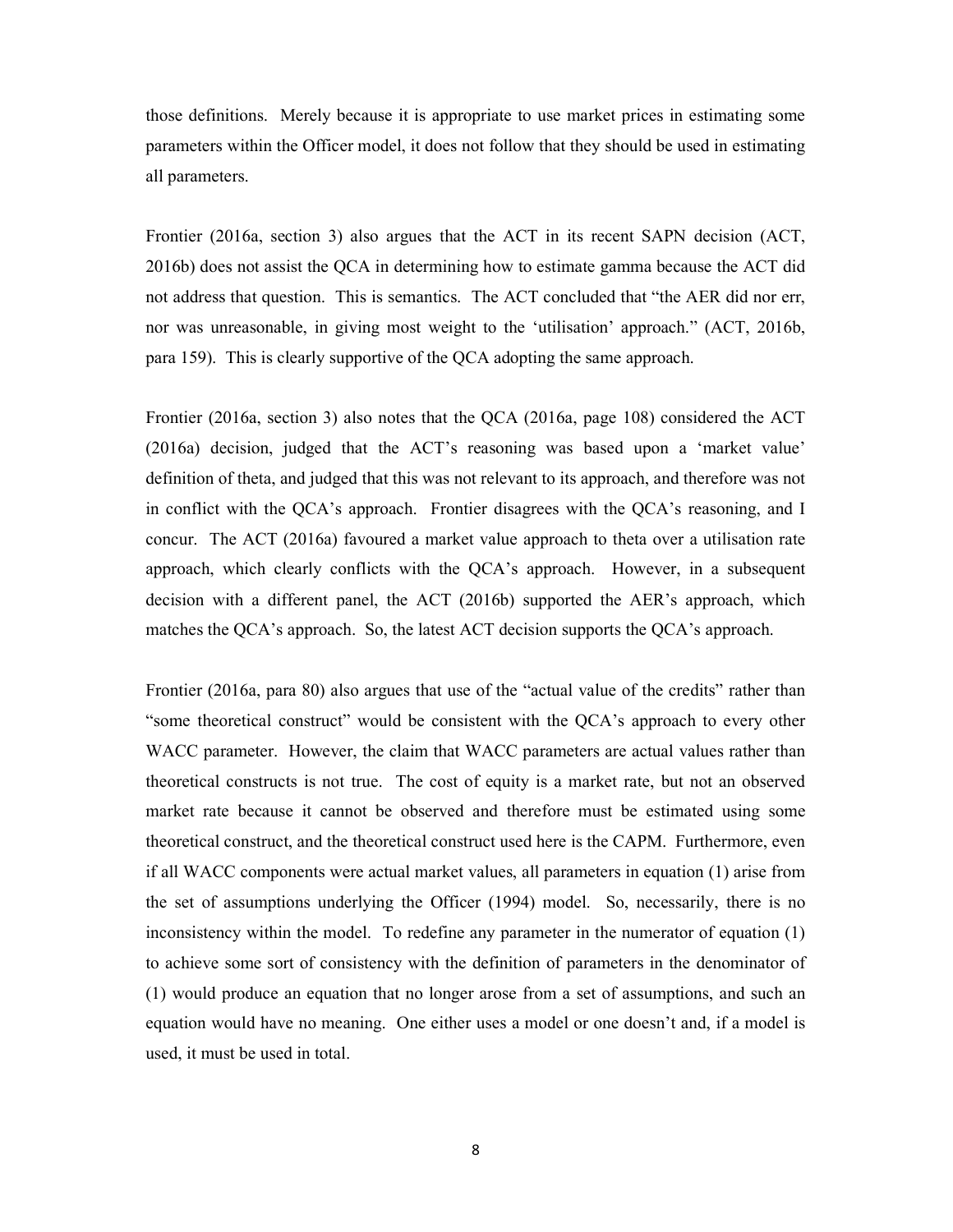those definitions. Merely because it is appropriate to use market prices in estimating some parameters within the Officer model, it does not follow that they should be used in estimating all parameters.

Frontier (2016a, section 3) also argues that the ACT in its recent SAPN decision (ACT, 2016b) does not assist the QCA in determining how to estimate gamma because the ACT did not address that question. This is semantics. The ACT concluded that "the AER did nor err, nor was unreasonable, in giving most weight to the 'utilisation' approach." (ACT, 2016b, para 159). This is clearly supportive of the QCA adopting the same approach.

Frontier (2016a, section 3) also notes that the QCA (2016a, page 108) considered the ACT (2016a) decision, judged that the ACT's reasoning was based upon a 'market value' definition of theta, and judged that this was not relevant to its approach, and therefore was not in conflict with the QCA's approach. Frontier disagrees with the QCA's reasoning, and I concur. The ACT (2016a) favoured a market value approach to theta over a utilisation rate approach, which clearly conflicts with the QCA's approach. However, in a subsequent decision with a different panel, the ACT (2016b) supported the AER's approach, which matches the QCA's approach. So, the latest ACT decision supports the QCA's approach.

Frontier (2016a, para 80) also argues that use of the "actual value of the credits" rather than "some theoretical construct" would be consistent with the QCA's approach to every other WACC parameter. However, the claim that WACC parameters are actual values rather than theoretical constructs is not true. The cost of equity is a market rate, but not an observed market rate because it cannot be observed and therefore must be estimated using some theoretical construct, and the theoretical construct used here is the CAPM. Furthermore, even if all WACC components were actual market values, all parameters in equation (1) arise from the set of assumptions underlying the Officer (1994) model. So, necessarily, there is no inconsistency within the model. To redefine any parameter in the numerator of equation (1) to achieve some sort of consistency with the definition of parameters in the denominator of (1) would produce an equation that no longer arose from a set of assumptions, and such an equation would have no meaning. One either uses a model or one doesn't and, if a model is used, it must be used in total.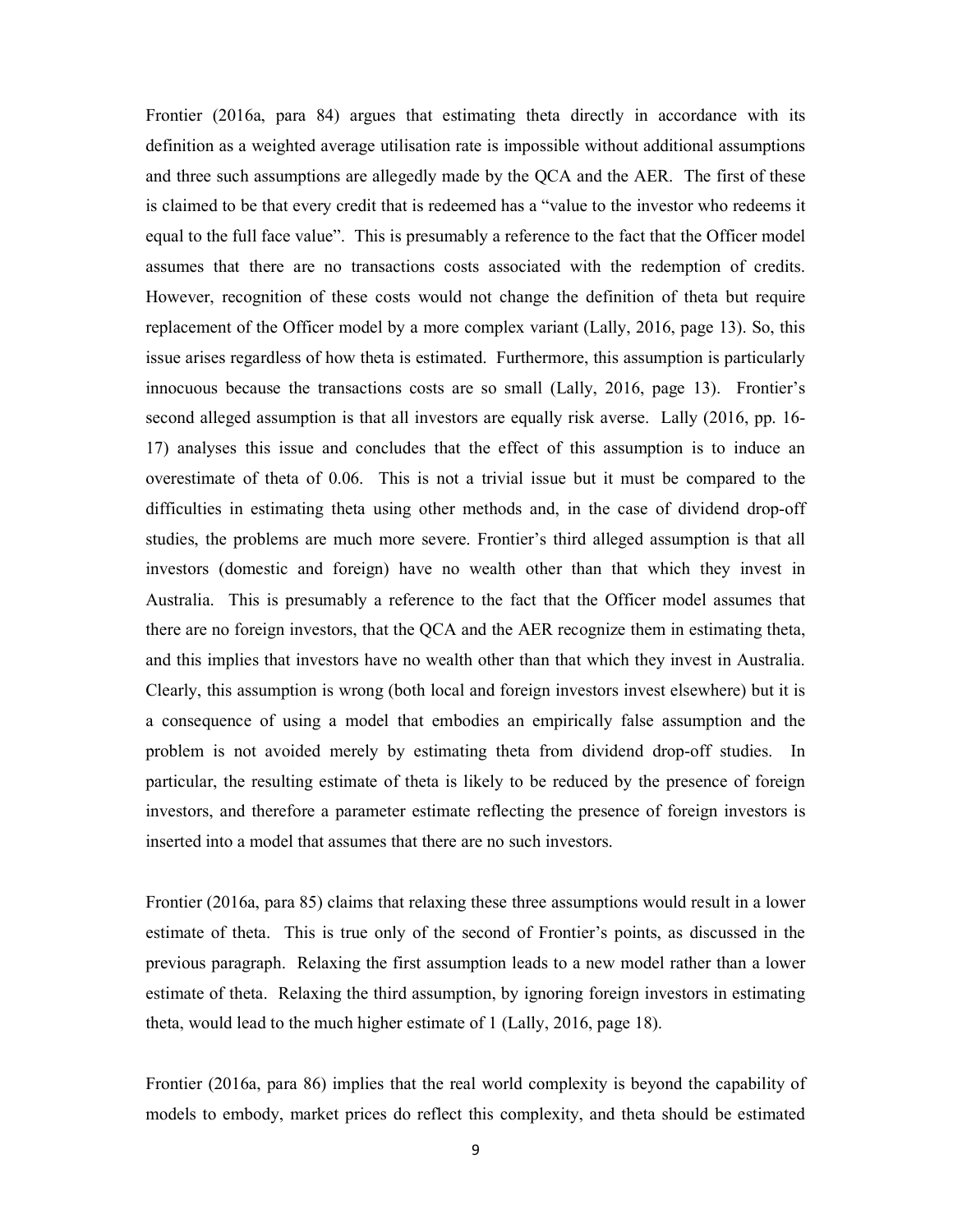Frontier (2016a, para 84) argues that estimating theta directly in accordance with its definition as a weighted average utilisation rate is impossible without additional assumptions and three such assumptions are allegedly made by the QCA and the AER. The first of these is claimed to be that every credit that is redeemed has a "value to the investor who redeems it equal to the full face value". This is presumably a reference to the fact that the Officer model assumes that there are no transactions costs associated with the redemption of credits. However, recognition of these costs would not change the definition of theta but require replacement of the Officer model by a more complex variant (Lally, 2016, page 13). So, this issue arises regardless of how theta is estimated. Furthermore, this assumption is particularly innocuous because the transactions costs are so small (Lally, 2016, page 13). Frontier's second alleged assumption is that all investors are equally risk averse. Lally (2016, pp. 16- 17) analyses this issue and concludes that the effect of this assumption is to induce an overestimate of theta of 0.06. This is not a trivial issue but it must be compared to the difficulties in estimating theta using other methods and, in the case of dividend drop-off studies, the problems are much more severe. Frontier's third alleged assumption is that all investors (domestic and foreign) have no wealth other than that which they invest in Australia. This is presumably a reference to the fact that the Officer model assumes that there are no foreign investors, that the QCA and the AER recognize them in estimating theta, and this implies that investors have no wealth other than that which they invest in Australia. Clearly, this assumption is wrong (both local and foreign investors invest elsewhere) but it is a consequence of using a model that embodies an empirically false assumption and the problem is not avoided merely by estimating theta from dividend drop-off studies. In particular, the resulting estimate of theta is likely to be reduced by the presence of foreign investors, and therefore a parameter estimate reflecting the presence of foreign investors is inserted into a model that assumes that there are no such investors.

Frontier (2016a, para 85) claims that relaxing these three assumptions would result in a lower estimate of theta. This is true only of the second of Frontier's points, as discussed in the previous paragraph. Relaxing the first assumption leads to a new model rather than a lower estimate of theta. Relaxing the third assumption, by ignoring foreign investors in estimating theta, would lead to the much higher estimate of 1 (Lally, 2016, page 18).

Frontier (2016a, para 86) implies that the real world complexity is beyond the capability of models to embody, market prices do reflect this complexity, and theta should be estimated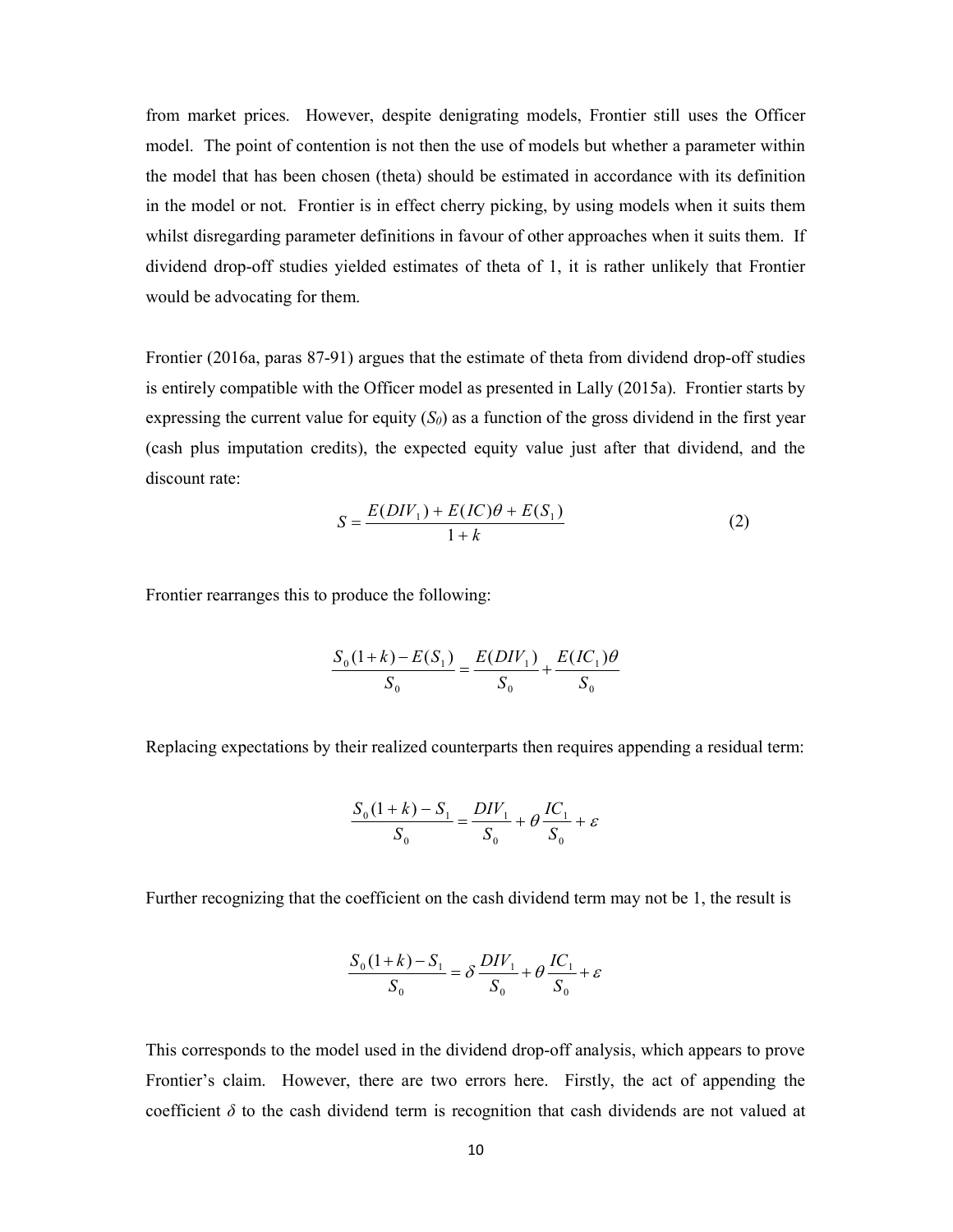from market prices. However, despite denigrating models, Frontier still uses the Officer model. The point of contention is not then the use of models but whether a parameter within the model that has been chosen (theta) should be estimated in accordance with its definition in the model or not. Frontier is in effect cherry picking, by using models when it suits them whilst disregarding parameter definitions in favour of other approaches when it suits them. If dividend drop-off studies yielded estimates of theta of 1, it is rather unlikely that Frontier would be advocating for them.

Frontier (2016a, paras 87-91) argues that the estimate of theta from dividend drop-off studies is entirely compatible with the Officer model as presented in Lally (2015a). Frontier starts by expressing the current value for equity  $(S_0)$  as a function of the gross dividend in the first year (cash plus imputation credits), the expected equity value just after that dividend, and the discount rate:

$$
S = \frac{E(DIV_1) + E(IC)\theta + E(S_1)}{1 + k}
$$
 (2)

Frontier rearranges this to produce the following:

$$
\frac{S_0(1+k) - E(S_1)}{S_0} = \frac{E(DIV_1)}{S_0} + \frac{E(IC_1)\theta}{S_0}
$$

Replacing expectations by their realized counterparts then requires appending a residual term:

$$
\frac{S_0(1+k) - S_1}{S_0} = \frac{DIV_1}{S_0} + \theta \frac{IC_1}{S_0} + \varepsilon
$$

Further recognizing that the coefficient on the cash dividend term may not be 1, the result is

$$
\frac{S_0(1+k) - S_1}{S_0} = \delta \frac{DIV_1}{S_0} + \theta \frac{IC_1}{S_0} + \varepsilon
$$

This corresponds to the model used in the dividend drop-off analysis, which appears to prove Frontier's claim. However, there are two errors here. Firstly, the act of appending the coefficient  $\delta$  to the cash dividend term is recognition that cash dividends are not valued at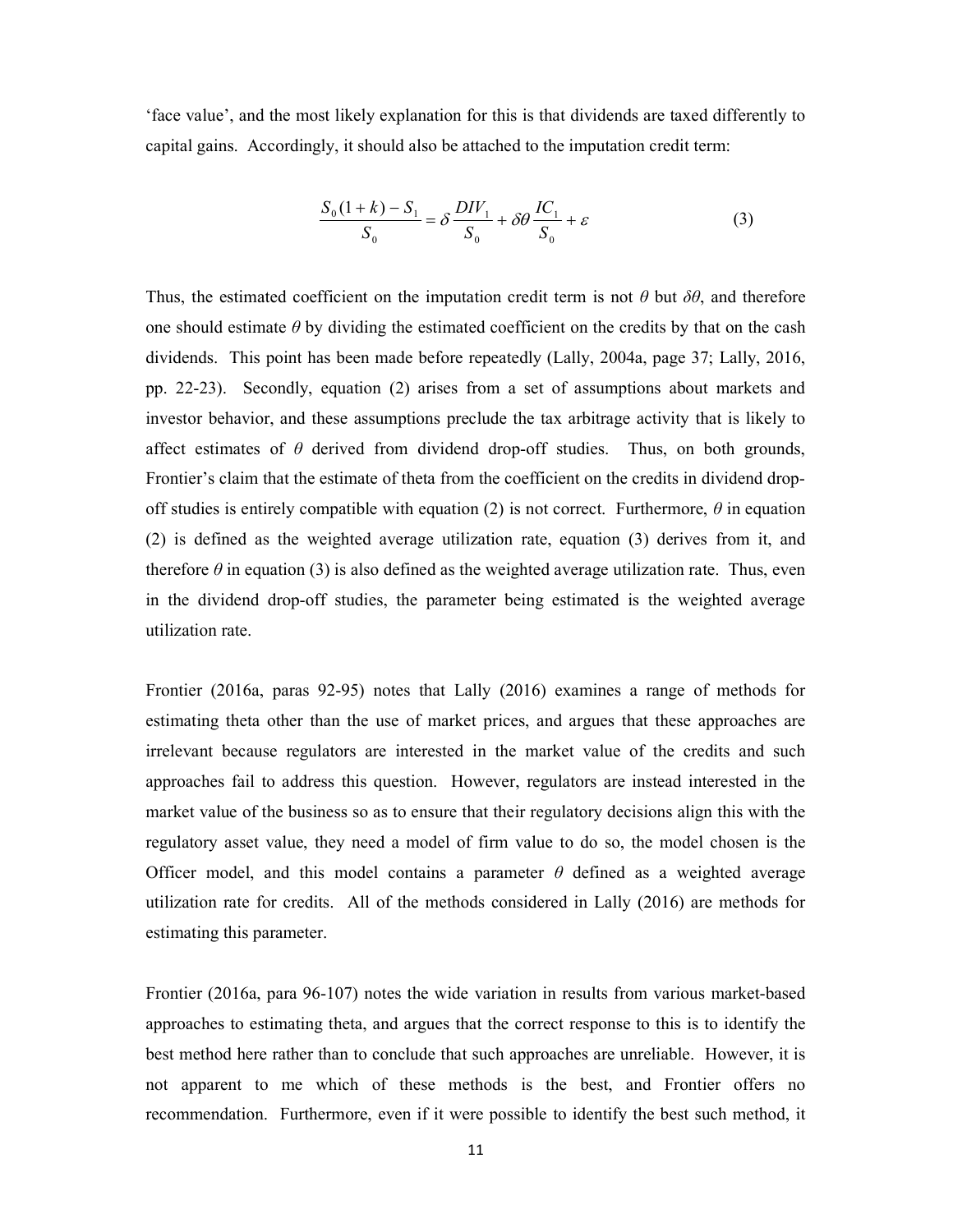'face value', and the most likely explanation for this is that dividends are taxed differently to capital gains. Accordingly, it should also be attached to the imputation credit term:

$$
\frac{S_0(1+k)-S_1}{S_0} = \delta \frac{DIV_1}{S_0} + \delta \theta \frac{IC_1}{S_0} + \varepsilon
$$
\n(3)

Thus, the estimated coefficient on the imputation credit term is not  $\theta$  but  $\delta\theta$ , and therefore one should estimate  $\theta$  by dividing the estimated coefficient on the credits by that on the cash dividends. This point has been made before repeatedly (Lally, 2004a, page 37; Lally, 2016, pp. 22-23). Secondly, equation (2) arises from a set of assumptions about markets and investor behavior, and these assumptions preclude the tax arbitrage activity that is likely to affect estimates of  $\theta$  derived from dividend drop-off studies. Thus, on both grounds, Frontier's claim that the estimate of theta from the coefficient on the credits in dividend dropoff studies is entirely compatible with equation (2) is not correct. Furthermore,  $\theta$  in equation (2) is defined as the weighted average utilization rate, equation (3) derives from it, and therefore  $\theta$  in equation (3) is also defined as the weighted average utilization rate. Thus, even in the dividend drop-off studies, the parameter being estimated is the weighted average utilization rate.

Frontier (2016a, paras 92-95) notes that Lally (2016) examines a range of methods for estimating theta other than the use of market prices, and argues that these approaches are irrelevant because regulators are interested in the market value of the credits and such approaches fail to address this question. However, regulators are instead interested in the market value of the business so as to ensure that their regulatory decisions align this with the regulatory asset value, they need a model of firm value to do so, the model chosen is the Officer model, and this model contains a parameter  $\theta$  defined as a weighted average utilization rate for credits. All of the methods considered in Lally (2016) are methods for estimating this parameter.

Frontier (2016a, para 96-107) notes the wide variation in results from various market-based approaches to estimating theta, and argues that the correct response to this is to identify the best method here rather than to conclude that such approaches are unreliable. However, it is not apparent to me which of these methods is the best, and Frontier offers no recommendation. Furthermore, even if it were possible to identify the best such method, it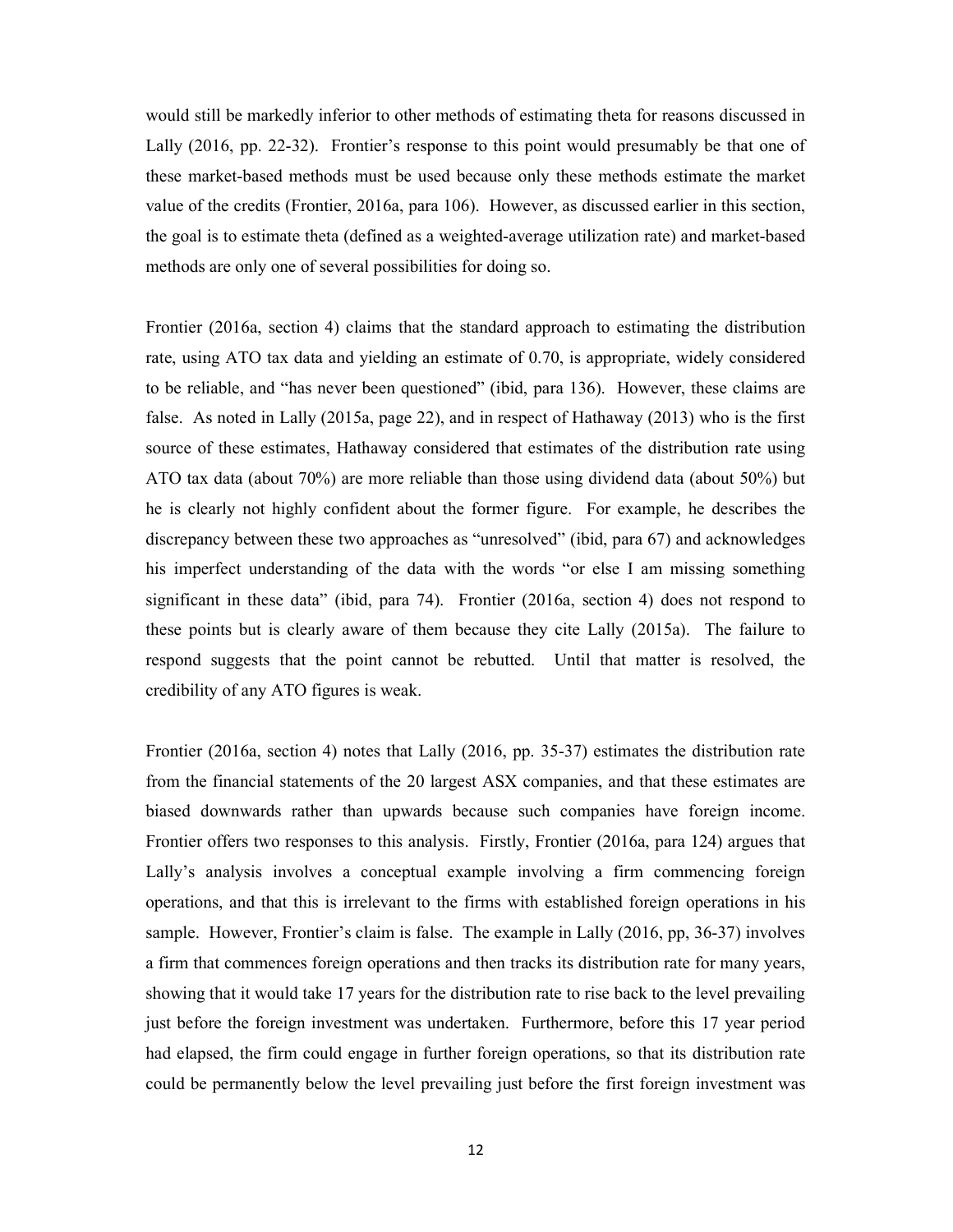would still be markedly inferior to other methods of estimating theta for reasons discussed in Lally (2016, pp. 22-32). Frontier's response to this point would presumably be that one of these market-based methods must be used because only these methods estimate the market value of the credits (Frontier, 2016a, para 106). However, as discussed earlier in this section, the goal is to estimate theta (defined as a weighted-average utilization rate) and market-based methods are only one of several possibilities for doing so.

Frontier (2016a, section 4) claims that the standard approach to estimating the distribution rate, using ATO tax data and yielding an estimate of 0.70, is appropriate, widely considered to be reliable, and "has never been questioned" (ibid, para 136). However, these claims are false. As noted in Lally (2015a, page 22), and in respect of Hathaway (2013) who is the first source of these estimates, Hathaway considered that estimates of the distribution rate using ATO tax data (about 70%) are more reliable than those using dividend data (about 50%) but he is clearly not highly confident about the former figure. For example, he describes the discrepancy between these two approaches as "unresolved" (ibid, para 67) and acknowledges his imperfect understanding of the data with the words "or else I am missing something significant in these data" (ibid, para 74). Frontier (2016a, section 4) does not respond to these points but is clearly aware of them because they cite Lally (2015a). The failure to respond suggests that the point cannot be rebutted. Until that matter is resolved, the credibility of any ATO figures is weak.

Frontier (2016a, section 4) notes that Lally (2016, pp. 35-37) estimates the distribution rate from the financial statements of the 20 largest ASX companies, and that these estimates are biased downwards rather than upwards because such companies have foreign income. Frontier offers two responses to this analysis. Firstly, Frontier (2016a, para 124) argues that Lally's analysis involves a conceptual example involving a firm commencing foreign operations, and that this is irrelevant to the firms with established foreign operations in his sample. However, Frontier's claim is false. The example in Lally (2016, pp, 36-37) involves a firm that commences foreign operations and then tracks its distribution rate for many years, showing that it would take 17 years for the distribution rate to rise back to the level prevailing just before the foreign investment was undertaken. Furthermore, before this 17 year period had elapsed, the firm could engage in further foreign operations, so that its distribution rate could be permanently below the level prevailing just before the first foreign investment was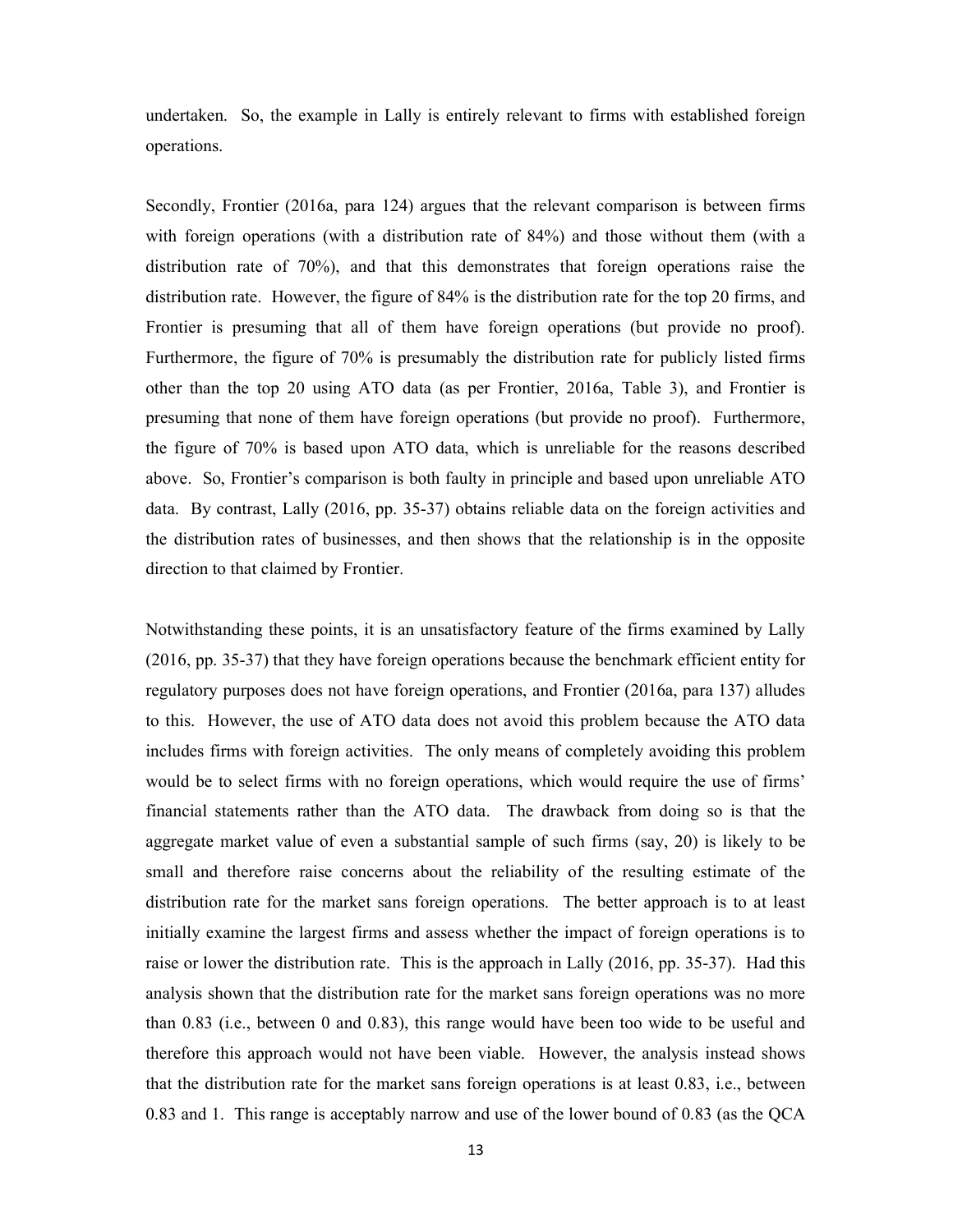undertaken. So, the example in Lally is entirely relevant to firms with established foreign operations.

Secondly, Frontier (2016a, para 124) argues that the relevant comparison is between firms with foreign operations (with a distribution rate of 84%) and those without them (with a distribution rate of 70%), and that this demonstrates that foreign operations raise the distribution rate. However, the figure of 84% is the distribution rate for the top 20 firms, and Frontier is presuming that all of them have foreign operations (but provide no proof). Furthermore, the figure of 70% is presumably the distribution rate for publicly listed firms other than the top 20 using ATO data (as per Frontier, 2016a, Table 3), and Frontier is presuming that none of them have foreign operations (but provide no proof). Furthermore, the figure of 70% is based upon ATO data, which is unreliable for the reasons described above. So, Frontier's comparison is both faulty in principle and based upon unreliable ATO data. By contrast, Lally (2016, pp. 35-37) obtains reliable data on the foreign activities and the distribution rates of businesses, and then shows that the relationship is in the opposite direction to that claimed by Frontier.

Notwithstanding these points, it is an unsatisfactory feature of the firms examined by Lally (2016, pp. 35-37) that they have foreign operations because the benchmark efficient entity for regulatory purposes does not have foreign operations, and Frontier (2016a, para 137) alludes to this. However, the use of ATO data does not avoid this problem because the ATO data includes firms with foreign activities. The only means of completely avoiding this problem would be to select firms with no foreign operations, which would require the use of firms' financial statements rather than the ATO data. The drawback from doing so is that the aggregate market value of even a substantial sample of such firms (say, 20) is likely to be small and therefore raise concerns about the reliability of the resulting estimate of the distribution rate for the market sans foreign operations. The better approach is to at least initially examine the largest firms and assess whether the impact of foreign operations is to raise or lower the distribution rate. This is the approach in Lally (2016, pp. 35-37). Had this analysis shown that the distribution rate for the market sans foreign operations was no more than 0.83 (i.e., between 0 and 0.83), this range would have been too wide to be useful and therefore this approach would not have been viable. However, the analysis instead shows that the distribution rate for the market sans foreign operations is at least 0.83, i.e., between 0.83 and 1. This range is acceptably narrow and use of the lower bound of 0.83 (as the QCA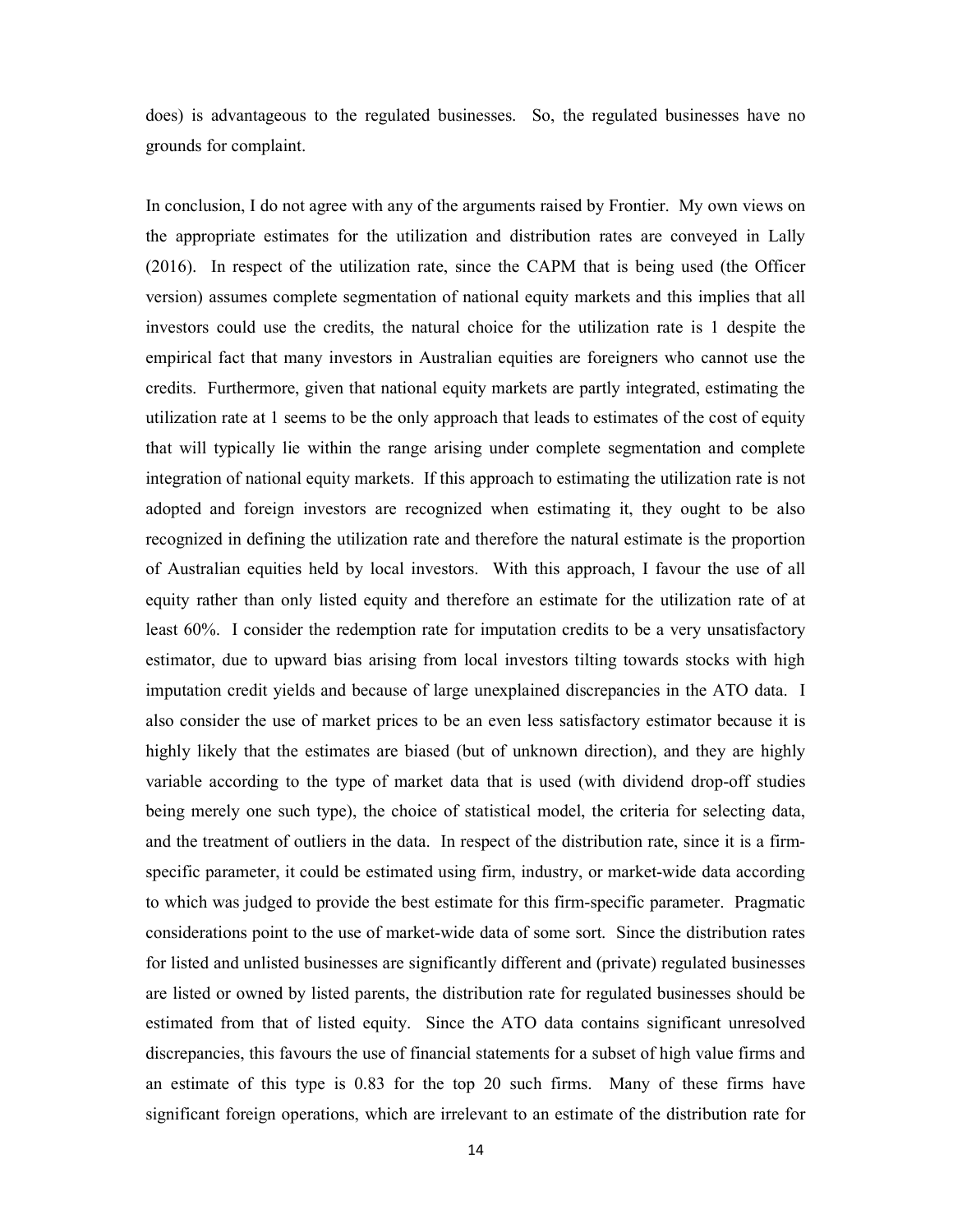does) is advantageous to the regulated businesses. So, the regulated businesses have no grounds for complaint.

In conclusion, I do not agree with any of the arguments raised by Frontier. My own views on the appropriate estimates for the utilization and distribution rates are conveyed in Lally (2016). In respect of the utilization rate, since the CAPM that is being used (the Officer version) assumes complete segmentation of national equity markets and this implies that all investors could use the credits, the natural choice for the utilization rate is 1 despite the empirical fact that many investors in Australian equities are foreigners who cannot use the credits. Furthermore, given that national equity markets are partly integrated, estimating the utilization rate at 1 seems to be the only approach that leads to estimates of the cost of equity that will typically lie within the range arising under complete segmentation and complete integration of national equity markets. If this approach to estimating the utilization rate is not adopted and foreign investors are recognized when estimating it, they ought to be also recognized in defining the utilization rate and therefore the natural estimate is the proportion of Australian equities held by local investors. With this approach, I favour the use of all equity rather than only listed equity and therefore an estimate for the utilization rate of at least 60%. I consider the redemption rate for imputation credits to be a very unsatisfactory estimator, due to upward bias arising from local investors tilting towards stocks with high imputation credit yields and because of large unexplained discrepancies in the ATO data. I also consider the use of market prices to be an even less satisfactory estimator because it is highly likely that the estimates are biased (but of unknown direction), and they are highly variable according to the type of market data that is used (with dividend drop-off studies being merely one such type), the choice of statistical model, the criteria for selecting data, and the treatment of outliers in the data. In respect of the distribution rate, since it is a firmspecific parameter, it could be estimated using firm, industry, or market-wide data according to which was judged to provide the best estimate for this firm-specific parameter. Pragmatic considerations point to the use of market-wide data of some sort. Since the distribution rates for listed and unlisted businesses are significantly different and (private) regulated businesses are listed or owned by listed parents, the distribution rate for regulated businesses should be estimated from that of listed equity. Since the ATO data contains significant unresolved discrepancies, this favours the use of financial statements for a subset of high value firms and an estimate of this type is 0.83 for the top 20 such firms. Many of these firms have significant foreign operations, which are irrelevant to an estimate of the distribution rate for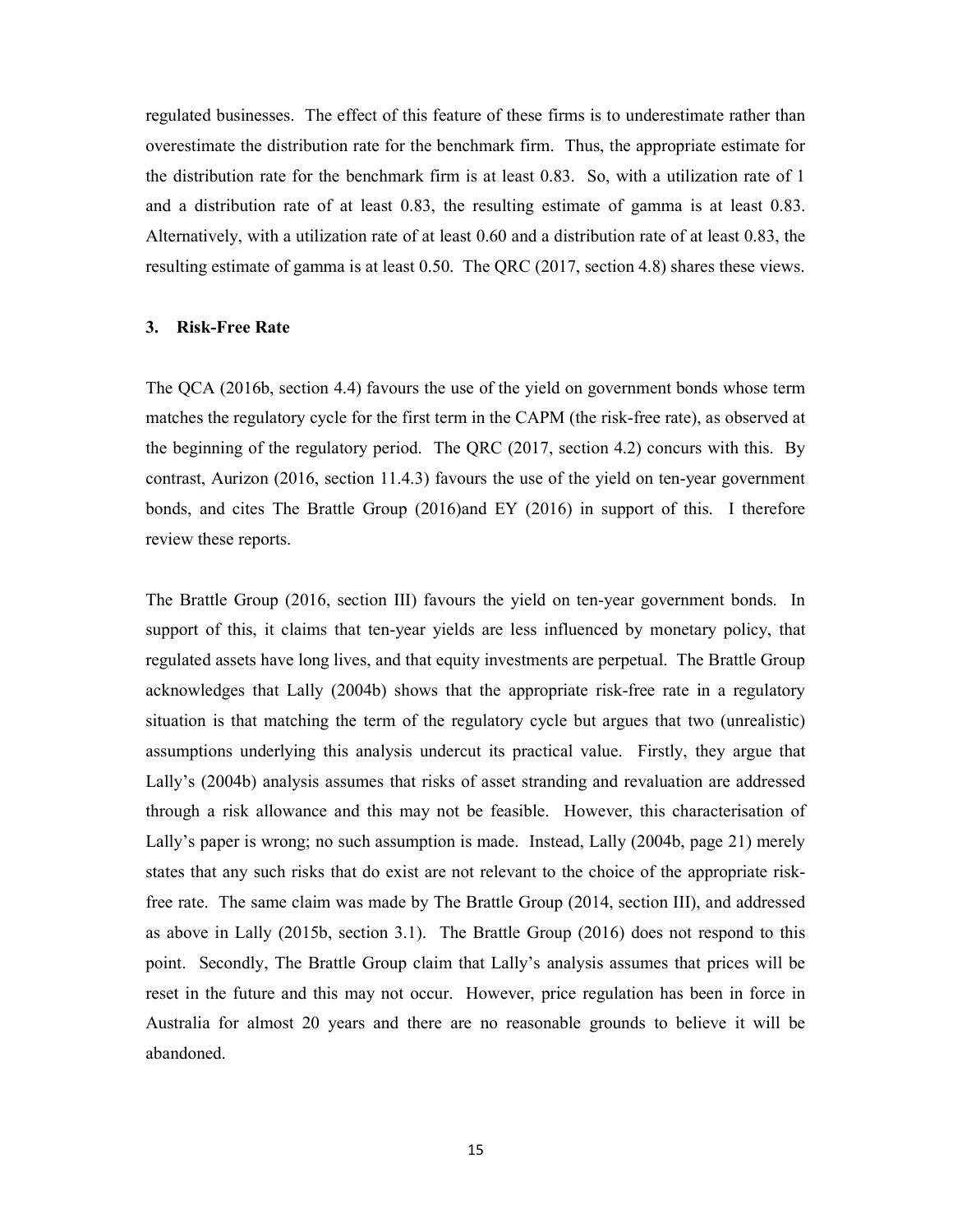regulated businesses. The effect of this feature of these firms is to underestimate rather than overestimate the distribution rate for the benchmark firm. Thus, the appropriate estimate for the distribution rate for the benchmark firm is at least 0.83. So, with a utilization rate of 1 and a distribution rate of at least 0.83, the resulting estimate of gamma is at least 0.83. Alternatively, with a utilization rate of at least 0.60 and a distribution rate of at least 0.83, the resulting estimate of gamma is at least 0.50. The QRC (2017, section 4.8) shares these views.

#### 3. Risk-Free Rate

The QCA (2016b, section 4.4) favours the use of the yield on government bonds whose term matches the regulatory cycle for the first term in the CAPM (the risk-free rate), as observed at the beginning of the regulatory period. The QRC (2017, section 4.2) concurs with this. By contrast, Aurizon (2016, section 11.4.3) favours the use of the yield on ten-year government bonds, and cites The Brattle Group (2016)and EY (2016) in support of this. I therefore review these reports.

The Brattle Group (2016, section III) favours the yield on ten-year government bonds. In support of this, it claims that ten-year yields are less influenced by monetary policy, that regulated assets have long lives, and that equity investments are perpetual. The Brattle Group acknowledges that Lally (2004b) shows that the appropriate risk-free rate in a regulatory situation is that matching the term of the regulatory cycle but argues that two (unrealistic) assumptions underlying this analysis undercut its practical value. Firstly, they argue that Lally's (2004b) analysis assumes that risks of asset stranding and revaluation are addressed through a risk allowance and this may not be feasible. However, this characterisation of Lally's paper is wrong; no such assumption is made. Instead, Lally (2004b, page 21) merely states that any such risks that do exist are not relevant to the choice of the appropriate riskfree rate. The same claim was made by The Brattle Group (2014, section III), and addressed as above in Lally (2015b, section 3.1). The Brattle Group (2016) does not respond to this point. Secondly, The Brattle Group claim that Lally's analysis assumes that prices will be reset in the future and this may not occur. However, price regulation has been in force in Australia for almost 20 years and there are no reasonable grounds to believe it will be abandoned.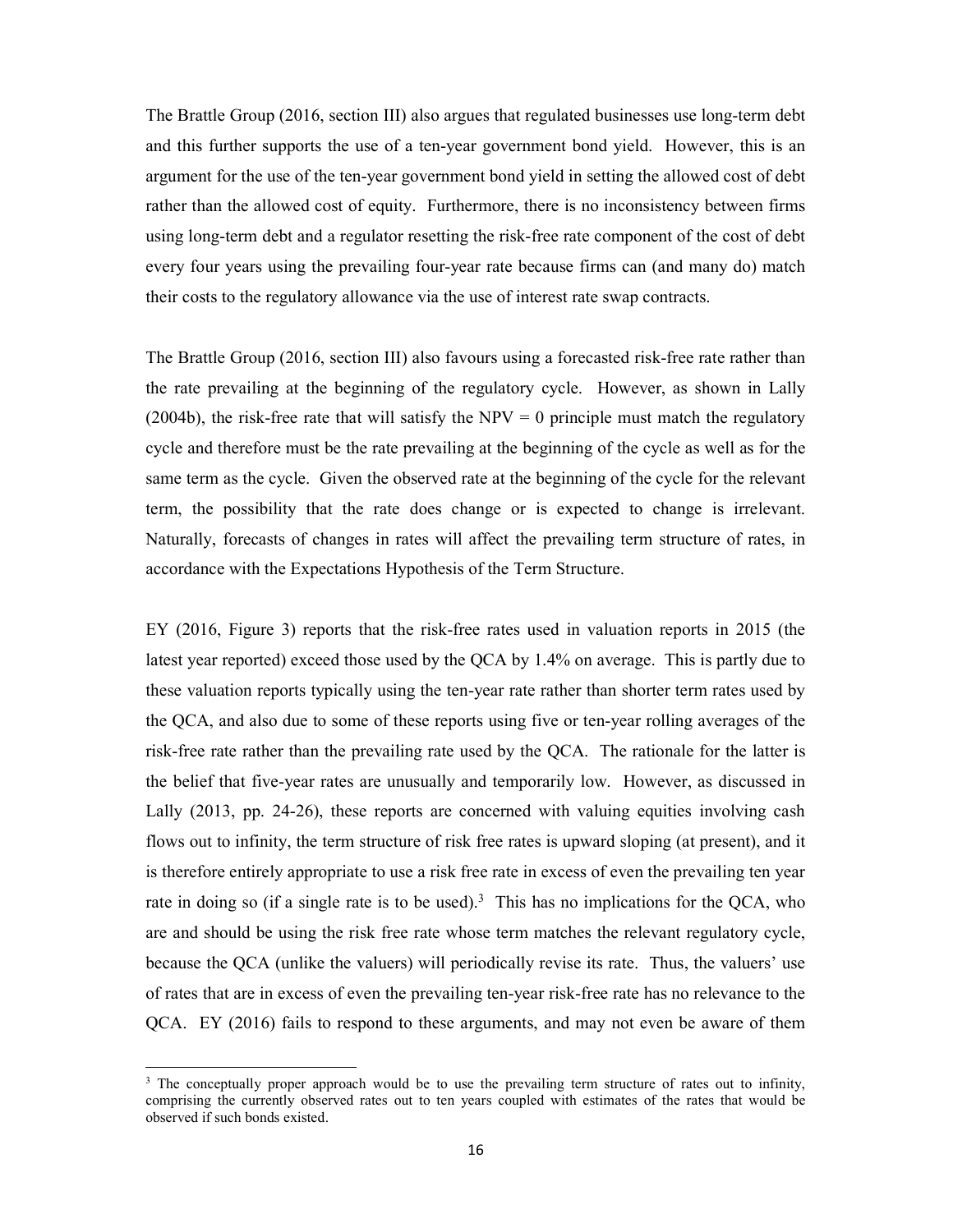The Brattle Group (2016, section III) also argues that regulated businesses use long-term debt and this further supports the use of a ten-year government bond yield. However, this is an argument for the use of the ten-year government bond yield in setting the allowed cost of debt rather than the allowed cost of equity. Furthermore, there is no inconsistency between firms using long-term debt and a regulator resetting the risk-free rate component of the cost of debt every four years using the prevailing four-year rate because firms can (and many do) match their costs to the regulatory allowance via the use of interest rate swap contracts.

The Brattle Group (2016, section III) also favours using a forecasted risk-free rate rather than the rate prevailing at the beginning of the regulatory cycle. However, as shown in Lally (2004b), the risk-free rate that will satisfy the  $NPV = 0$  principle must match the regulatory cycle and therefore must be the rate prevailing at the beginning of the cycle as well as for the same term as the cycle. Given the observed rate at the beginning of the cycle for the relevant term, the possibility that the rate does change or is expected to change is irrelevant. Naturally, forecasts of changes in rates will affect the prevailing term structure of rates, in accordance with the Expectations Hypothesis of the Term Structure.

EY (2016, Figure 3) reports that the risk-free rates used in valuation reports in 2015 (the latest year reported) exceed those used by the QCA by 1.4% on average. This is partly due to these valuation reports typically using the ten-year rate rather than shorter term rates used by the QCA, and also due to some of these reports using five or ten-year rolling averages of the risk-free rate rather than the prevailing rate used by the QCA. The rationale for the latter is the belief that five-year rates are unusually and temporarily low. However, as discussed in Lally (2013, pp. 24-26), these reports are concerned with valuing equities involving cash flows out to infinity, the term structure of risk free rates is upward sloping (at present), and it is therefore entirely appropriate to use a risk free rate in excess of even the prevailing ten year rate in doing so (if a single rate is to be used).<sup>3</sup> This has no implications for the QCA, who are and should be using the risk free rate whose term matches the relevant regulatory cycle, because the QCA (unlike the valuers) will periodically revise its rate. Thus, the valuers' use of rates that are in excess of even the prevailing ten-year risk-free rate has no relevance to the QCA. EY (2016) fails to respond to these arguments, and may not even be aware of them

1

<sup>&</sup>lt;sup>3</sup> The conceptually proper approach would be to use the prevailing term structure of rates out to infinity, comprising the currently observed rates out to ten years coupled with estimates of the rates that would be observed if such bonds existed.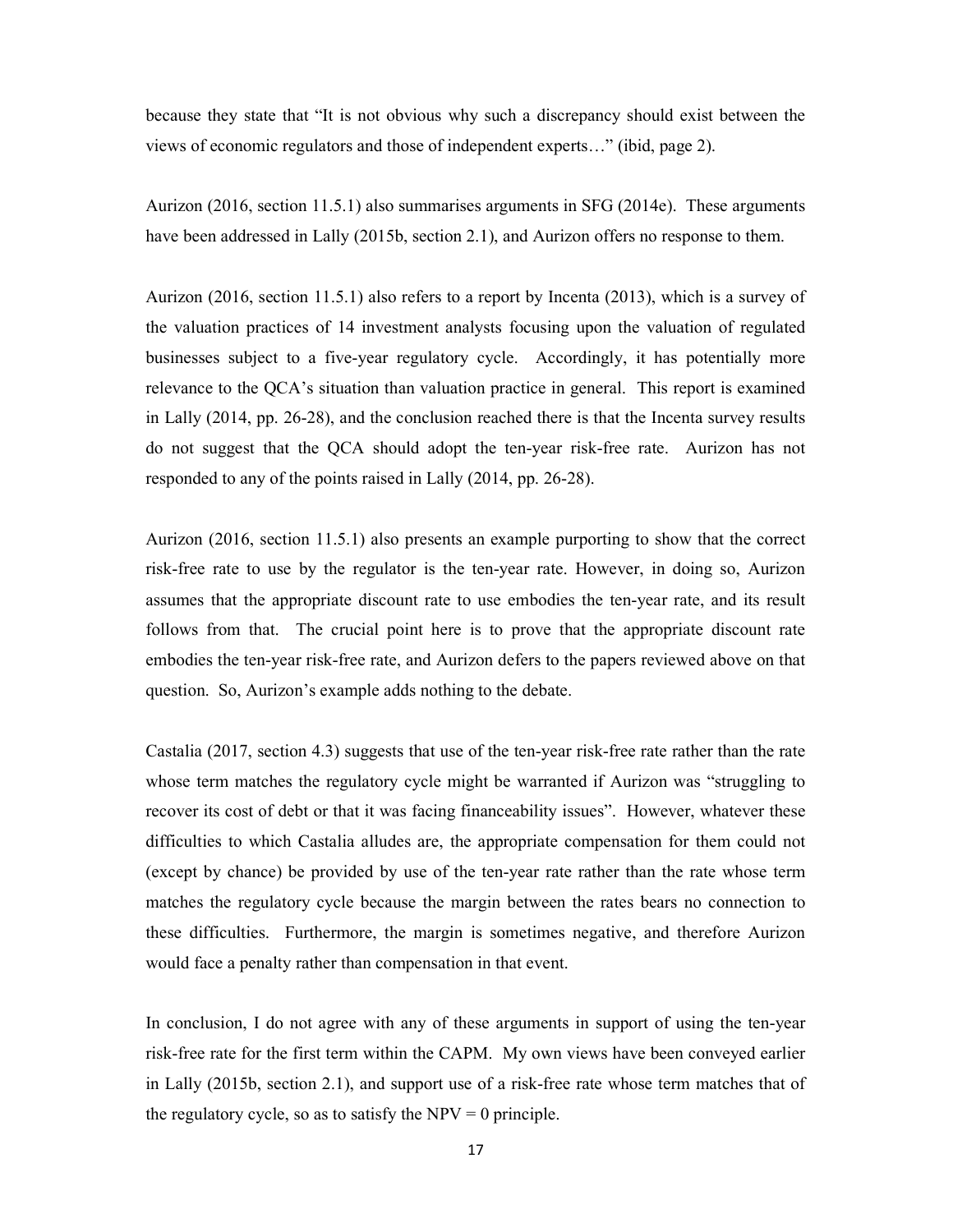because they state that "It is not obvious why such a discrepancy should exist between the views of economic regulators and those of independent experts…" (ibid, page 2).

Aurizon (2016, section 11.5.1) also summarises arguments in SFG (2014e). These arguments have been addressed in Lally (2015b, section 2.1), and Aurizon offers no response to them.

Aurizon (2016, section 11.5.1) also refers to a report by Incenta (2013), which is a survey of the valuation practices of 14 investment analysts focusing upon the valuation of regulated businesses subject to a five-year regulatory cycle. Accordingly, it has potentially more relevance to the QCA's situation than valuation practice in general. This report is examined in Lally (2014, pp. 26-28), and the conclusion reached there is that the Incenta survey results do not suggest that the QCA should adopt the ten-year risk-free rate. Aurizon has not responded to any of the points raised in Lally (2014, pp. 26-28).

Aurizon (2016, section 11.5.1) also presents an example purporting to show that the correct risk-free rate to use by the regulator is the ten-year rate. However, in doing so, Aurizon assumes that the appropriate discount rate to use embodies the ten-year rate, and its result follows from that. The crucial point here is to prove that the appropriate discount rate embodies the ten-year risk-free rate, and Aurizon defers to the papers reviewed above on that question. So, Aurizon's example adds nothing to the debate.

Castalia (2017, section 4.3) suggests that use of the ten-year risk-free rate rather than the rate whose term matches the regulatory cycle might be warranted if Aurizon was "struggling to recover its cost of debt or that it was facing financeability issues". However, whatever these difficulties to which Castalia alludes are, the appropriate compensation for them could not (except by chance) be provided by use of the ten-year rate rather than the rate whose term matches the regulatory cycle because the margin between the rates bears no connection to these difficulties. Furthermore, the margin is sometimes negative, and therefore Aurizon would face a penalty rather than compensation in that event.

In conclusion, I do not agree with any of these arguments in support of using the ten-year risk-free rate for the first term within the CAPM. My own views have been conveyed earlier in Lally (2015b, section 2.1), and support use of a risk-free rate whose term matches that of the regulatory cycle, so as to satisfy the  $NPV = 0$  principle.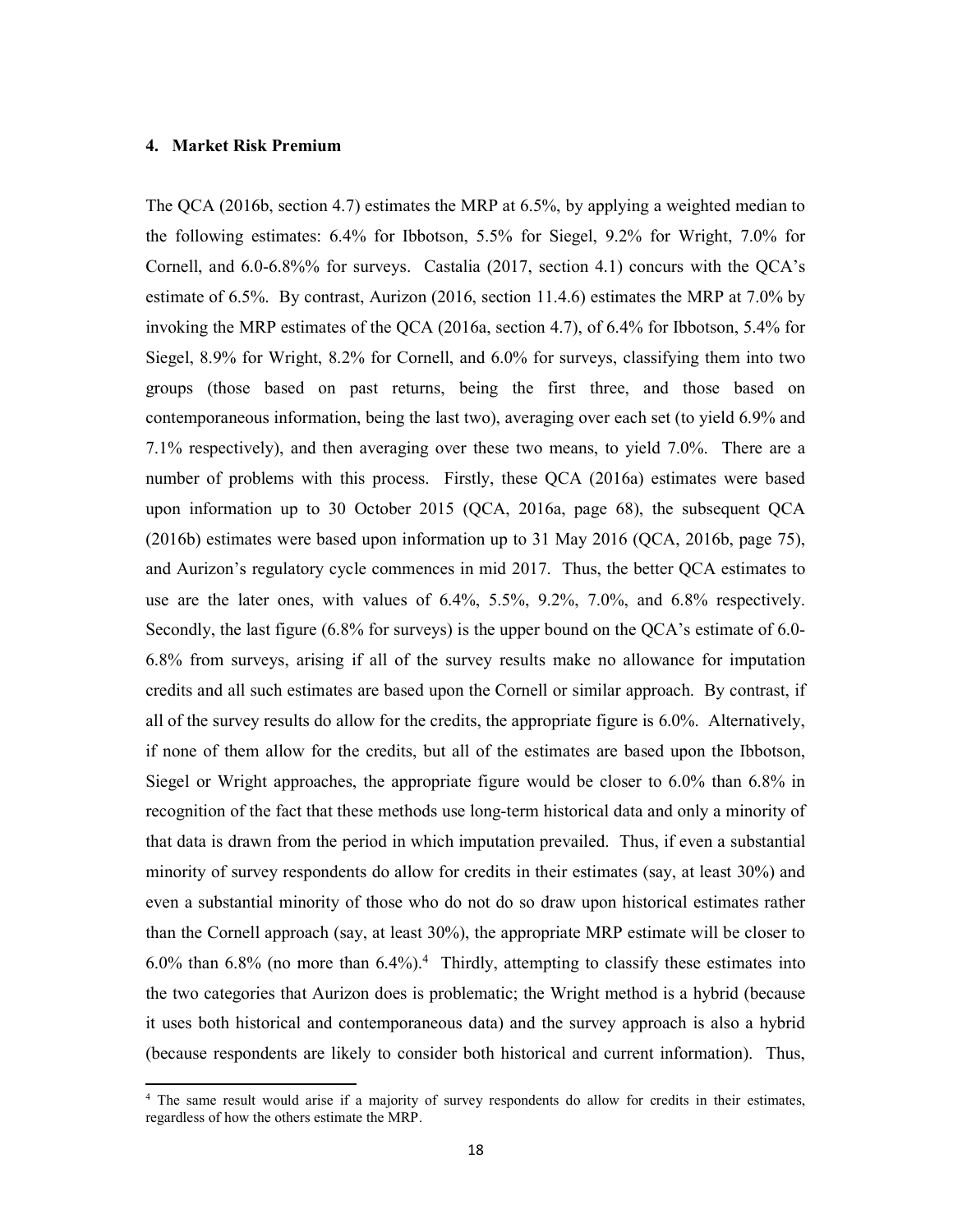### 4. Market Risk Premium

1

The QCA (2016b, section 4.7) estimates the MRP at 6.5%, by applying a weighted median to the following estimates: 6.4% for Ibbotson, 5.5% for Siegel, 9.2% for Wright, 7.0% for Cornell, and 6.0-6.8%% for surveys. Castalia (2017, section 4.1) concurs with the QCA's estimate of 6.5%. By contrast, Aurizon (2016, section 11.4.6) estimates the MRP at 7.0% by invoking the MRP estimates of the QCA (2016a, section 4.7), of 6.4% for Ibbotson, 5.4% for Siegel, 8.9% for Wright, 8.2% for Cornell, and 6.0% for surveys, classifying them into two groups (those based on past returns, being the first three, and those based on contemporaneous information, being the last two), averaging over each set (to yield 6.9% and 7.1% respectively), and then averaging over these two means, to yield 7.0%. There are a number of problems with this process. Firstly, these QCA (2016a) estimates were based upon information up to 30 October 2015 (QCA, 2016a, page 68), the subsequent QCA (2016b) estimates were based upon information up to 31 May 2016 (QCA, 2016b, page 75), and Aurizon's regulatory cycle commences in mid 2017. Thus, the better QCA estimates to use are the later ones, with values of 6.4%, 5.5%, 9.2%, 7.0%, and 6.8% respectively. Secondly, the last figure (6.8% for surveys) is the upper bound on the QCA's estimate of 6.0- 6.8% from surveys, arising if all of the survey results make no allowance for imputation credits and all such estimates are based upon the Cornell or similar approach. By contrast, if all of the survey results do allow for the credits, the appropriate figure is 6.0%. Alternatively, if none of them allow for the credits, but all of the estimates are based upon the Ibbotson, Siegel or Wright approaches, the appropriate figure would be closer to 6.0% than 6.8% in recognition of the fact that these methods use long-term historical data and only a minority of that data is drawn from the period in which imputation prevailed. Thus, if even a substantial minority of survey respondents do allow for credits in their estimates (say, at least 30%) and even a substantial minority of those who do not do so draw upon historical estimates rather than the Cornell approach (say, at least 30%), the appropriate MRP estimate will be closer to  $6.0\%$  than  $6.8\%$  (no more than  $6.4\%$ ).<sup>4</sup> Thirdly, attempting to classify these estimates into the two categories that Aurizon does is problematic; the Wright method is a hybrid (because it uses both historical and contemporaneous data) and the survey approach is also a hybrid (because respondents are likely to consider both historical and current information). Thus,

<sup>&</sup>lt;sup>4</sup> The same result would arise if a majority of survey respondents do allow for credits in their estimates, regardless of how the others estimate the MRP.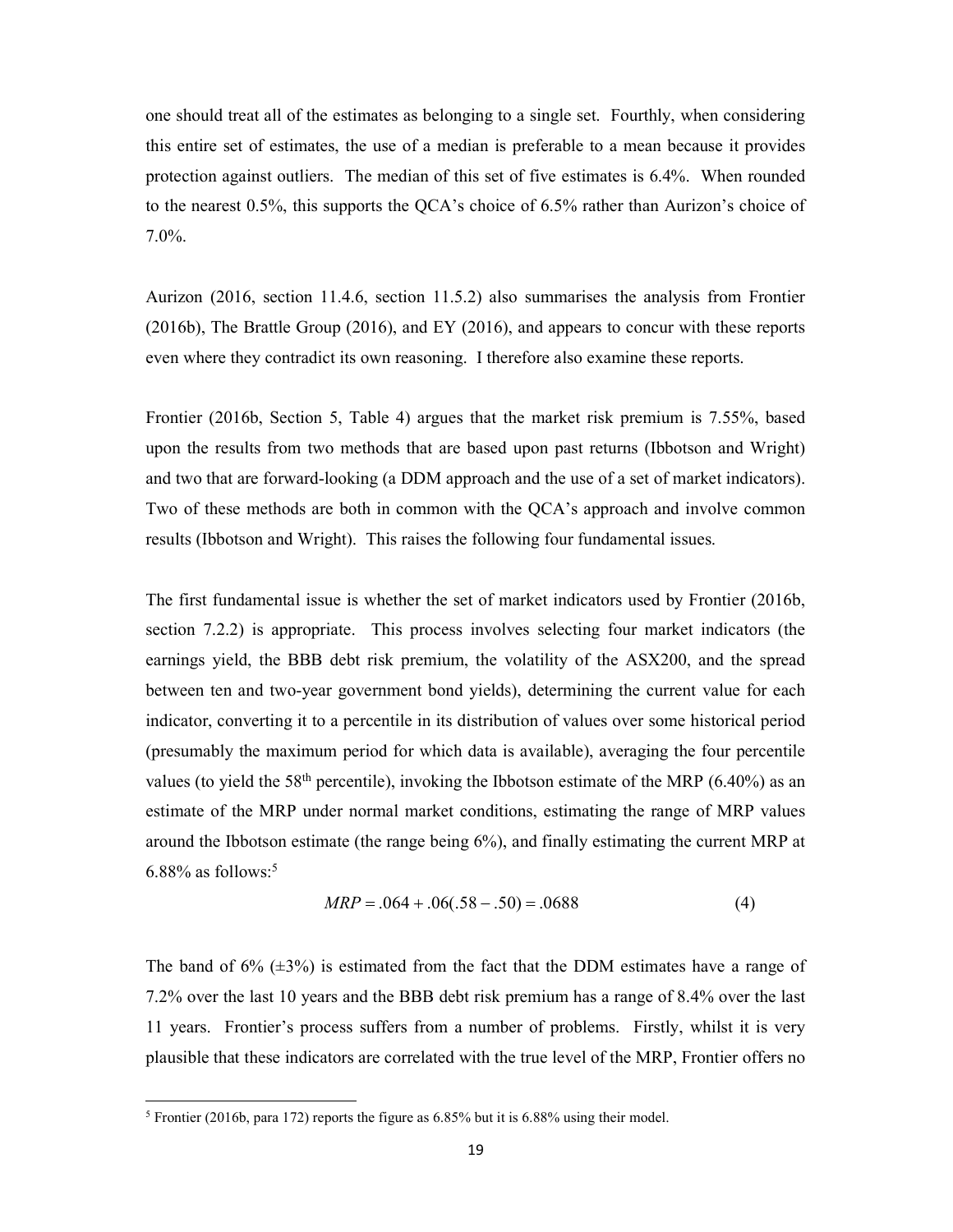one should treat all of the estimates as belonging to a single set. Fourthly, when considering this entire set of estimates, the use of a median is preferable to a mean because it provides protection against outliers. The median of this set of five estimates is 6.4%. When rounded to the nearest 0.5%, this supports the QCA's choice of 6.5% rather than Aurizon's choice of 7.0%.

Aurizon (2016, section 11.4.6, section 11.5.2) also summarises the analysis from Frontier (2016b), The Brattle Group (2016), and EY (2016), and appears to concur with these reports even where they contradict its own reasoning. I therefore also examine these reports.

Frontier (2016b, Section 5, Table 4) argues that the market risk premium is 7.55%, based upon the results from two methods that are based upon past returns (Ibbotson and Wright) and two that are forward-looking (a DDM approach and the use of a set of market indicators). Two of these methods are both in common with the QCA's approach and involve common results (Ibbotson and Wright). This raises the following four fundamental issues.

The first fundamental issue is whether the set of market indicators used by Frontier (2016b, section 7.2.2) is appropriate. This process involves selecting four market indicators (the earnings yield, the BBB debt risk premium, the volatility of the ASX200, and the spread between ten and two-year government bond yields), determining the current value for each indicator, converting it to a percentile in its distribution of values over some historical period (presumably the maximum period for which data is available), averaging the four percentile values (to yield the 58<sup>th</sup> percentile), invoking the Ibbotson estimate of the MRP (6.40%) as an estimate of the MRP under normal market conditions, estimating the range of MRP values around the Ibbotson estimate (the range being 6%), and finally estimating the current MRP at  $6.88\%$  as follows:<sup>5</sup>

$$
MRP = .064 + .06(.58 - .50) = .0688
$$
 (4)

The band of  $6\%$  ( $\pm 3\%$ ) is estimated from the fact that the DDM estimates have a range of 7.2% over the last 10 years and the BBB debt risk premium has a range of 8.4% over the last 11 years. Frontier's process suffers from a number of problems. Firstly, whilst it is very plausible that these indicators are correlated with the true level of the MRP, Frontier offers no

-

<sup>&</sup>lt;sup>5</sup> Frontier (2016b, para 172) reports the figure as  $6.85\%$  but it is  $6.88\%$  using their model.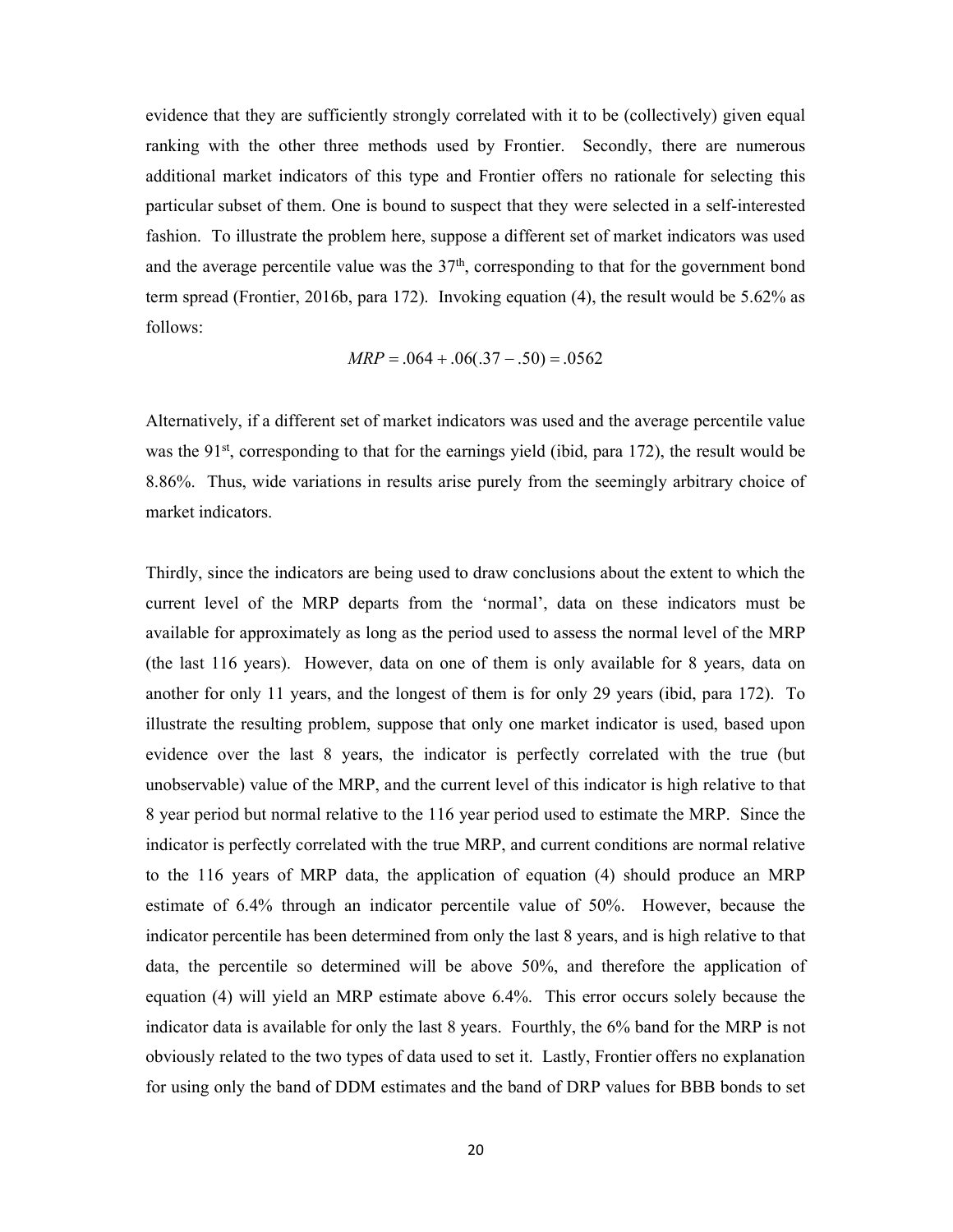evidence that they are sufficiently strongly correlated with it to be (collectively) given equal ranking with the other three methods used by Frontier. Secondly, there are numerous additional market indicators of this type and Frontier offers no rationale for selecting this particular subset of them. One is bound to suspect that they were selected in a self-interested fashion. To illustrate the problem here, suppose a different set of market indicators was used and the average percentile value was the  $37<sup>th</sup>$ , corresponding to that for the government bond term spread (Frontier, 2016b, para 172). Invoking equation (4), the result would be 5.62% as follows:

$$
MRP = .064 + .06(.37 - .50) = .0562
$$

Alternatively, if a different set of market indicators was used and the average percentile value was the  $91^{st}$ , corresponding to that for the earnings yield (ibid, para 172), the result would be 8.86%. Thus, wide variations in results arise purely from the seemingly arbitrary choice of market indicators.

Thirdly, since the indicators are being used to draw conclusions about the extent to which the current level of the MRP departs from the 'normal', data on these indicators must be available for approximately as long as the period used to assess the normal level of the MRP (the last 116 years). However, data on one of them is only available for 8 years, data on another for only 11 years, and the longest of them is for only 29 years (ibid, para 172). To illustrate the resulting problem, suppose that only one market indicator is used, based upon evidence over the last 8 years, the indicator is perfectly correlated with the true (but unobservable) value of the MRP, and the current level of this indicator is high relative to that 8 year period but normal relative to the 116 year period used to estimate the MRP. Since the indicator is perfectly correlated with the true MRP, and current conditions are normal relative to the 116 years of MRP data, the application of equation (4) should produce an MRP estimate of 6.4% through an indicator percentile value of 50%. However, because the indicator percentile has been determined from only the last 8 years, and is high relative to that data, the percentile so determined will be above 50%, and therefore the application of equation (4) will yield an MRP estimate above 6.4%. This error occurs solely because the indicator data is available for only the last 8 years. Fourthly, the 6% band for the MRP is not obviously related to the two types of data used to set it. Lastly, Frontier offers no explanation for using only the band of DDM estimates and the band of DRP values for BBB bonds to set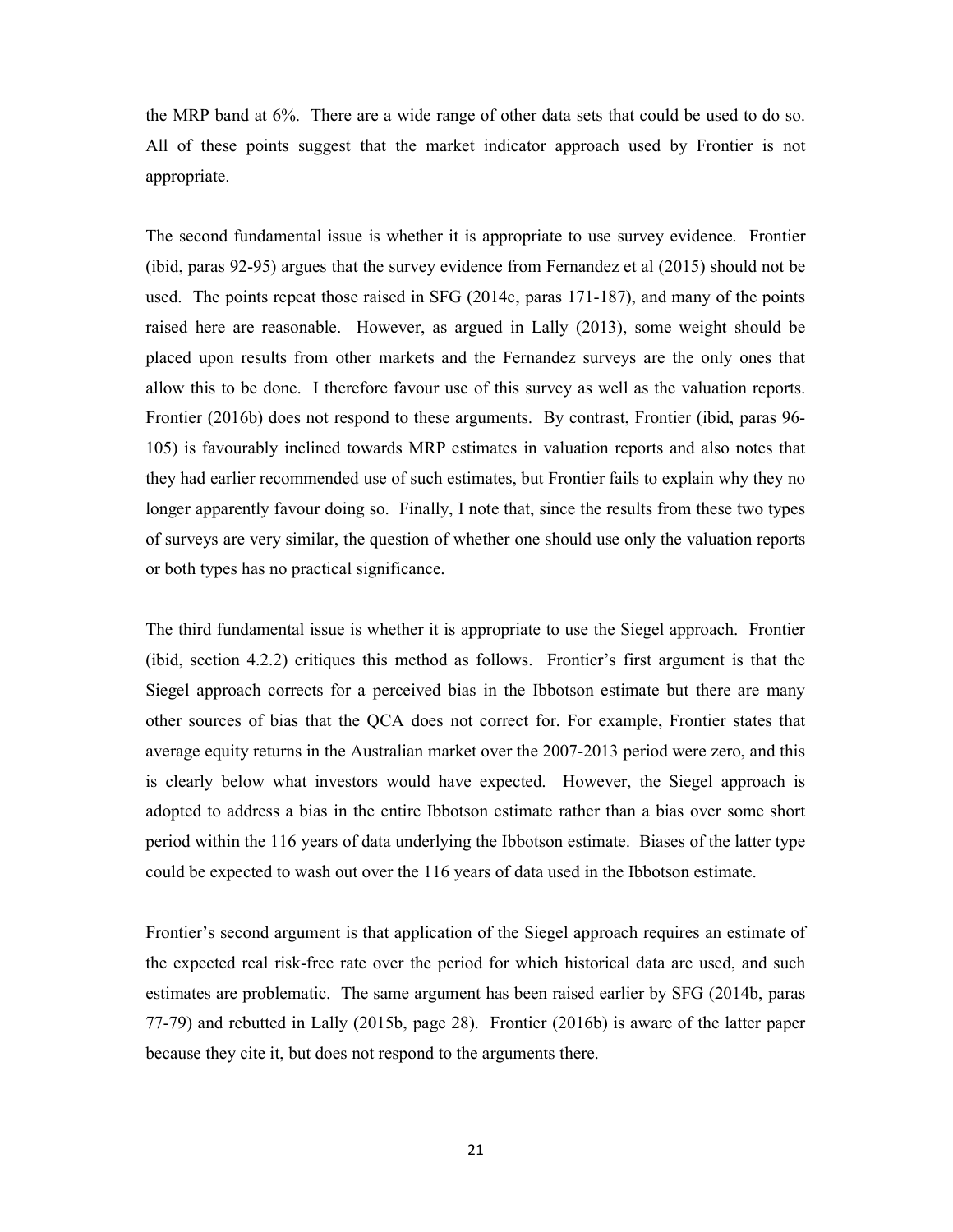the MRP band at 6%. There are a wide range of other data sets that could be used to do so. All of these points suggest that the market indicator approach used by Frontier is not appropriate.

The second fundamental issue is whether it is appropriate to use survey evidence. Frontier (ibid, paras 92-95) argues that the survey evidence from Fernandez et al (2015) should not be used. The points repeat those raised in SFG (2014c, paras 171-187), and many of the points raised here are reasonable. However, as argued in Lally (2013), some weight should be placed upon results from other markets and the Fernandez surveys are the only ones that allow this to be done. I therefore favour use of this survey as well as the valuation reports. Frontier (2016b) does not respond to these arguments. By contrast, Frontier (ibid, paras 96- 105) is favourably inclined towards MRP estimates in valuation reports and also notes that they had earlier recommended use of such estimates, but Frontier fails to explain why they no longer apparently favour doing so. Finally, I note that, since the results from these two types of surveys are very similar, the question of whether one should use only the valuation reports or both types has no practical significance.

The third fundamental issue is whether it is appropriate to use the Siegel approach. Frontier (ibid, section 4.2.2) critiques this method as follows. Frontier's first argument is that the Siegel approach corrects for a perceived bias in the Ibbotson estimate but there are many other sources of bias that the QCA does not correct for. For example, Frontier states that average equity returns in the Australian market over the 2007-2013 period were zero, and this is clearly below what investors would have expected. However, the Siegel approach is adopted to address a bias in the entire Ibbotson estimate rather than a bias over some short period within the 116 years of data underlying the Ibbotson estimate. Biases of the latter type could be expected to wash out over the 116 years of data used in the Ibbotson estimate.

Frontier's second argument is that application of the Siegel approach requires an estimate of the expected real risk-free rate over the period for which historical data are used, and such estimates are problematic. The same argument has been raised earlier by SFG (2014b, paras 77-79) and rebutted in Lally (2015b, page 28). Frontier (2016b) is aware of the latter paper because they cite it, but does not respond to the arguments there.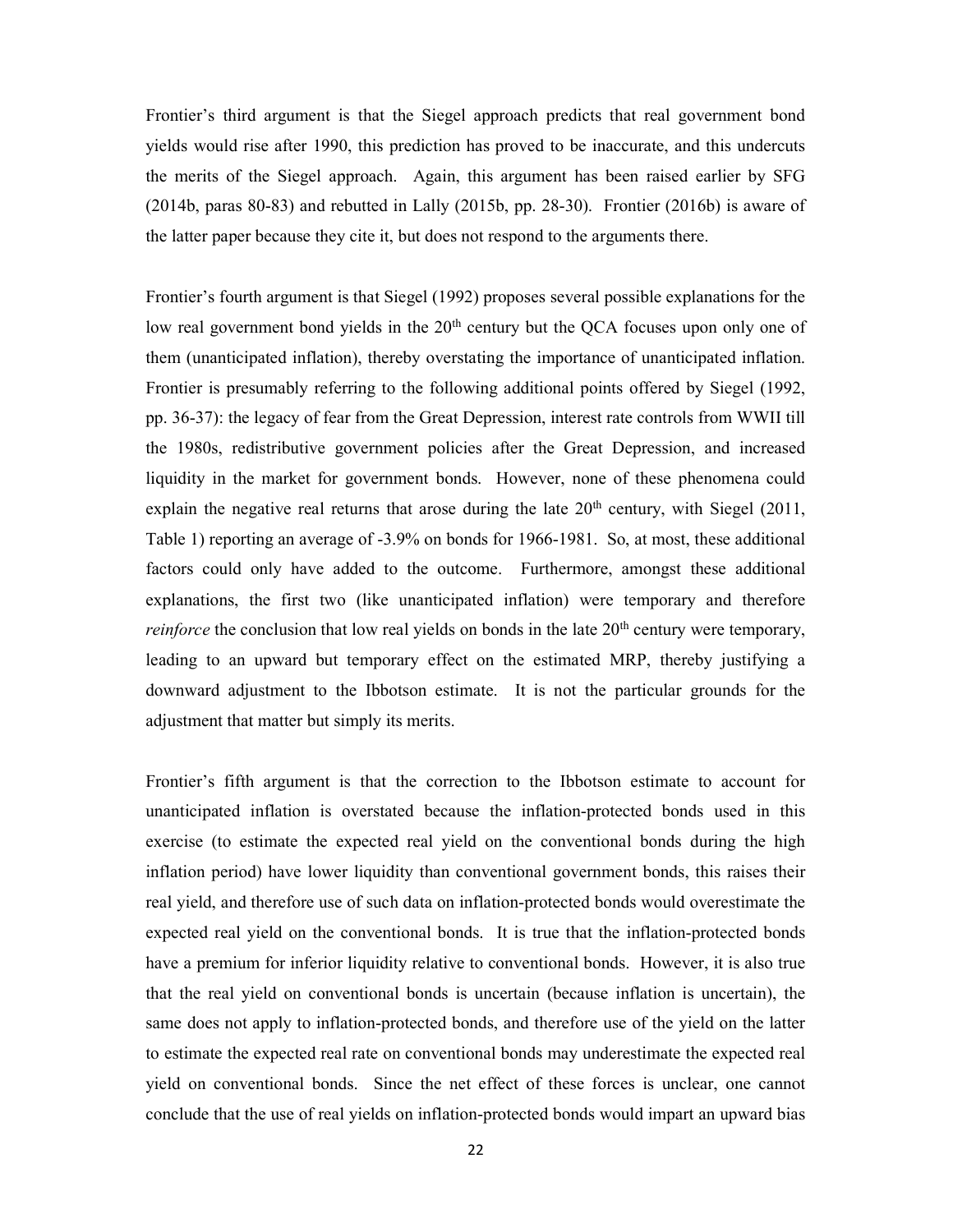Frontier's third argument is that the Siegel approach predicts that real government bond yields would rise after 1990, this prediction has proved to be inaccurate, and this undercuts the merits of the Siegel approach. Again, this argument has been raised earlier by SFG (2014b, paras 80-83) and rebutted in Lally (2015b, pp. 28-30). Frontier (2016b) is aware of the latter paper because they cite it, but does not respond to the arguments there.

Frontier's fourth argument is that Siegel (1992) proposes several possible explanations for the low real government bond yields in the 20<sup>th</sup> century but the QCA focuses upon only one of them (unanticipated inflation), thereby overstating the importance of unanticipated inflation. Frontier is presumably referring to the following additional points offered by Siegel (1992, pp. 36-37): the legacy of fear from the Great Depression, interest rate controls from WWII till the 1980s, redistributive government policies after the Great Depression, and increased liquidity in the market for government bonds. However, none of these phenomena could explain the negative real returns that arose during the late  $20<sup>th</sup>$  century, with Siegel (2011, Table 1) reporting an average of -3.9% on bonds for 1966-1981. So, at most, these additional factors could only have added to the outcome. Furthermore, amongst these additional explanations, the first two (like unanticipated inflation) were temporary and therefore *reinforce* the conclusion that low real yields on bonds in the late  $20<sup>th</sup>$  century were temporary, leading to an upward but temporary effect on the estimated MRP, thereby justifying a downward adjustment to the Ibbotson estimate. It is not the particular grounds for the adjustment that matter but simply its merits.

Frontier's fifth argument is that the correction to the Ibbotson estimate to account for unanticipated inflation is overstated because the inflation-protected bonds used in this exercise (to estimate the expected real yield on the conventional bonds during the high inflation period) have lower liquidity than conventional government bonds, this raises their real yield, and therefore use of such data on inflation-protected bonds would overestimate the expected real yield on the conventional bonds. It is true that the inflation-protected bonds have a premium for inferior liquidity relative to conventional bonds. However, it is also true that the real yield on conventional bonds is uncertain (because inflation is uncertain), the same does not apply to inflation-protected bonds, and therefore use of the yield on the latter to estimate the expected real rate on conventional bonds may underestimate the expected real yield on conventional bonds. Since the net effect of these forces is unclear, one cannot conclude that the use of real yields on inflation-protected bonds would impart an upward bias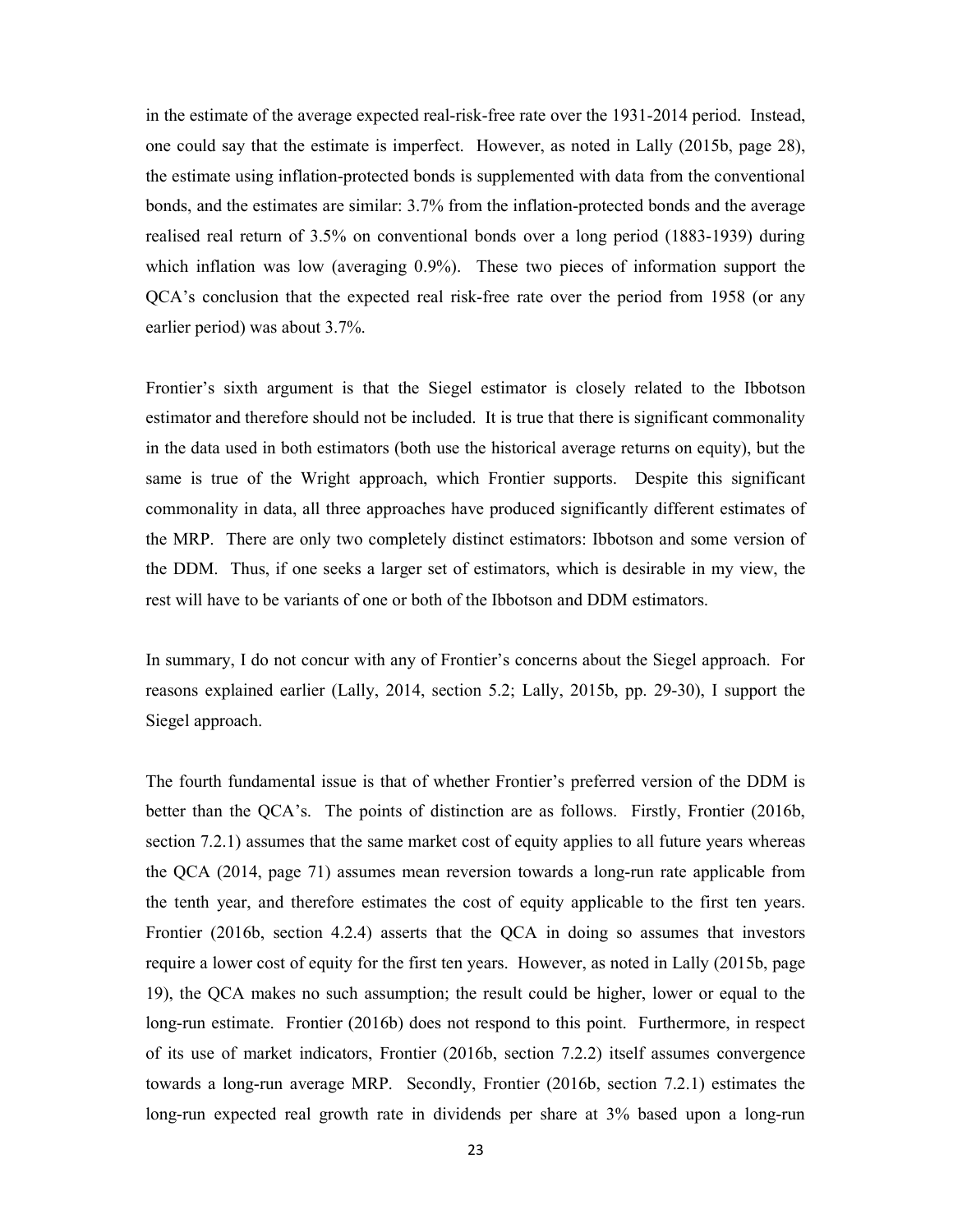in the estimate of the average expected real-risk-free rate over the 1931-2014 period. Instead, one could say that the estimate is imperfect. However, as noted in Lally (2015b, page 28), the estimate using inflation-protected bonds is supplemented with data from the conventional bonds, and the estimates are similar: 3.7% from the inflation-protected bonds and the average realised real return of 3.5% on conventional bonds over a long period (1883-1939) during which inflation was low (averaging 0.9%). These two pieces of information support the QCA's conclusion that the expected real risk-free rate over the period from 1958 (or any earlier period) was about 3.7%.

Frontier's sixth argument is that the Siegel estimator is closely related to the Ibbotson estimator and therefore should not be included. It is true that there is significant commonality in the data used in both estimators (both use the historical average returns on equity), but the same is true of the Wright approach, which Frontier supports. Despite this significant commonality in data, all three approaches have produced significantly different estimates of the MRP. There are only two completely distinct estimators: Ibbotson and some version of the DDM. Thus, if one seeks a larger set of estimators, which is desirable in my view, the rest will have to be variants of one or both of the Ibbotson and DDM estimators.

In summary, I do not concur with any of Frontier's concerns about the Siegel approach. For reasons explained earlier (Lally, 2014, section 5.2; Lally, 2015b, pp. 29-30), I support the Siegel approach.

The fourth fundamental issue is that of whether Frontier's preferred version of the DDM is better than the QCA's. The points of distinction are as follows. Firstly, Frontier (2016b, section 7.2.1) assumes that the same market cost of equity applies to all future years whereas the QCA (2014, page 71) assumes mean reversion towards a long-run rate applicable from the tenth year, and therefore estimates the cost of equity applicable to the first ten years. Frontier (2016b, section 4.2.4) asserts that the QCA in doing so assumes that investors require a lower cost of equity for the first ten years. However, as noted in Lally (2015b, page 19), the QCA makes no such assumption; the result could be higher, lower or equal to the long-run estimate. Frontier (2016b) does not respond to this point. Furthermore, in respect of its use of market indicators, Frontier (2016b, section 7.2.2) itself assumes convergence towards a long-run average MRP. Secondly, Frontier (2016b, section 7.2.1) estimates the long-run expected real growth rate in dividends per share at 3% based upon a long-run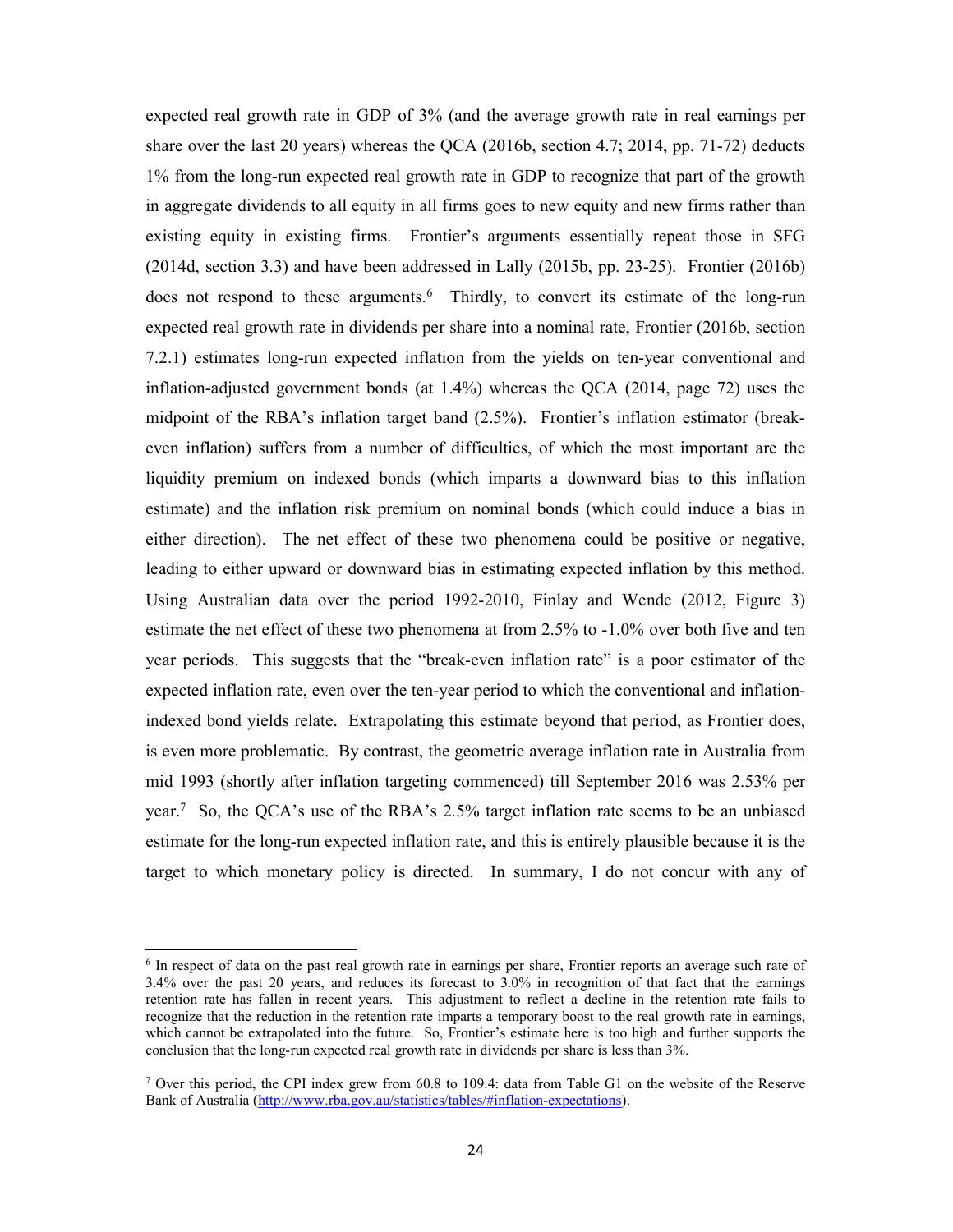expected real growth rate in GDP of 3% (and the average growth rate in real earnings per share over the last 20 years) whereas the QCA (2016b, section 4.7; 2014, pp. 71-72) deducts 1% from the long-run expected real growth rate in GDP to recognize that part of the growth in aggregate dividends to all equity in all firms goes to new equity and new firms rather than existing equity in existing firms. Frontier's arguments essentially repeat those in SFG (2014d, section 3.3) and have been addressed in Lally (2015b, pp. 23-25). Frontier (2016b) does not respond to these arguments.<sup>6</sup> Thirdly, to convert its estimate of the long-run expected real growth rate in dividends per share into a nominal rate, Frontier (2016b, section 7.2.1) estimates long-run expected inflation from the yields on ten-year conventional and inflation-adjusted government bonds (at 1.4%) whereas the QCA (2014, page 72) uses the midpoint of the RBA's inflation target band (2.5%). Frontier's inflation estimator (breakeven inflation) suffers from a number of difficulties, of which the most important are the liquidity premium on indexed bonds (which imparts a downward bias to this inflation estimate) and the inflation risk premium on nominal bonds (which could induce a bias in either direction). The net effect of these two phenomena could be positive or negative, leading to either upward or downward bias in estimating expected inflation by this method. Using Australian data over the period 1992-2010, Finlay and Wende (2012, Figure 3) estimate the net effect of these two phenomena at from 2.5% to -1.0% over both five and ten year periods. This suggests that the "break-even inflation rate" is a poor estimator of the expected inflation rate, even over the ten-year period to which the conventional and inflationindexed bond yields relate. Extrapolating this estimate beyond that period, as Frontier does, is even more problematic. By contrast, the geometric average inflation rate in Australia from mid 1993 (shortly after inflation targeting commenced) till September 2016 was 2.53% per year.<sup>7</sup> So, the QCA's use of the RBA's 2.5% target inflation rate seems to be an unbiased estimate for the long-run expected inflation rate, and this is entirely plausible because it is the target to which monetary policy is directed. In summary, I do not concur with any of

1

<sup>&</sup>lt;sup>6</sup> In respect of data on the past real growth rate in earnings per share, Frontier reports an average such rate of 3.4% over the past 20 years, and reduces its forecast to 3.0% in recognition of that fact that the earnings retention rate has fallen in recent years. This adjustment to reflect a decline in the retention rate fails to recognize that the reduction in the retention rate imparts a temporary boost to the real growth rate in earnings, which cannot be extrapolated into the future. So, Frontier's estimate here is too high and further supports the conclusion that the long-run expected real growth rate in dividends per share is less than 3%.

<sup>7</sup> Over this period, the CPI index grew from 60.8 to 109.4: data from Table G1 on the website of the Reserve Bank of Australia (http://www.rba.gov.au/statistics/tables/#inflation-expectations).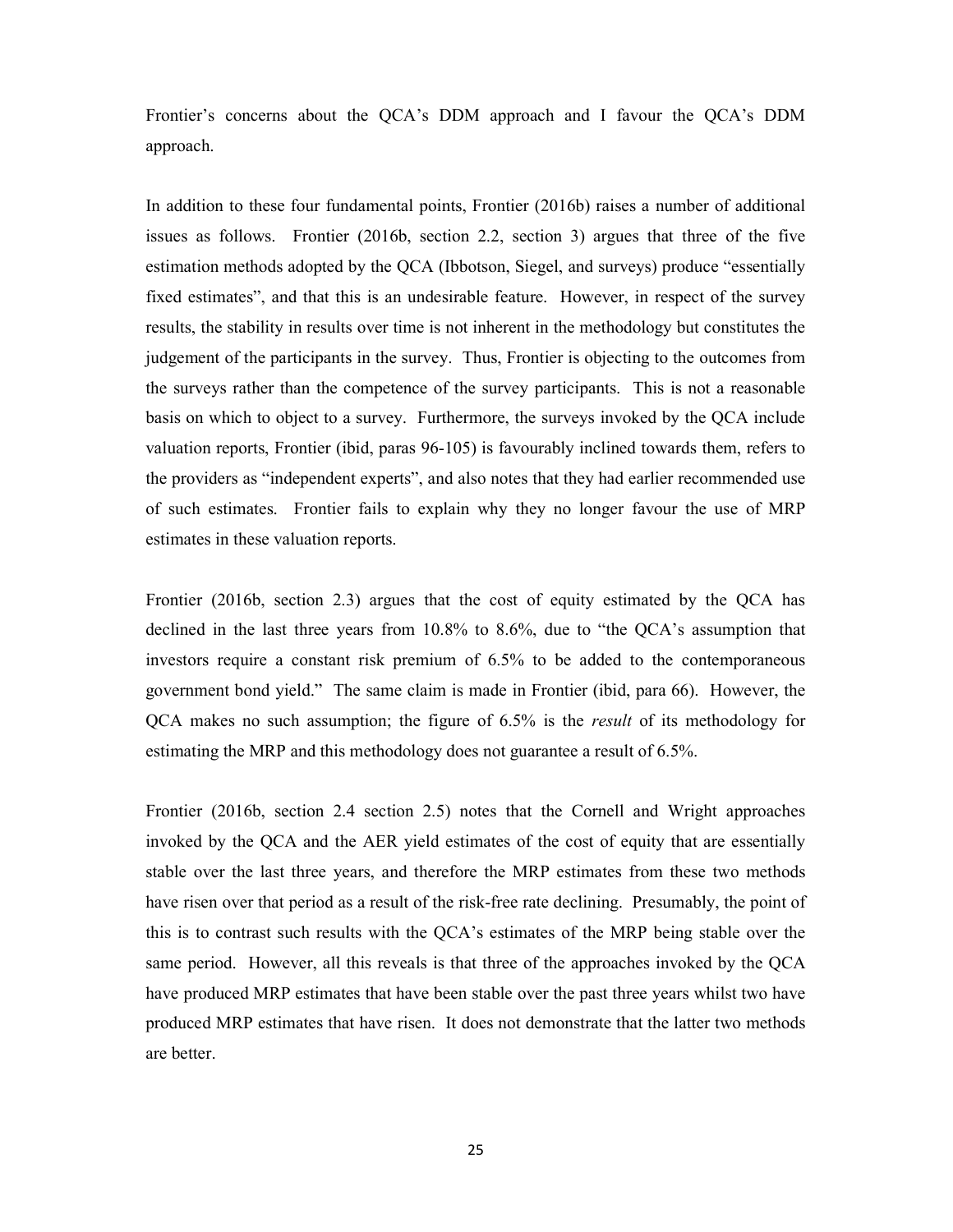Frontier's concerns about the QCA's DDM approach and I favour the QCA's DDM approach.

In addition to these four fundamental points, Frontier (2016b) raises a number of additional issues as follows. Frontier (2016b, section 2.2, section 3) argues that three of the five estimation methods adopted by the QCA (Ibbotson, Siegel, and surveys) produce "essentially fixed estimates", and that this is an undesirable feature. However, in respect of the survey results, the stability in results over time is not inherent in the methodology but constitutes the judgement of the participants in the survey. Thus, Frontier is objecting to the outcomes from the surveys rather than the competence of the survey participants. This is not a reasonable basis on which to object to a survey. Furthermore, the surveys invoked by the QCA include valuation reports, Frontier (ibid, paras 96-105) is favourably inclined towards them, refers to the providers as "independent experts", and also notes that they had earlier recommended use of such estimates. Frontier fails to explain why they no longer favour the use of MRP estimates in these valuation reports.

Frontier (2016b, section 2.3) argues that the cost of equity estimated by the QCA has declined in the last three years from 10.8% to 8.6%, due to "the QCA's assumption that investors require a constant risk premium of 6.5% to be added to the contemporaneous government bond yield." The same claim is made in Frontier (ibid, para 66). However, the QCA makes no such assumption; the figure of 6.5% is the result of its methodology for estimating the MRP and this methodology does not guarantee a result of 6.5%.

Frontier (2016b, section 2.4 section 2.5) notes that the Cornell and Wright approaches invoked by the QCA and the AER yield estimates of the cost of equity that are essentially stable over the last three years, and therefore the MRP estimates from these two methods have risen over that period as a result of the risk-free rate declining. Presumably, the point of this is to contrast such results with the QCA's estimates of the MRP being stable over the same period. However, all this reveals is that three of the approaches invoked by the QCA have produced MRP estimates that have been stable over the past three years whilst two have produced MRP estimates that have risen. It does not demonstrate that the latter two methods are better.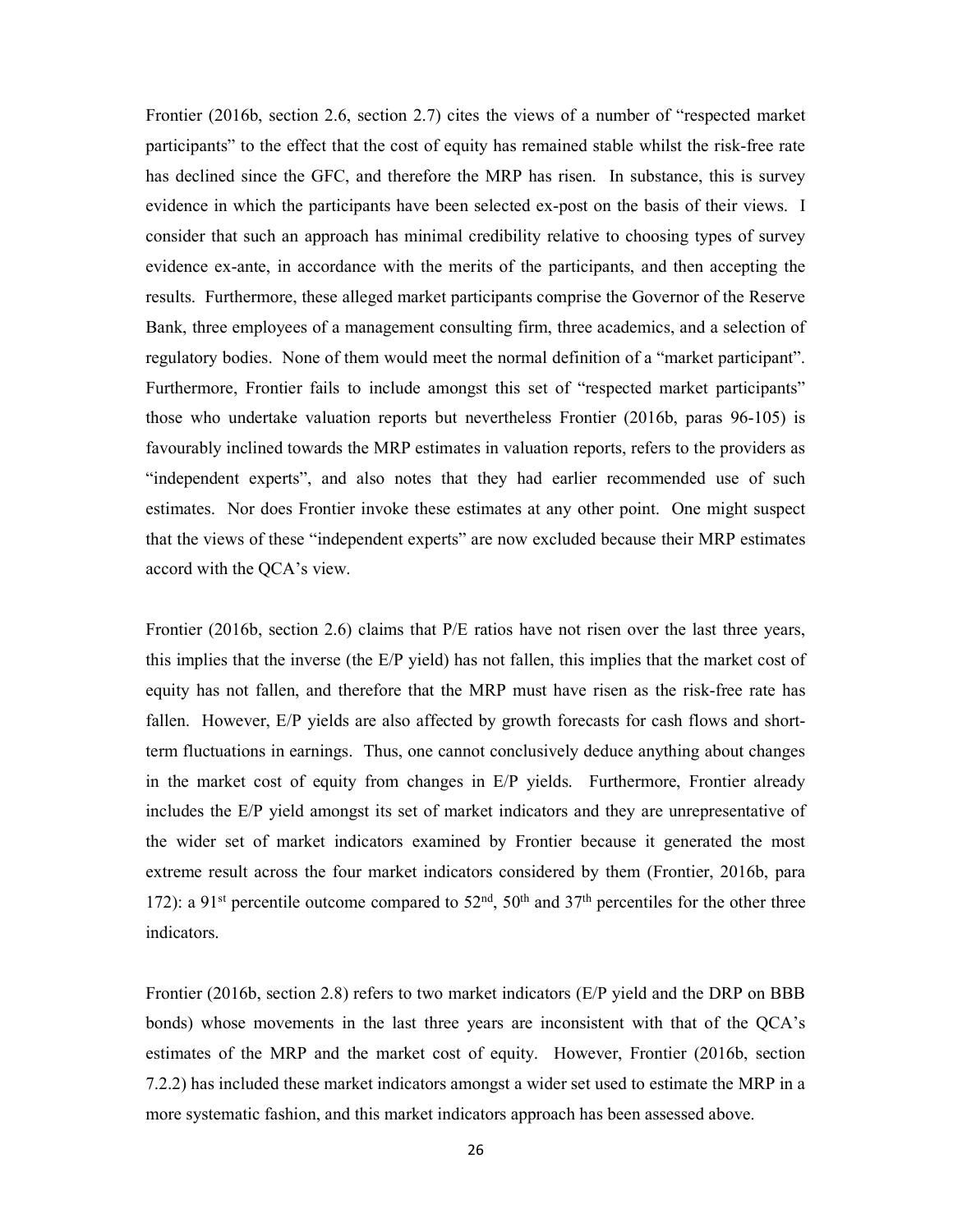Frontier (2016b, section 2.6, section 2.7) cites the views of a number of "respected market participants" to the effect that the cost of equity has remained stable whilst the risk-free rate has declined since the GFC, and therefore the MRP has risen. In substance, this is survey evidence in which the participants have been selected ex-post on the basis of their views. I consider that such an approach has minimal credibility relative to choosing types of survey evidence ex-ante, in accordance with the merits of the participants, and then accepting the results. Furthermore, these alleged market participants comprise the Governor of the Reserve Bank, three employees of a management consulting firm, three academics, and a selection of regulatory bodies. None of them would meet the normal definition of a "market participant". Furthermore, Frontier fails to include amongst this set of "respected market participants" those who undertake valuation reports but nevertheless Frontier (2016b, paras 96-105) is favourably inclined towards the MRP estimates in valuation reports, refers to the providers as "independent experts", and also notes that they had earlier recommended use of such estimates. Nor does Frontier invoke these estimates at any other point. One might suspect that the views of these "independent experts" are now excluded because their MRP estimates accord with the QCA's view.

Frontier (2016b, section 2.6) claims that P/E ratios have not risen over the last three years, this implies that the inverse (the E/P yield) has not fallen, this implies that the market cost of equity has not fallen, and therefore that the MRP must have risen as the risk-free rate has fallen. However, E/P yields are also affected by growth forecasts for cash flows and shortterm fluctuations in earnings. Thus, one cannot conclusively deduce anything about changes in the market cost of equity from changes in E/P yields. Furthermore, Frontier already includes the E/P yield amongst its set of market indicators and they are unrepresentative of the wider set of market indicators examined by Frontier because it generated the most extreme result across the four market indicators considered by them (Frontier, 2016b, para 172): a 91<sup>st</sup> percentile outcome compared to  $52<sup>nd</sup>$ ,  $50<sup>th</sup>$  and  $37<sup>th</sup>$  percentiles for the other three indicators.

Frontier (2016b, section 2.8) refers to two market indicators (E/P yield and the DRP on BBB bonds) whose movements in the last three years are inconsistent with that of the QCA's estimates of the MRP and the market cost of equity. However, Frontier (2016b, section 7.2.2) has included these market indicators amongst a wider set used to estimate the MRP in a more systematic fashion, and this market indicators approach has been assessed above.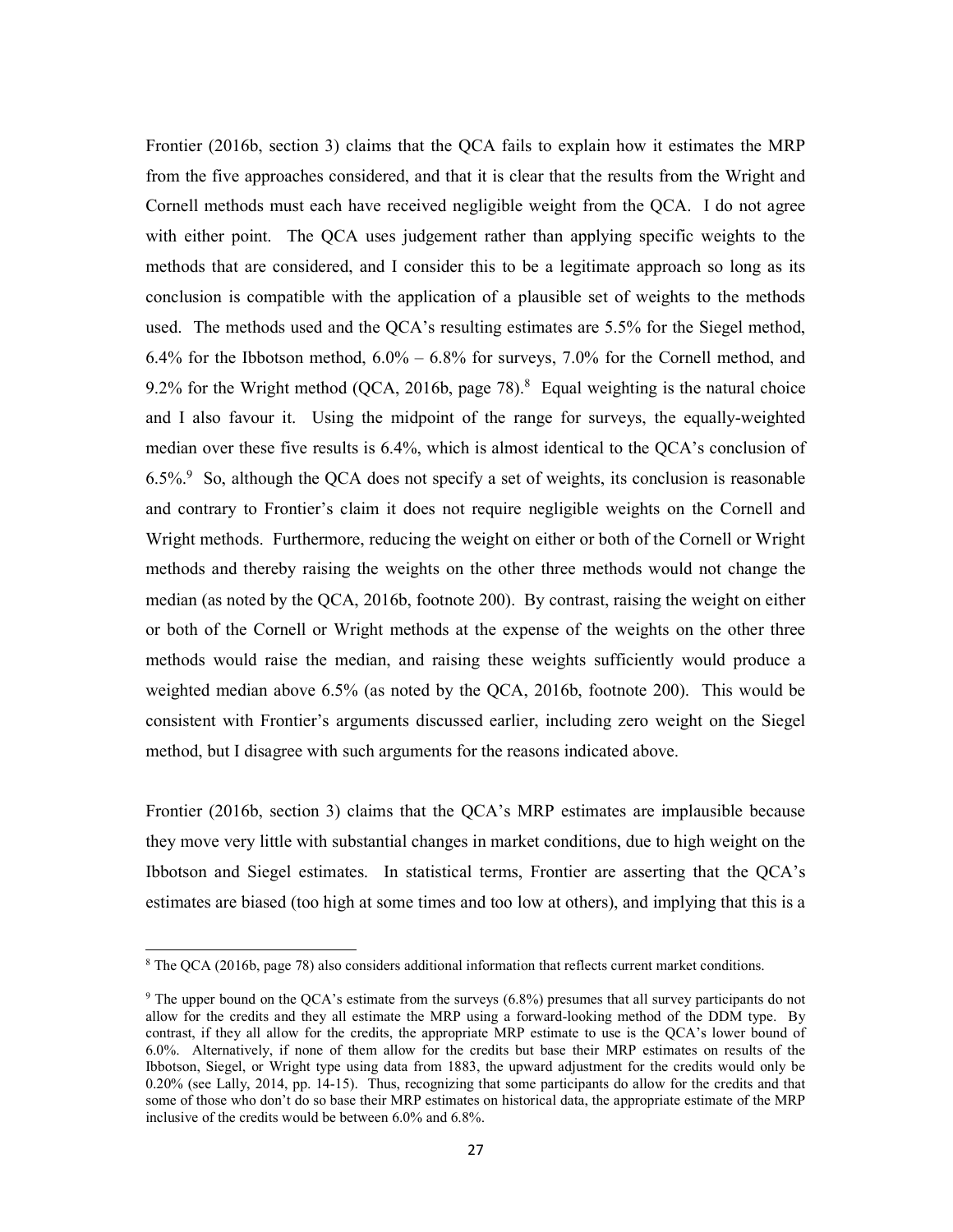Frontier (2016b, section 3) claims that the QCA fails to explain how it estimates the MRP from the five approaches considered, and that it is clear that the results from the Wright and Cornell methods must each have received negligible weight from the QCA. I do not agree with either point. The QCA uses judgement rather than applying specific weights to the methods that are considered, and I consider this to be a legitimate approach so long as its conclusion is compatible with the application of a plausible set of weights to the methods used. The methods used and the QCA's resulting estimates are 5.5% for the Siegel method, 6.4% for the Ibbotson method,  $6.0\% - 6.8\%$  for surveys,  $7.0\%$  for the Cornell method, and 9.2% for the Wright method (QCA, 2016b, page  $78$ ).<sup>8</sup> Equal weighting is the natural choice and I also favour it. Using the midpoint of the range for surveys, the equally-weighted median over these five results is 6.4%, which is almost identical to the QCA's conclusion of  $6.5\%$ <sup>9</sup> So, although the QCA does not specify a set of weights, its conclusion is reasonable and contrary to Frontier's claim it does not require negligible weights on the Cornell and Wright methods. Furthermore, reducing the weight on either or both of the Cornell or Wright methods and thereby raising the weights on the other three methods would not change the median (as noted by the QCA, 2016b, footnote 200). By contrast, raising the weight on either or both of the Cornell or Wright methods at the expense of the weights on the other three methods would raise the median, and raising these weights sufficiently would produce a weighted median above 6.5% (as noted by the QCA, 2016b, footnote 200). This would be consistent with Frontier's arguments discussed earlier, including zero weight on the Siegel method, but I disagree with such arguments for the reasons indicated above.

Frontier (2016b, section 3) claims that the QCA's MRP estimates are implausible because they move very little with substantial changes in market conditions, due to high weight on the Ibbotson and Siegel estimates. In statistical terms, Frontier are asserting that the QCA's estimates are biased (too high at some times and too low at others), and implying that this is a

1

<sup>&</sup>lt;sup>8</sup> The QCA (2016b, page 78) also considers additional information that reflects current market conditions.

<sup>&</sup>lt;sup>9</sup> The upper bound on the QCA's estimate from the surveys (6.8%) presumes that all survey participants do not allow for the credits and they all estimate the MRP using a forward-looking method of the DDM type. By contrast, if they all allow for the credits, the appropriate MRP estimate to use is the QCA's lower bound of 6.0%. Alternatively, if none of them allow for the credits but base their MRP estimates on results of the Ibbotson, Siegel, or Wright type using data from 1883, the upward adjustment for the credits would only be 0.20% (see Lally, 2014, pp. 14-15). Thus, recognizing that some participants do allow for the credits and that some of those who don't do so base their MRP estimates on historical data, the appropriate estimate of the MRP inclusive of the credits would be between 6.0% and 6.8%.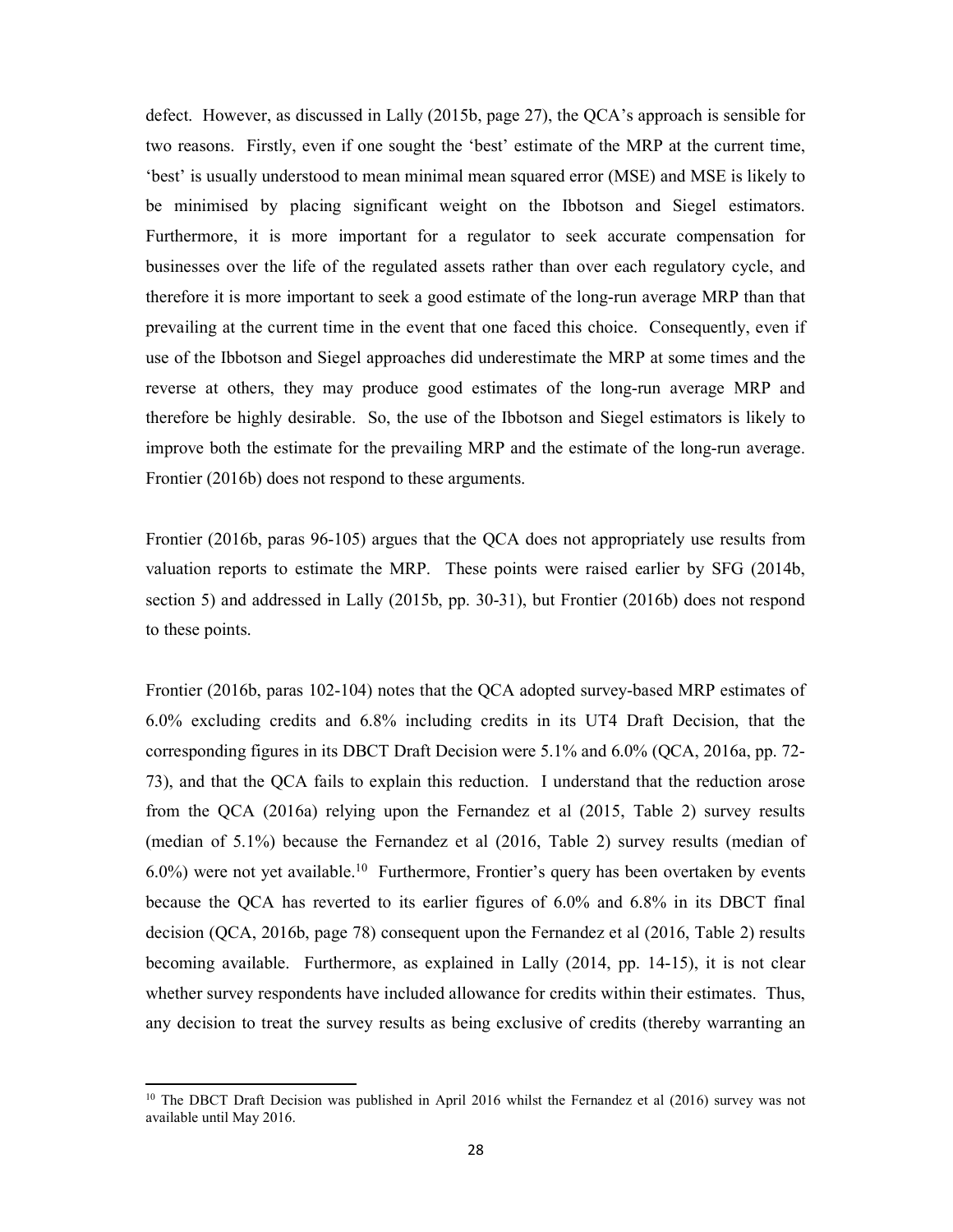defect. However, as discussed in Lally (2015b, page 27), the QCA's approach is sensible for two reasons. Firstly, even if one sought the 'best' estimate of the MRP at the current time, 'best' is usually understood to mean minimal mean squared error (MSE) and MSE is likely to be minimised by placing significant weight on the Ibbotson and Siegel estimators. Furthermore, it is more important for a regulator to seek accurate compensation for businesses over the life of the regulated assets rather than over each regulatory cycle, and therefore it is more important to seek a good estimate of the long-run average MRP than that prevailing at the current time in the event that one faced this choice. Consequently, even if use of the Ibbotson and Siegel approaches did underestimate the MRP at some times and the reverse at others, they may produce good estimates of the long-run average MRP and therefore be highly desirable. So, the use of the Ibbotson and Siegel estimators is likely to improve both the estimate for the prevailing MRP and the estimate of the long-run average. Frontier (2016b) does not respond to these arguments.

Frontier (2016b, paras 96-105) argues that the QCA does not appropriately use results from valuation reports to estimate the MRP. These points were raised earlier by SFG (2014b, section 5) and addressed in Lally (2015b, pp. 30-31), but Frontier (2016b) does not respond to these points.

Frontier (2016b, paras 102-104) notes that the QCA adopted survey-based MRP estimates of 6.0% excluding credits and 6.8% including credits in its UT4 Draft Decision, that the corresponding figures in its DBCT Draft Decision were 5.1% and 6.0% (QCA, 2016a, pp. 72- 73), and that the QCA fails to explain this reduction. I understand that the reduction arose from the QCA (2016a) relying upon the Fernandez et al (2015, Table 2) survey results (median of 5.1%) because the Fernandez et al (2016, Table 2) survey results (median of  $6.0\%$ ) were not yet available.<sup>10</sup> Furthermore, Frontier's query has been overtaken by events because the QCA has reverted to its earlier figures of 6.0% and 6.8% in its DBCT final decision (QCA, 2016b, page 78) consequent upon the Fernandez et al (2016, Table 2) results becoming available. Furthermore, as explained in Lally (2014, pp. 14-15), it is not clear whether survey respondents have included allowance for credits within their estimates. Thus, any decision to treat the survey results as being exclusive of credits (thereby warranting an

-

 $10$  The DBCT Draft Decision was published in April 2016 whilst the Fernandez et al (2016) survey was not available until May 2016.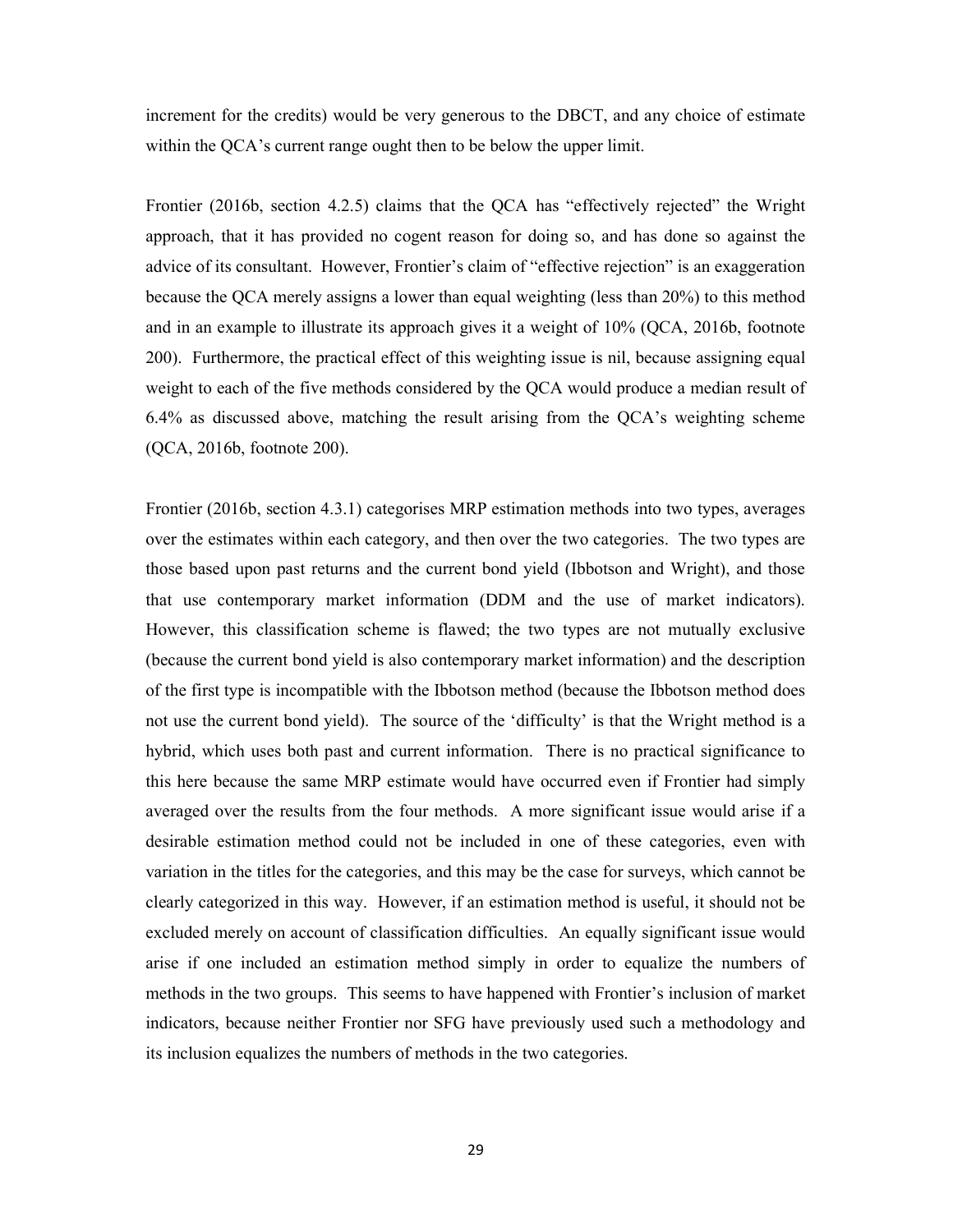increment for the credits) would be very generous to the DBCT, and any choice of estimate within the QCA's current range ought then to be below the upper limit.

Frontier (2016b, section 4.2.5) claims that the QCA has "effectively rejected" the Wright approach, that it has provided no cogent reason for doing so, and has done so against the advice of its consultant. However, Frontier's claim of "effective rejection" is an exaggeration because the QCA merely assigns a lower than equal weighting (less than 20%) to this method and in an example to illustrate its approach gives it a weight of 10% (QCA, 2016b, footnote 200). Furthermore, the practical effect of this weighting issue is nil, because assigning equal weight to each of the five methods considered by the QCA would produce a median result of 6.4% as discussed above, matching the result arising from the QCA's weighting scheme (QCA, 2016b, footnote 200).

Frontier (2016b, section 4.3.1) categorises MRP estimation methods into two types, averages over the estimates within each category, and then over the two categories. The two types are those based upon past returns and the current bond yield (Ibbotson and Wright), and those that use contemporary market information (DDM and the use of market indicators). However, this classification scheme is flawed; the two types are not mutually exclusive (because the current bond yield is also contemporary market information) and the description of the first type is incompatible with the Ibbotson method (because the Ibbotson method does not use the current bond yield). The source of the 'difficulty' is that the Wright method is a hybrid, which uses both past and current information. There is no practical significance to this here because the same MRP estimate would have occurred even if Frontier had simply averaged over the results from the four methods. A more significant issue would arise if a desirable estimation method could not be included in one of these categories, even with variation in the titles for the categories, and this may be the case for surveys, which cannot be clearly categorized in this way. However, if an estimation method is useful, it should not be excluded merely on account of classification difficulties. An equally significant issue would arise if one included an estimation method simply in order to equalize the numbers of methods in the two groups. This seems to have happened with Frontier's inclusion of market indicators, because neither Frontier nor SFG have previously used such a methodology and its inclusion equalizes the numbers of methods in the two categories.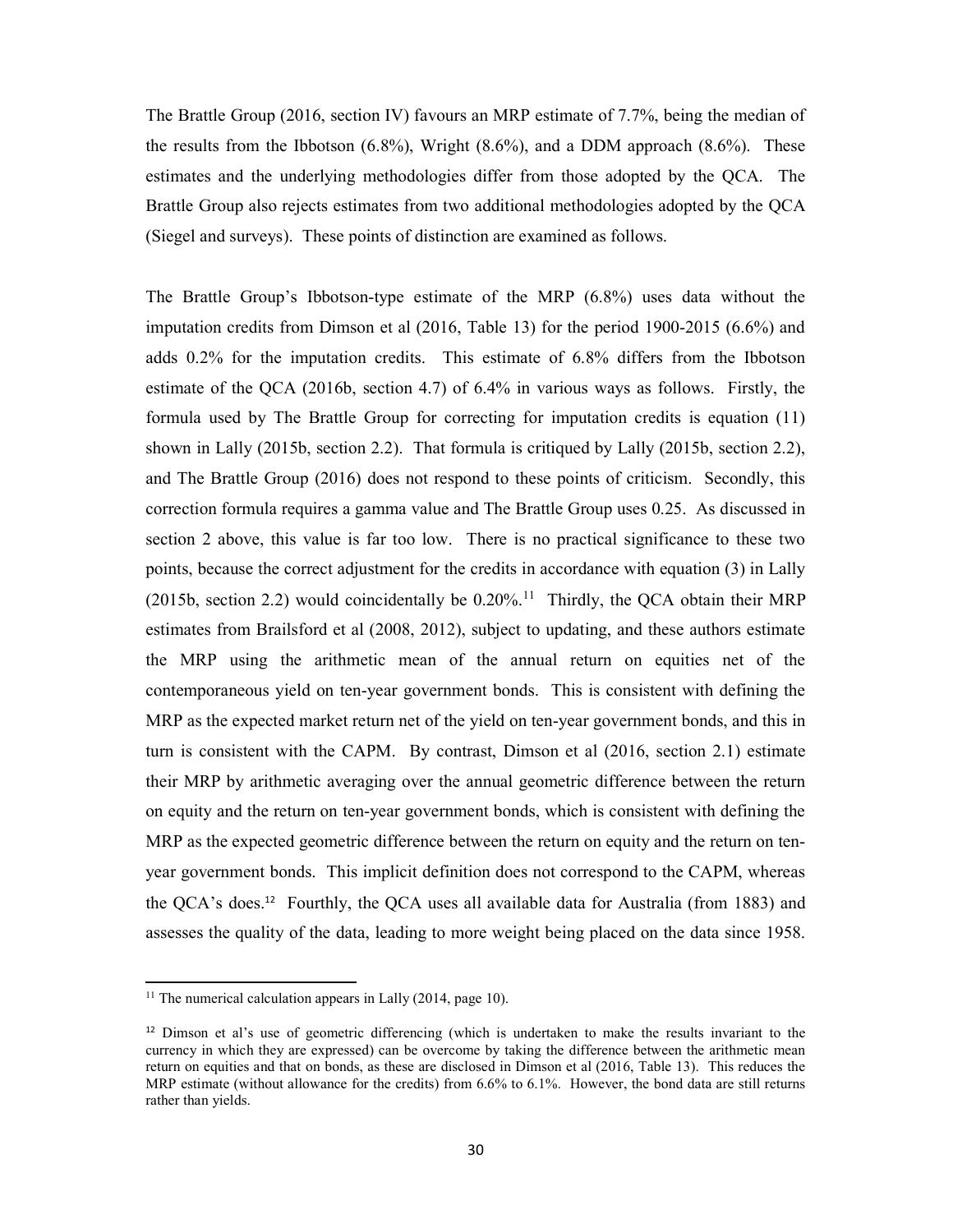The Brattle Group (2016, section IV) favours an MRP estimate of 7.7%, being the median of the results from the Ibbotson (6.8%), Wright (8.6%), and a DDM approach (8.6%). These estimates and the underlying methodologies differ from those adopted by the QCA. The Brattle Group also rejects estimates from two additional methodologies adopted by the QCA (Siegel and surveys). These points of distinction are examined as follows.

The Brattle Group's Ibbotson-type estimate of the MRP (6.8%) uses data without the imputation credits from Dimson et al (2016, Table 13) for the period 1900-2015 (6.6%) and adds 0.2% for the imputation credits. This estimate of 6.8% differs from the Ibbotson estimate of the QCA (2016b, section 4.7) of 6.4% in various ways as follows. Firstly, the formula used by The Brattle Group for correcting for imputation credits is equation (11) shown in Lally (2015b, section 2.2). That formula is critiqued by Lally (2015b, section 2.2), and The Brattle Group (2016) does not respond to these points of criticism. Secondly, this correction formula requires a gamma value and The Brattle Group uses 0.25. As discussed in section 2 above, this value is far too low. There is no practical significance to these two points, because the correct adjustment for the credits in accordance with equation (3) in Lally (2015b, section 2.2) would coincidentally be  $0.20\%$ .<sup>11</sup> Thirdly, the QCA obtain their MRP estimates from Brailsford et al (2008, 2012), subject to updating, and these authors estimate the MRP using the arithmetic mean of the annual return on equities net of the contemporaneous yield on ten-year government bonds. This is consistent with defining the MRP as the expected market return net of the yield on ten-year government bonds, and this in turn is consistent with the CAPM. By contrast, Dimson et al (2016, section 2.1) estimate their MRP by arithmetic averaging over the annual geometric difference between the return on equity and the return on ten-year government bonds, which is consistent with defining the MRP as the expected geometric difference between the return on equity and the return on tenyear government bonds. This implicit definition does not correspond to the CAPM, whereas the QCA's does.12 Fourthly, the QCA uses all available data for Australia (from 1883) and assesses the quality of the data, leading to more weight being placed on the data since 1958.

-

<sup>&</sup>lt;sup>11</sup> The numerical calculation appears in Lally  $(2014, \text{page } 10)$ .

<sup>&</sup>lt;sup>12</sup> Dimson et al's use of geometric differencing (which is undertaken to make the results invariant to the currency in which they are expressed) can be overcome by taking the difference between the arithmetic mean return on equities and that on bonds, as these are disclosed in Dimson et al (2016, Table 13). This reduces the MRP estimate (without allowance for the credits) from 6.6% to 6.1%. However, the bond data are still returns rather than yields.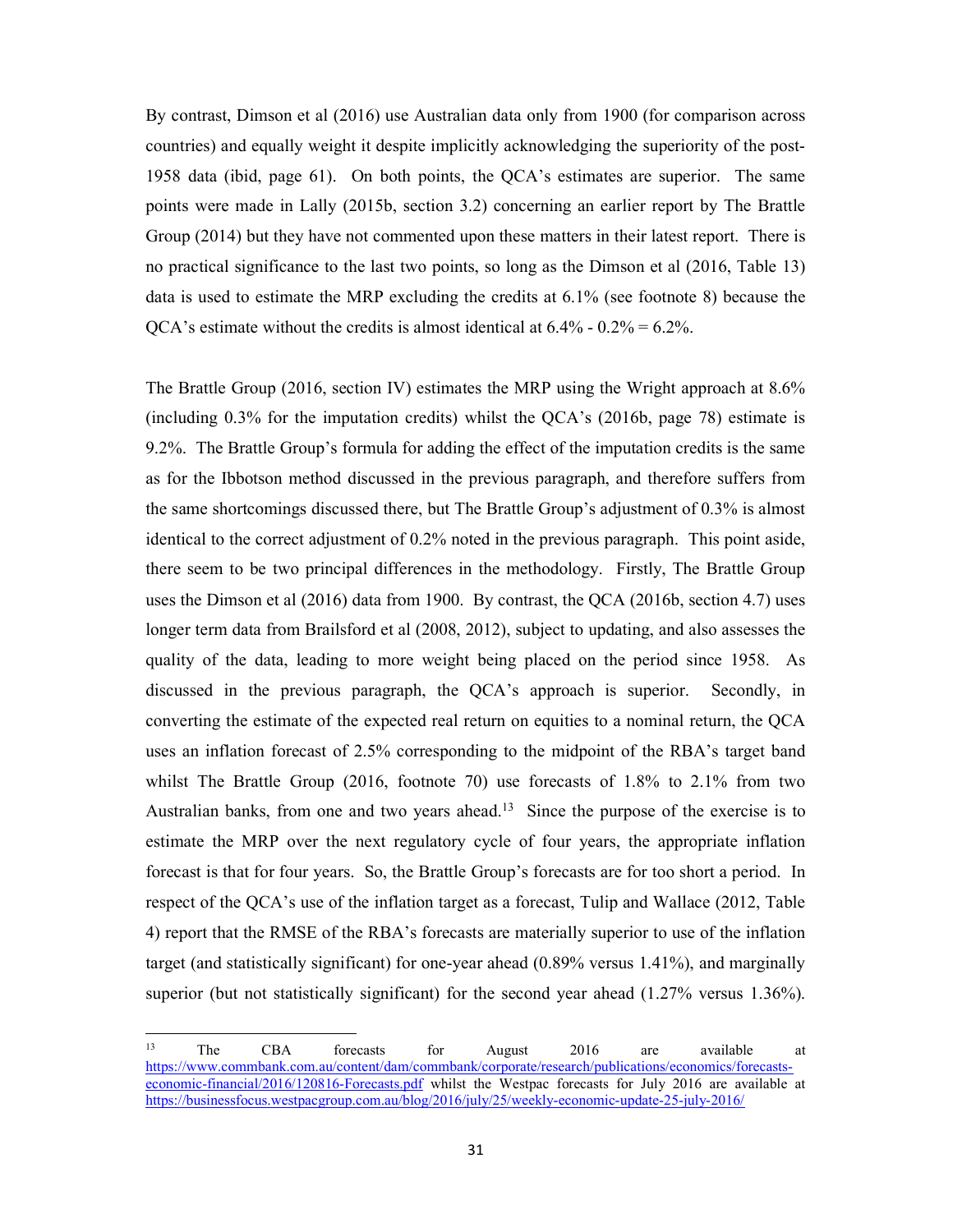By contrast, Dimson et al (2016) use Australian data only from 1900 (for comparison across countries) and equally weight it despite implicitly acknowledging the superiority of the post-1958 data (ibid, page 61). On both points, the QCA's estimates are superior. The same points were made in Lally (2015b, section 3.2) concerning an earlier report by The Brattle Group (2014) but they have not commented upon these matters in their latest report. There is no practical significance to the last two points, so long as the Dimson et al (2016, Table 13) data is used to estimate the MRP excluding the credits at 6.1% (see footnote 8) because the OCA's estimate without the credits is almost identical at  $6.4\%$  -  $0.2\%$  =  $6.2\%$ .

The Brattle Group (2016, section IV) estimates the MRP using the Wright approach at 8.6% (including 0.3% for the imputation credits) whilst the QCA's (2016b, page 78) estimate is 9.2%. The Brattle Group's formula for adding the effect of the imputation credits is the same as for the Ibbotson method discussed in the previous paragraph, and therefore suffers from the same shortcomings discussed there, but The Brattle Group's adjustment of 0.3% is almost identical to the correct adjustment of 0.2% noted in the previous paragraph. This point aside, there seem to be two principal differences in the methodology. Firstly, The Brattle Group uses the Dimson et al (2016) data from 1900. By contrast, the QCA (2016b, section 4.7) uses longer term data from Brailsford et al (2008, 2012), subject to updating, and also assesses the quality of the data, leading to more weight being placed on the period since 1958. As discussed in the previous paragraph, the QCA's approach is superior. Secondly, in converting the estimate of the expected real return on equities to a nominal return, the QCA uses an inflation forecast of 2.5% corresponding to the midpoint of the RBA's target band whilst The Brattle Group (2016, footnote 70) use forecasts of 1.8% to 2.1% from two Australian banks, from one and two years ahead.<sup>13</sup> Since the purpose of the exercise is to estimate the MRP over the next regulatory cycle of four years, the appropriate inflation forecast is that for four years. So, the Brattle Group's forecasts are for too short a period. In respect of the QCA's use of the inflation target as a forecast, Tulip and Wallace (2012, Table 4) report that the RMSE of the RBA's forecasts are materially superior to use of the inflation target (and statistically significant) for one-year ahead (0.89% versus 1.41%), and marginally superior (but not statistically significant) for the second year ahead (1.27% versus 1.36%).

1

<sup>&</sup>lt;sup>13</sup> The CBA forecasts for August 2016 are available at https://www.commbank.com.au/content/dam/commbank/corporate/research/publications/economics/forecastseconomic-financial/2016/120816-Forecasts.pdf whilst the Westpac forecasts for July 2016 are available at https://businessfocus.westpacgroup.com.au/blog/2016/july/25/weekly-economic-update-25-july-2016/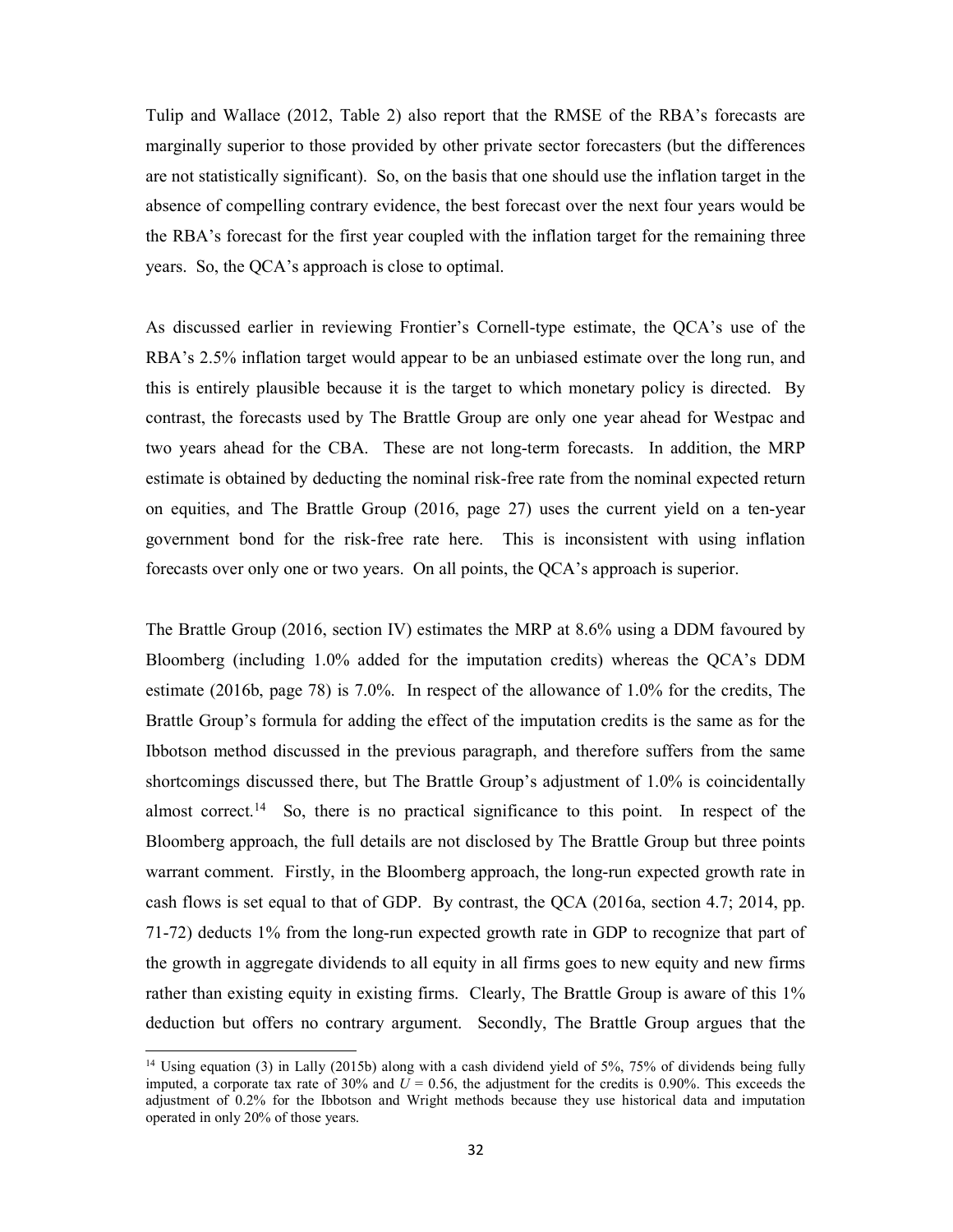Tulip and Wallace (2012, Table 2) also report that the RMSE of the RBA's forecasts are marginally superior to those provided by other private sector forecasters (but the differences are not statistically significant). So, on the basis that one should use the inflation target in the absence of compelling contrary evidence, the best forecast over the next four years would be the RBA's forecast for the first year coupled with the inflation target for the remaining three years. So, the QCA's approach is close to optimal.

As discussed earlier in reviewing Frontier's Cornell-type estimate, the QCA's use of the RBA's 2.5% inflation target would appear to be an unbiased estimate over the long run, and this is entirely plausible because it is the target to which monetary policy is directed. By contrast, the forecasts used by The Brattle Group are only one year ahead for Westpac and two years ahead for the CBA. These are not long-term forecasts. In addition, the MRP estimate is obtained by deducting the nominal risk-free rate from the nominal expected return on equities, and The Brattle Group (2016, page 27) uses the current yield on a ten-year government bond for the risk-free rate here. This is inconsistent with using inflation forecasts over only one or two years. On all points, the QCA's approach is superior.

The Brattle Group (2016, section IV) estimates the MRP at 8.6% using a DDM favoured by Bloomberg (including 1.0% added for the imputation credits) whereas the QCA's DDM estimate (2016b, page 78) is 7.0%. In respect of the allowance of 1.0% for the credits, The Brattle Group's formula for adding the effect of the imputation credits is the same as for the Ibbotson method discussed in the previous paragraph, and therefore suffers from the same shortcomings discussed there, but The Brattle Group's adjustment of 1.0% is coincidentally almost correct.<sup>14</sup> So, there is no practical significance to this point. In respect of the Bloomberg approach, the full details are not disclosed by The Brattle Group but three points warrant comment. Firstly, in the Bloomberg approach, the long-run expected growth rate in cash flows is set equal to that of GDP. By contrast, the QCA (2016a, section 4.7; 2014, pp. 71-72) deducts 1% from the long-run expected growth rate in GDP to recognize that part of the growth in aggregate dividends to all equity in all firms goes to new equity and new firms rather than existing equity in existing firms. Clearly, The Brattle Group is aware of this 1% deduction but offers no contrary argument. Secondly, The Brattle Group argues that the

1

<sup>&</sup>lt;sup>14</sup> Using equation (3) in Lally (2015b) along with a cash dividend yield of 5%, 75% of dividends being fully imputed, a corporate tax rate of 30% and  $U = 0.56$ , the adjustment for the credits is 0.90%. This exceeds the adjustment of 0.2% for the Ibbotson and Wright methods because they use historical data and imputation operated in only 20% of those years.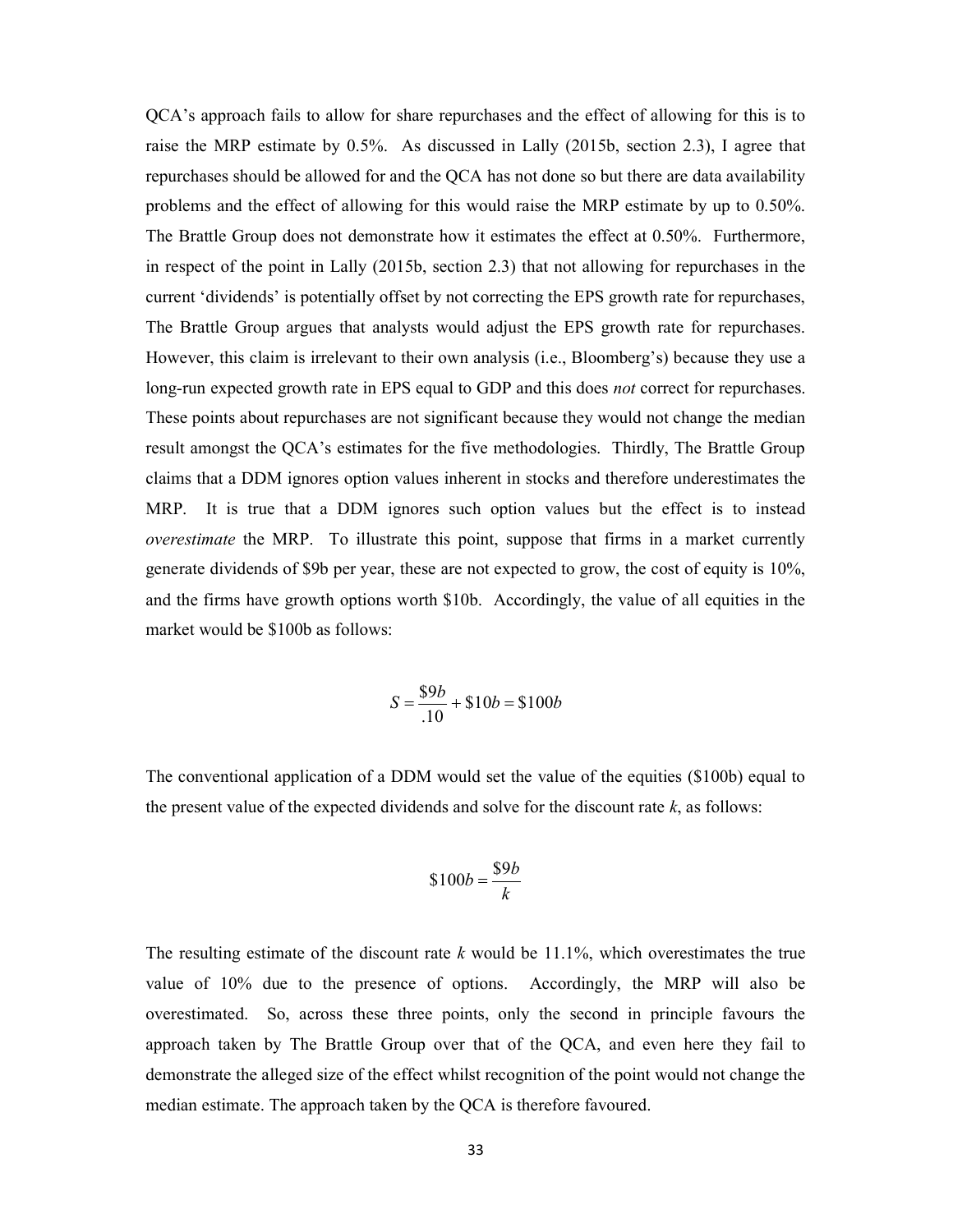QCA's approach fails to allow for share repurchases and the effect of allowing for this is to raise the MRP estimate by 0.5%. As discussed in Lally (2015b, section 2.3), I agree that repurchases should be allowed for and the QCA has not done so but there are data availability problems and the effect of allowing for this would raise the MRP estimate by up to 0.50%. The Brattle Group does not demonstrate how it estimates the effect at 0.50%. Furthermore, in respect of the point in Lally (2015b, section 2.3) that not allowing for repurchases in the current 'dividends' is potentially offset by not correcting the EPS growth rate for repurchases, The Brattle Group argues that analysts would adjust the EPS growth rate for repurchases. However, this claim is irrelevant to their own analysis (i.e., Bloomberg's) because they use a long-run expected growth rate in EPS equal to GDP and this does *not* correct for repurchases. These points about repurchases are not significant because they would not change the median result amongst the QCA's estimates for the five methodologies. Thirdly, The Brattle Group claims that a DDM ignores option values inherent in stocks and therefore underestimates the MRP. It is true that a DDM ignores such option values but the effect is to instead overestimate the MRP. To illustrate this point, suppose that firms in a market currently generate dividends of \$9b per year, these are not expected to grow, the cost of equity is 10%, and the firms have growth options worth \$10b. Accordingly, the value of all equities in the market would be \$100b as follows:

$$
S = \frac{\$9b}{.10} + \$10b = \$100b
$$

The conventional application of a DDM would set the value of the equities (\$100b) equal to the present value of the expected dividends and solve for the discount rate  $k$ , as follows:

$$
\$100b = \frac{\$9b}{k}
$$

The resulting estimate of the discount rate  $k$  would be 11.1%, which overestimates the true value of 10% due to the presence of options. Accordingly, the MRP will also be overestimated. So, across these three points, only the second in principle favours the approach taken by The Brattle Group over that of the QCA, and even here they fail to demonstrate the alleged size of the effect whilst recognition of the point would not change the median estimate. The approach taken by the QCA is therefore favoured.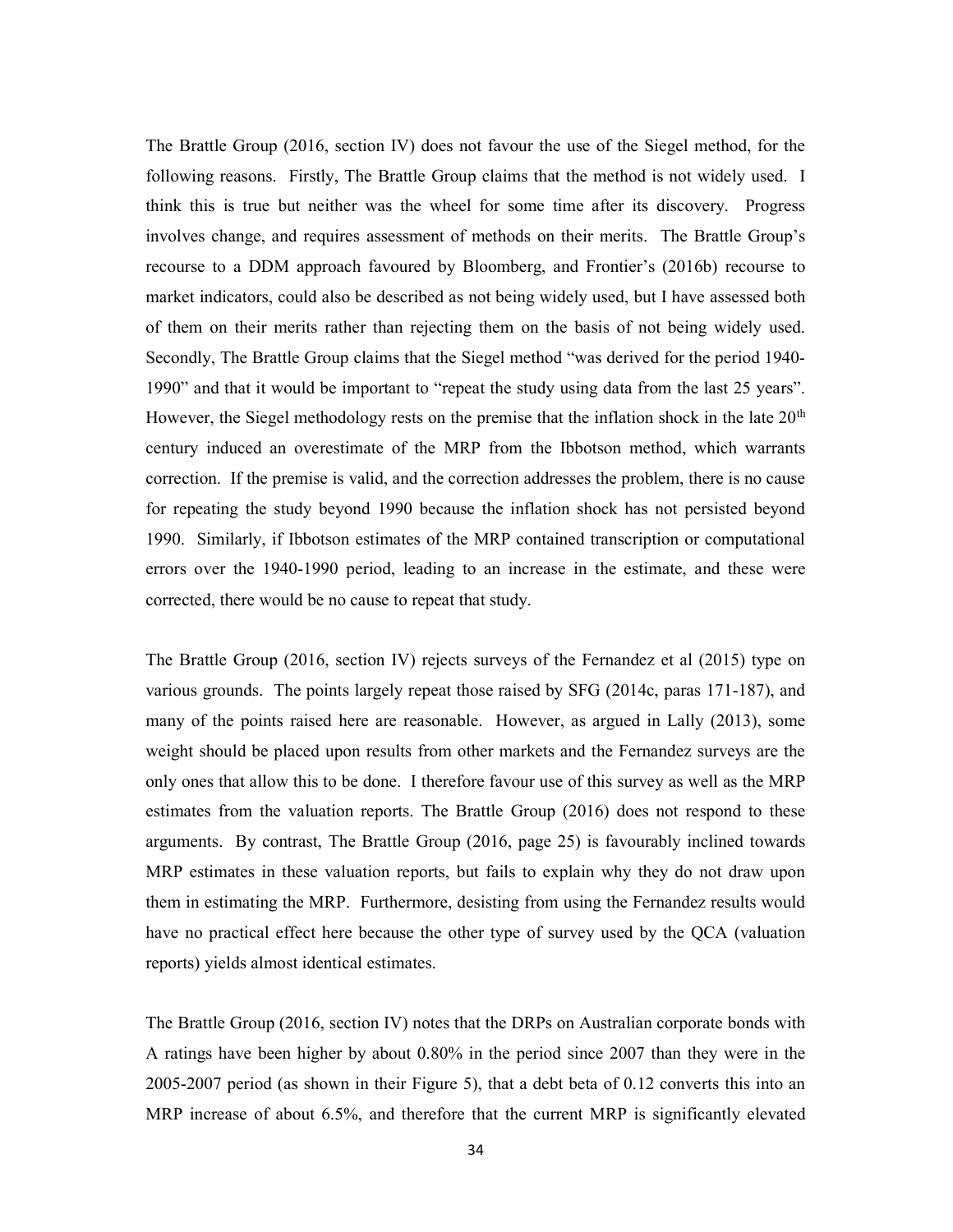The Brattle Group (2016, section IV) does not favour the use of the Siegel method, for the following reasons. Firstly, The Brattle Group claims that the method is not widely used. I think this is true but neither was the wheel for some time after its discovery. Progress involves change, and requires assessment of methods on their merits. The Brattle Group's recourse to a DDM approach favoured by Bloomberg, and Frontier's (2016b) recourse to market indicators, could also be described as not being widely used, but I have assessed both of them on their merits rather than rejecting them on the basis of not being widely used. Secondly, The Brattle Group claims that the Siegel method "was derived for the period 1940- 1990" and that it would be important to "repeat the study using data from the last 25 years". However, the Siegel methodology rests on the premise that the inflation shock in the late  $20<sup>th</sup>$ century induced an overestimate of the MRP from the Ibbotson method, which warrants correction. If the premise is valid, and the correction addresses the problem, there is no cause for repeating the study beyond 1990 because the inflation shock has not persisted beyond 1990. Similarly, if Ibbotson estimates of the MRP contained transcription or computational errors over the 1940-1990 period, leading to an increase in the estimate, and these were corrected, there would be no cause to repeat that study.

The Brattle Group (2016, section IV) rejects surveys of the Fernandez et al (2015) type on various grounds. The points largely repeat those raised by SFG (2014c, paras 171-187), and many of the points raised here are reasonable. However, as argued in Lally (2013), some weight should be placed upon results from other markets and the Fernandez surveys are the only ones that allow this to be done. I therefore favour use of this survey as well as the MRP estimates from the valuation reports. The Brattle Group (2016) does not respond to these arguments. By contrast, The Brattle Group (2016, page 25) is favourably inclined towards MRP estimates in these valuation reports, but fails to explain why they do not draw upon them in estimating the MRP. Furthermore, desisting from using the Fernandez results would have no practical effect here because the other type of survey used by the QCA (valuation reports) yields almost identical estimates.

The Brattle Group (2016, section IV) notes that the DRPs on Australian corporate bonds with A ratings have been higher by about 0.80% in the period since 2007 than they were in the 2005-2007 period (as shown in their Figure 5), that a debt beta of 0.12 converts this into an MRP increase of about 6.5%, and therefore that the current MRP is significantly elevated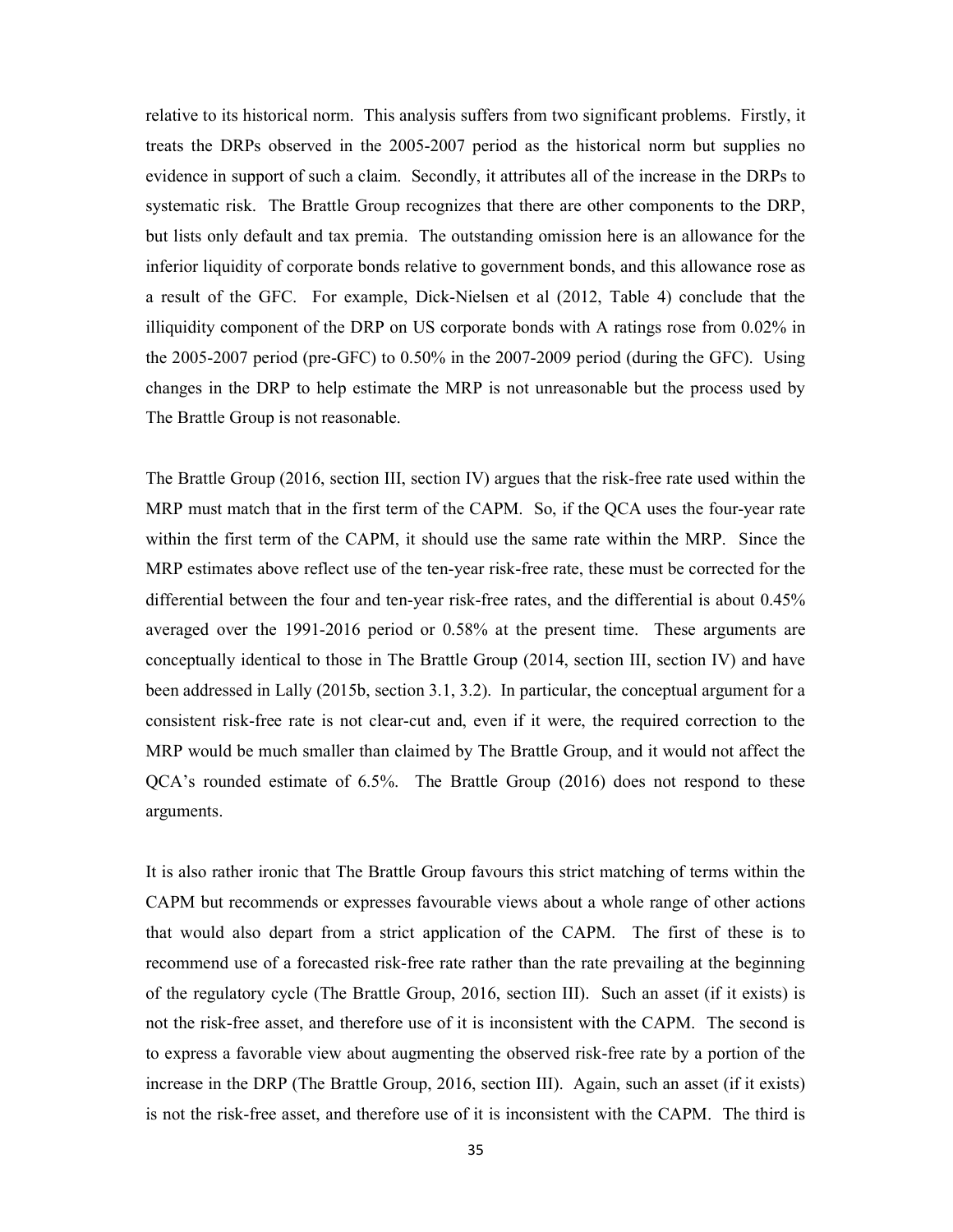relative to its historical norm. This analysis suffers from two significant problems. Firstly, it treats the DRPs observed in the 2005-2007 period as the historical norm but supplies no evidence in support of such a claim. Secondly, it attributes all of the increase in the DRPs to systematic risk. The Brattle Group recognizes that there are other components to the DRP, but lists only default and tax premia. The outstanding omission here is an allowance for the inferior liquidity of corporate bonds relative to government bonds, and this allowance rose as a result of the GFC. For example, Dick-Nielsen et al (2012, Table 4) conclude that the illiquidity component of the DRP on US corporate bonds with A ratings rose from 0.02% in the 2005-2007 period (pre-GFC) to 0.50% in the 2007-2009 period (during the GFC). Using changes in the DRP to help estimate the MRP is not unreasonable but the process used by The Brattle Group is not reasonable.

The Brattle Group (2016, section III, section IV) argues that the risk-free rate used within the MRP must match that in the first term of the CAPM. So, if the QCA uses the four-year rate within the first term of the CAPM, it should use the same rate within the MRP. Since the MRP estimates above reflect use of the ten-year risk-free rate, these must be corrected for the differential between the four and ten-year risk-free rates, and the differential is about 0.45% averaged over the 1991-2016 period or 0.58% at the present time. These arguments are conceptually identical to those in The Brattle Group (2014, section III, section IV) and have been addressed in Lally (2015b, section 3.1, 3.2). In particular, the conceptual argument for a consistent risk-free rate is not clear-cut and, even if it were, the required correction to the MRP would be much smaller than claimed by The Brattle Group, and it would not affect the QCA's rounded estimate of 6.5%. The Brattle Group (2016) does not respond to these arguments.

It is also rather ironic that The Brattle Group favours this strict matching of terms within the CAPM but recommends or expresses favourable views about a whole range of other actions that would also depart from a strict application of the CAPM. The first of these is to recommend use of a forecasted risk-free rate rather than the rate prevailing at the beginning of the regulatory cycle (The Brattle Group, 2016, section III). Such an asset (if it exists) is not the risk-free asset, and therefore use of it is inconsistent with the CAPM. The second is to express a favorable view about augmenting the observed risk-free rate by a portion of the increase in the DRP (The Brattle Group, 2016, section III). Again, such an asset (if it exists) is not the risk-free asset, and therefore use of it is inconsistent with the CAPM. The third is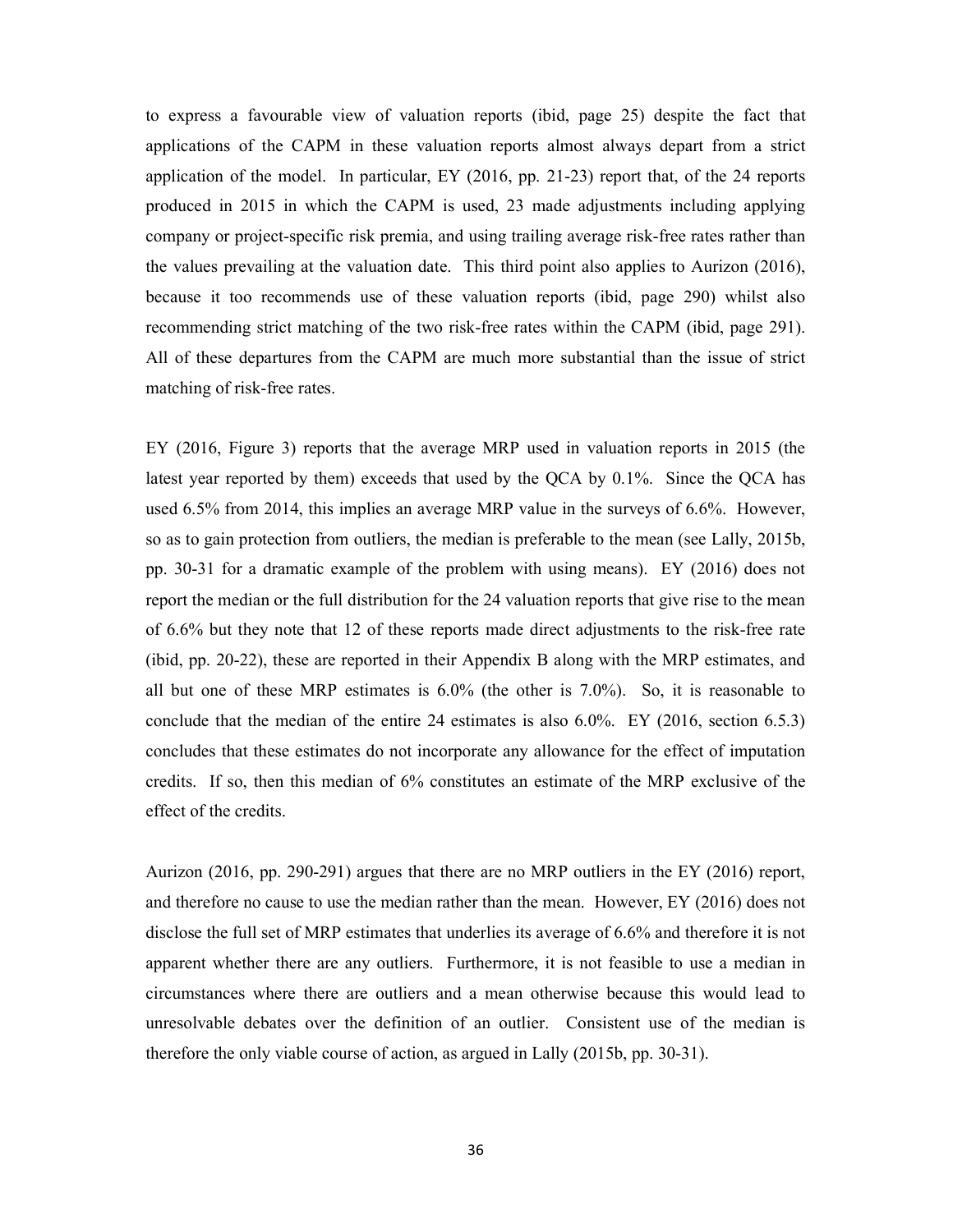to express a favourable view of valuation reports (ibid, page 25) despite the fact that applications of the CAPM in these valuation reports almost always depart from a strict application of the model. In particular,  $EY(2016, pp. 21-23)$  report that, of the 24 reports produced in 2015 in which the CAPM is used, 23 made adjustments including applying company or project-specific risk premia, and using trailing average risk-free rates rather than the values prevailing at the valuation date. This third point also applies to Aurizon (2016), because it too recommends use of these valuation reports (ibid, page 290) whilst also recommending strict matching of the two risk-free rates within the CAPM (ibid, page 291). All of these departures from the CAPM are much more substantial than the issue of strict matching of risk-free rates.

EY (2016, Figure 3) reports that the average MRP used in valuation reports in 2015 (the latest year reported by them) exceeds that used by the QCA by 0.1%. Since the QCA has used 6.5% from 2014, this implies an average MRP value in the surveys of 6.6%. However, so as to gain protection from outliers, the median is preferable to the mean (see Lally, 2015b, pp. 30-31 for a dramatic example of the problem with using means). EY (2016) does not report the median or the full distribution for the 24 valuation reports that give rise to the mean of 6.6% but they note that 12 of these reports made direct adjustments to the risk-free rate (ibid, pp. 20-22), these are reported in their Appendix B along with the MRP estimates, and all but one of these MRP estimates is 6.0% (the other is 7.0%). So, it is reasonable to conclude that the median of the entire 24 estimates is also 6.0%. EY (2016, section 6.5.3) concludes that these estimates do not incorporate any allowance for the effect of imputation credits. If so, then this median of 6% constitutes an estimate of the MRP exclusive of the effect of the credits.

Aurizon (2016, pp. 290-291) argues that there are no MRP outliers in the EY (2016) report, and therefore no cause to use the median rather than the mean. However, EY (2016) does not disclose the full set of MRP estimates that underlies its average of 6.6% and therefore it is not apparent whether there are any outliers. Furthermore, it is not feasible to use a median in circumstances where there are outliers and a mean otherwise because this would lead to unresolvable debates over the definition of an outlier. Consistent use of the median is therefore the only viable course of action, as argued in Lally (2015b, pp. 30-31).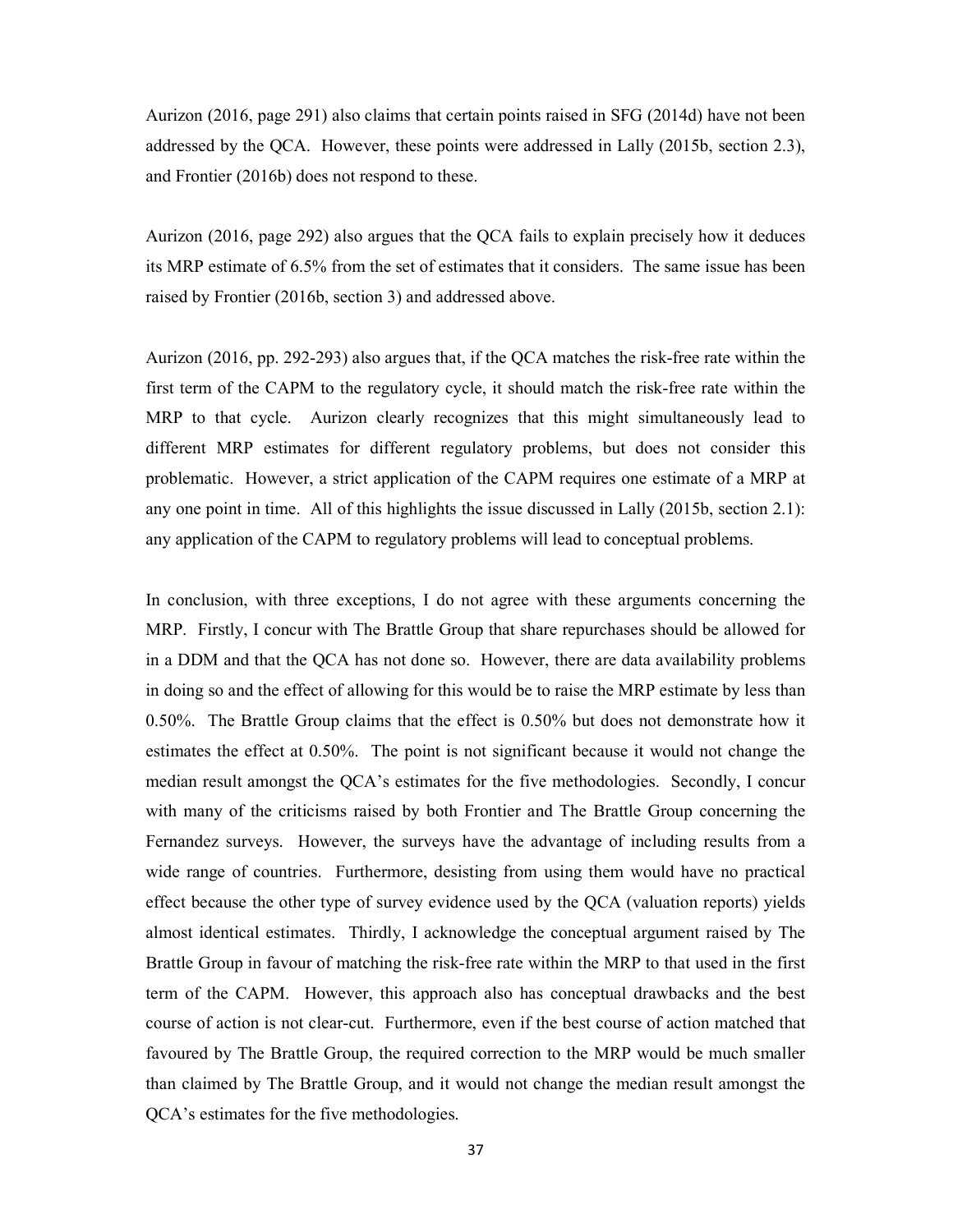Aurizon (2016, page 291) also claims that certain points raised in SFG (2014d) have not been addressed by the QCA. However, these points were addressed in Lally (2015b, section 2.3), and Frontier (2016b) does not respond to these.

Aurizon (2016, page 292) also argues that the QCA fails to explain precisely how it deduces its MRP estimate of 6.5% from the set of estimates that it considers. The same issue has been raised by Frontier (2016b, section 3) and addressed above.

Aurizon (2016, pp. 292-293) also argues that, if the QCA matches the risk-free rate within the first term of the CAPM to the regulatory cycle, it should match the risk-free rate within the MRP to that cycle. Aurizon clearly recognizes that this might simultaneously lead to different MRP estimates for different regulatory problems, but does not consider this problematic. However, a strict application of the CAPM requires one estimate of a MRP at any one point in time. All of this highlights the issue discussed in Lally (2015b, section 2.1): any application of the CAPM to regulatory problems will lead to conceptual problems.

In conclusion, with three exceptions, I do not agree with these arguments concerning the MRP. Firstly, I concur with The Brattle Group that share repurchases should be allowed for in a DDM and that the QCA has not done so. However, there are data availability problems in doing so and the effect of allowing for this would be to raise the MRP estimate by less than 0.50%. The Brattle Group claims that the effect is 0.50% but does not demonstrate how it estimates the effect at 0.50%. The point is not significant because it would not change the median result amongst the QCA's estimates for the five methodologies. Secondly, I concur with many of the criticisms raised by both Frontier and The Brattle Group concerning the Fernandez surveys. However, the surveys have the advantage of including results from a wide range of countries. Furthermore, desisting from using them would have no practical effect because the other type of survey evidence used by the QCA (valuation reports) yields almost identical estimates. Thirdly, I acknowledge the conceptual argument raised by The Brattle Group in favour of matching the risk-free rate within the MRP to that used in the first term of the CAPM. However, this approach also has conceptual drawbacks and the best course of action is not clear-cut. Furthermore, even if the best course of action matched that favoured by The Brattle Group, the required correction to the MRP would be much smaller than claimed by The Brattle Group, and it would not change the median result amongst the QCA's estimates for the five methodologies.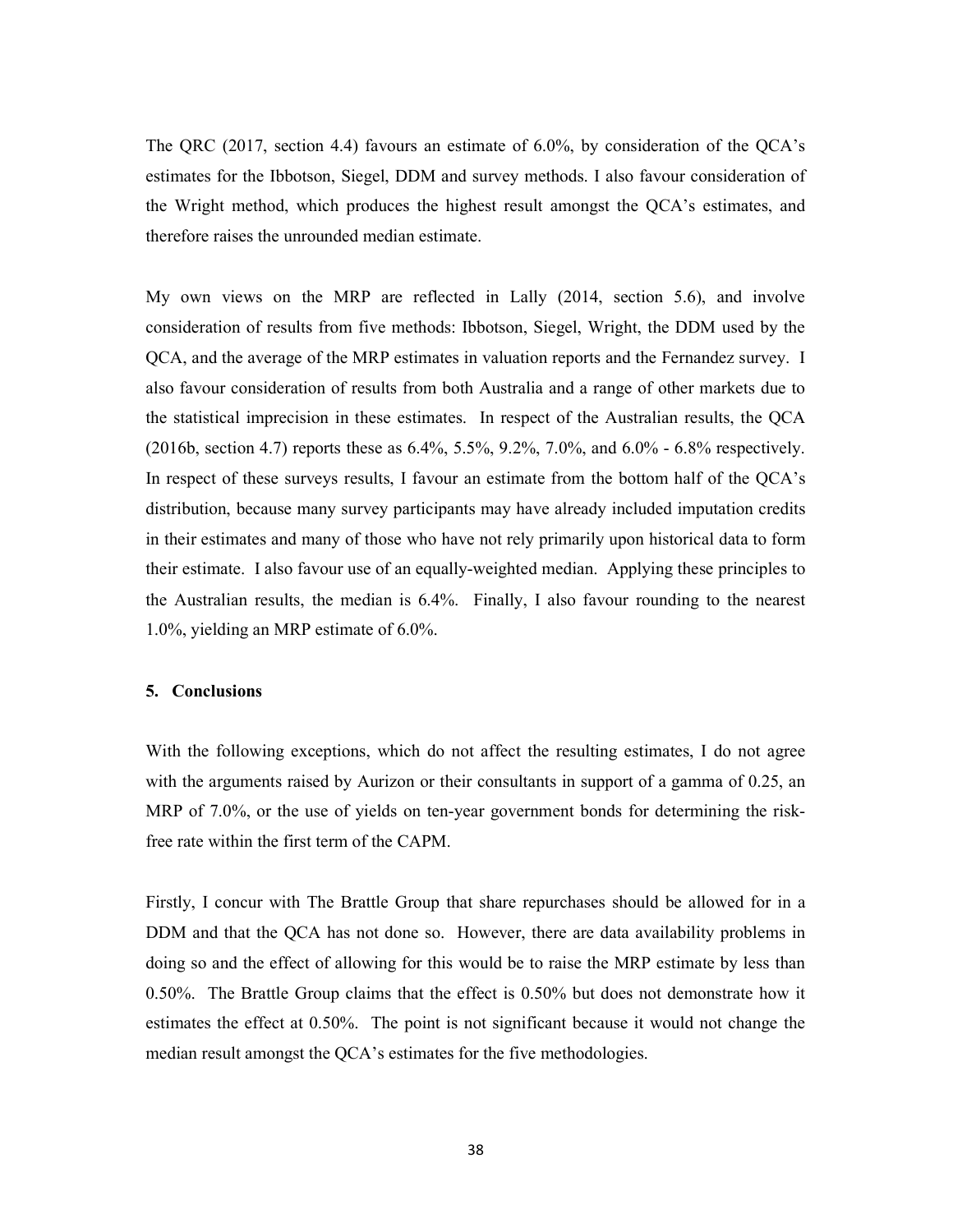The QRC (2017, section 4.4) favours an estimate of 6.0%, by consideration of the QCA's estimates for the Ibbotson, Siegel, DDM and survey methods. I also favour consideration of the Wright method, which produces the highest result amongst the QCA's estimates, and therefore raises the unrounded median estimate.

My own views on the MRP are reflected in Lally (2014, section 5.6), and involve consideration of results from five methods: Ibbotson, Siegel, Wright, the DDM used by the QCA, and the average of the MRP estimates in valuation reports and the Fernandez survey. I also favour consideration of results from both Australia and a range of other markets due to the statistical imprecision in these estimates. In respect of the Australian results, the QCA (2016b, section 4.7) reports these as 6.4%, 5.5%, 9.2%, 7.0%, and 6.0% - 6.8% respectively. In respect of these surveys results, I favour an estimate from the bottom half of the QCA's distribution, because many survey participants may have already included imputation credits in their estimates and many of those who have not rely primarily upon historical data to form their estimate. I also favour use of an equally-weighted median. Applying these principles to the Australian results, the median is 6.4%. Finally, I also favour rounding to the nearest 1.0%, yielding an MRP estimate of 6.0%.

#### 5. Conclusions

With the following exceptions, which do not affect the resulting estimates, I do not agree with the arguments raised by Aurizon or their consultants in support of a gamma of 0.25, an MRP of 7.0%, or the use of yields on ten-year government bonds for determining the riskfree rate within the first term of the CAPM.

Firstly, I concur with The Brattle Group that share repurchases should be allowed for in a DDM and that the QCA has not done so. However, there are data availability problems in doing so and the effect of allowing for this would be to raise the MRP estimate by less than 0.50%. The Brattle Group claims that the effect is 0.50% but does not demonstrate how it estimates the effect at 0.50%. The point is not significant because it would not change the median result amongst the QCA's estimates for the five methodologies.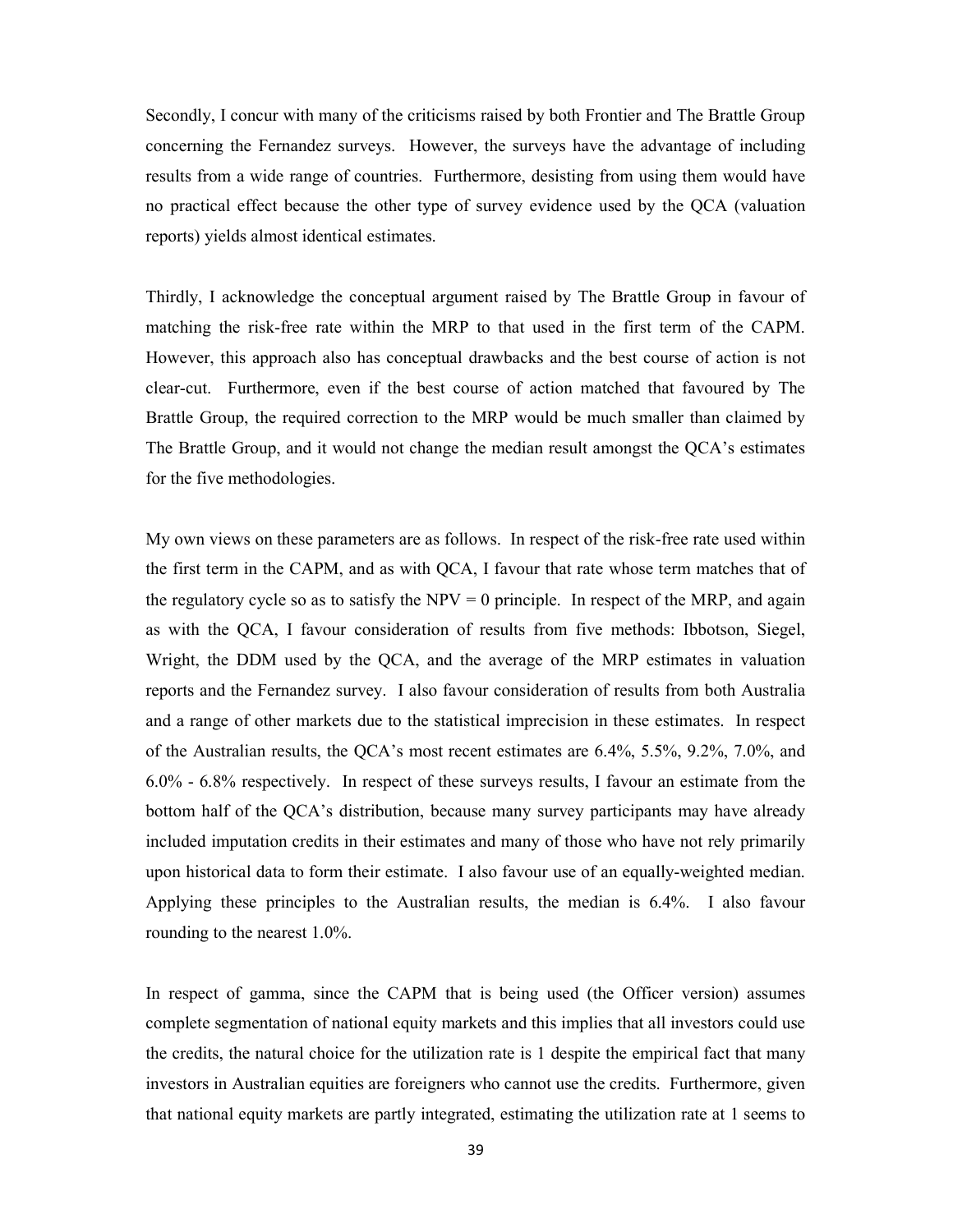Secondly, I concur with many of the criticisms raised by both Frontier and The Brattle Group concerning the Fernandez surveys. However, the surveys have the advantage of including results from a wide range of countries. Furthermore, desisting from using them would have no practical effect because the other type of survey evidence used by the QCA (valuation reports) yields almost identical estimates.

Thirdly, I acknowledge the conceptual argument raised by The Brattle Group in favour of matching the risk-free rate within the MRP to that used in the first term of the CAPM. However, this approach also has conceptual drawbacks and the best course of action is not clear-cut. Furthermore, even if the best course of action matched that favoured by The Brattle Group, the required correction to the MRP would be much smaller than claimed by The Brattle Group, and it would not change the median result amongst the QCA's estimates for the five methodologies.

My own views on these parameters are as follows. In respect of the risk-free rate used within the first term in the CAPM, and as with QCA, I favour that rate whose term matches that of the regulatory cycle so as to satisfy the  $NPV = 0$  principle. In respect of the MRP, and again as with the QCA, I favour consideration of results from five methods: Ibbotson, Siegel, Wright, the DDM used by the QCA, and the average of the MRP estimates in valuation reports and the Fernandez survey. I also favour consideration of results from both Australia and a range of other markets due to the statistical imprecision in these estimates. In respect of the Australian results, the QCA's most recent estimates are 6.4%, 5.5%, 9.2%, 7.0%, and 6.0% - 6.8% respectively. In respect of these surveys results, I favour an estimate from the bottom half of the QCA's distribution, because many survey participants may have already included imputation credits in their estimates and many of those who have not rely primarily upon historical data to form their estimate. I also favour use of an equally-weighted median. Applying these principles to the Australian results, the median is 6.4%. I also favour rounding to the nearest 1.0%.

In respect of gamma, since the CAPM that is being used (the Officer version) assumes complete segmentation of national equity markets and this implies that all investors could use the credits, the natural choice for the utilization rate is 1 despite the empirical fact that many investors in Australian equities are foreigners who cannot use the credits. Furthermore, given that national equity markets are partly integrated, estimating the utilization rate at 1 seems to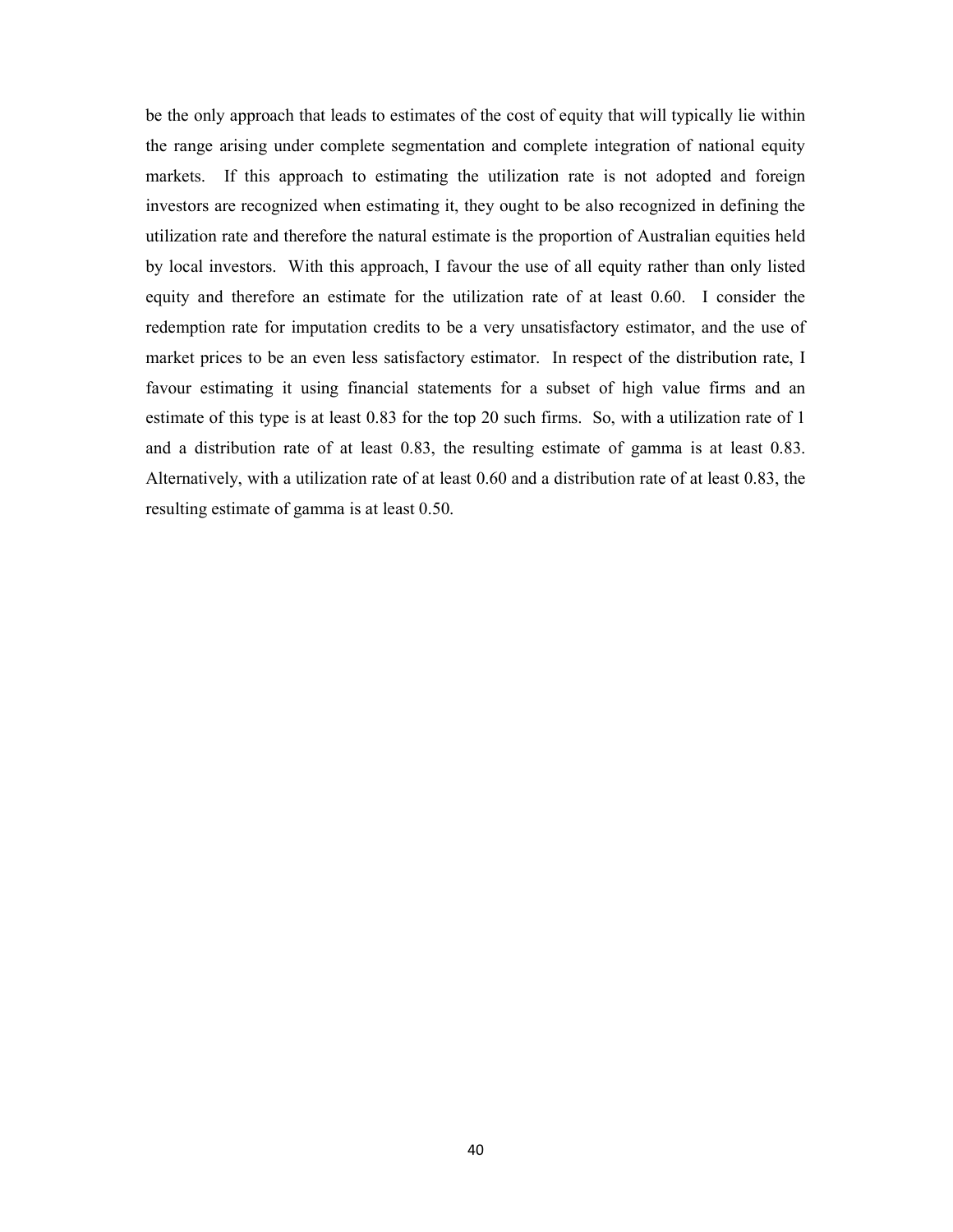be the only approach that leads to estimates of the cost of equity that will typically lie within the range arising under complete segmentation and complete integration of national equity markets. If this approach to estimating the utilization rate is not adopted and foreign investors are recognized when estimating it, they ought to be also recognized in defining the utilization rate and therefore the natural estimate is the proportion of Australian equities held by local investors. With this approach, I favour the use of all equity rather than only listed equity and therefore an estimate for the utilization rate of at least 0.60. I consider the redemption rate for imputation credits to be a very unsatisfactory estimator, and the use of market prices to be an even less satisfactory estimator. In respect of the distribution rate, I favour estimating it using financial statements for a subset of high value firms and an estimate of this type is at least 0.83 for the top 20 such firms. So, with a utilization rate of 1 and a distribution rate of at least 0.83, the resulting estimate of gamma is at least 0.83. Alternatively, with a utilization rate of at least 0.60 and a distribution rate of at least 0.83, the resulting estimate of gamma is at least 0.50.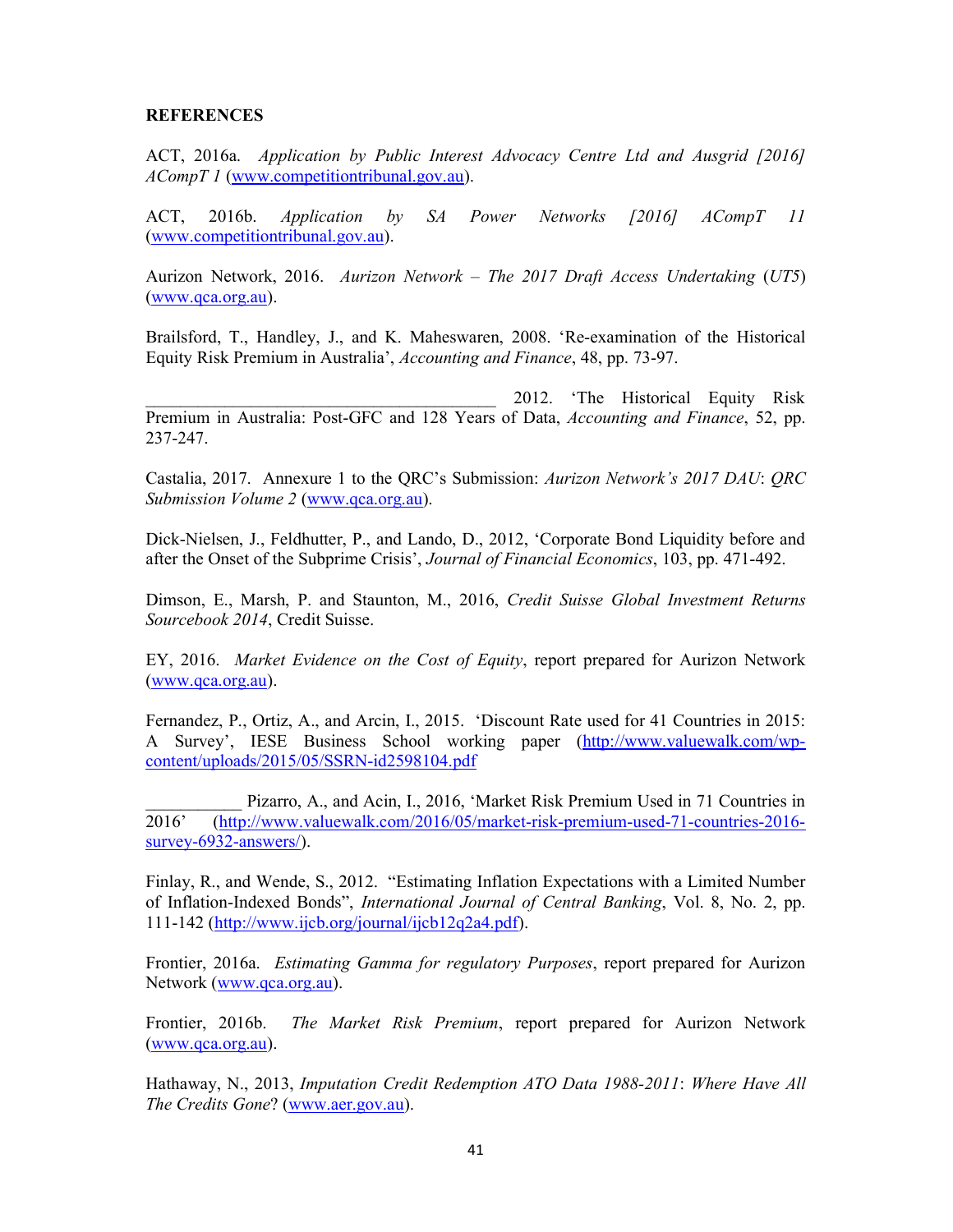## **REFERENCES**

ACT, 2016a. Application by Public Interest Advocacy Centre Ltd and Ausgrid [2016] ACompT 1 (www.competitiontribunal.gov.au).

ACT, 2016b. Application by SA Power Networks [2016] ACompT 11 (www.competitiontribunal.gov.au).

Aurizon Network, 2016. Aurizon Network – The 2017 Draft Access Undertaking (UT5) (www.qca.org.au).

Brailsford, T., Handley, J., and K. Maheswaren, 2008. 'Re-examination of the Historical Equity Risk Premium in Australia', Accounting and Finance, 48, pp. 73-97.

\_\_\_\_\_\_\_\_\_\_\_\_\_\_\_\_\_\_\_\_\_\_\_\_\_\_\_\_\_\_\_\_\_\_\_\_\_\_\_\_ 2012. 'The Historical Equity Risk Premium in Australia: Post-GFC and 128 Years of Data, Accounting and Finance, 52, pp. 237-247.

Castalia, 2017. Annexure 1 to the QRC's Submission: Aurizon Network's 2017 DAU: QRC Submission Volume 2 (www.qca.org.au).

Dick-Nielsen, J., Feldhutter, P., and Lando, D., 2012, 'Corporate Bond Liquidity before and after the Onset of the Subprime Crisis', Journal of Financial Economics, 103, pp. 471-492.

Dimson, E., Marsh, P. and Staunton, M., 2016, Credit Suisse Global Investment Returns Sourcebook 2014, Credit Suisse.

EY, 2016. Market Evidence on the Cost of Equity, report prepared for Aurizon Network (www.qca.org.au).

Fernandez, P., Ortiz, A., and Arcin, I., 2015. 'Discount Rate used for 41 Countries in 2015: A Survey', IESE Business School working paper (http://www.valuewalk.com/wpcontent/uploads/2015/05/SSRN-id2598104.pdf

Pizarro, A., and Acin, I., 2016, 'Market Risk Premium Used in 71 Countries in 2016' (http://www.valuewalk.com/2016/05/market-risk-premium-used-71-countries-2016 survey-6932-answers/).

Finlay, R., and Wende, S., 2012. "Estimating Inflation Expectations with a Limited Number of Inflation-Indexed Bonds", International Journal of Central Banking, Vol. 8, No. 2, pp. 111-142 (http://www.ijcb.org/journal/ijcb12q2a4.pdf).

Frontier, 2016a. Estimating Gamma for regulatory Purposes, report prepared for Aurizon Network (www.qca.org.au).

Frontier, 2016b. The Market Risk Premium, report prepared for Aurizon Network (www.qca.org.au).

Hathaway, N., 2013, Imputation Credit Redemption ATO Data 1988-2011: Where Have All The Credits Gone? (www.aer.gov.au).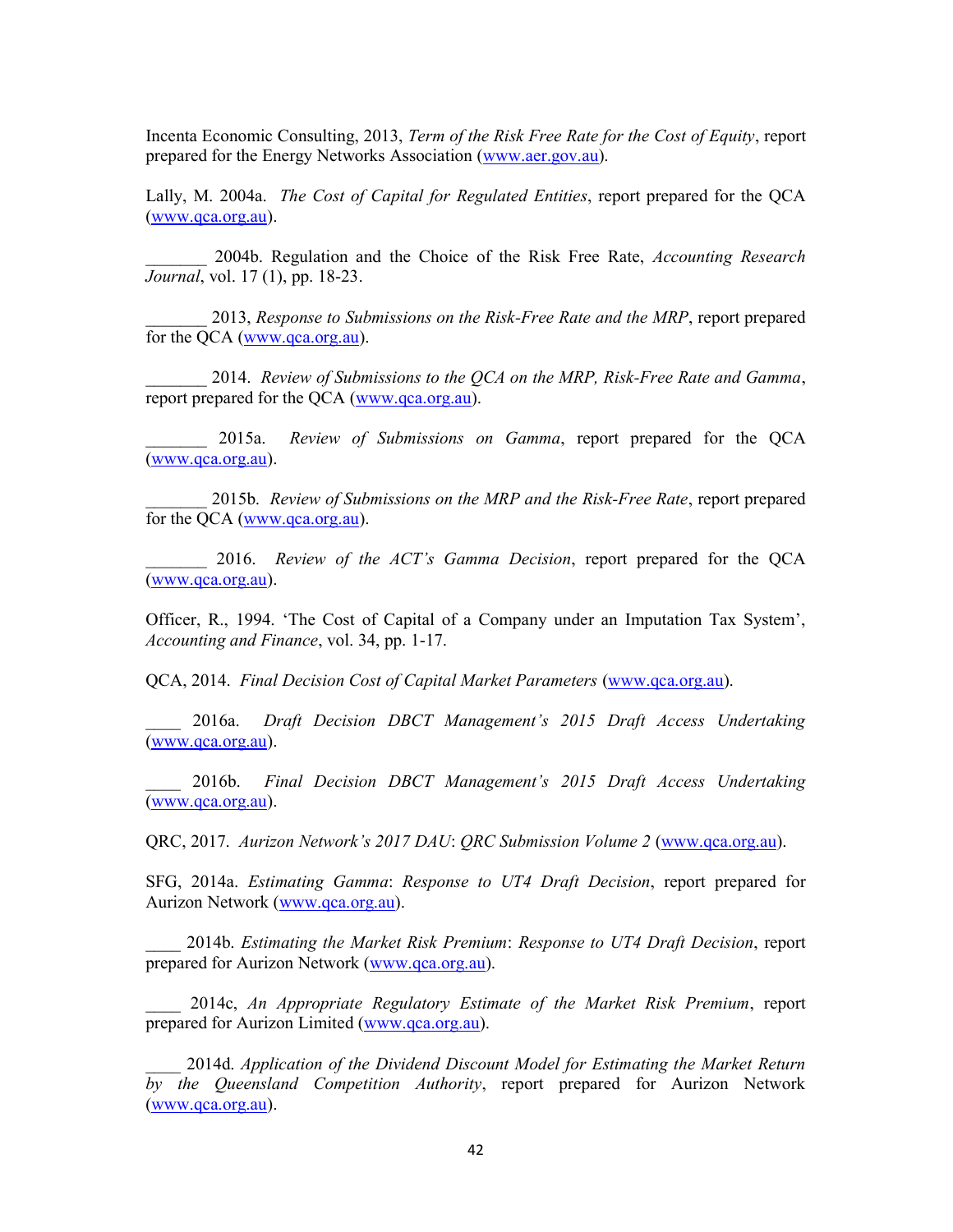Incenta Economic Consulting, 2013, Term of the Risk Free Rate for the Cost of Equity, report prepared for the Energy Networks Association (www.aer.gov.au).

Lally, M. 2004a. *The Cost of Capital for Regulated Entities*, report prepared for the QCA (www.qca.org.au).

2004b. Regulation and the Choice of the Risk Free Rate, Accounting Research Journal, vol. 17 (1), pp. 18-23.

2013, Response to Submissions on the Risk-Free Rate and the MRP, report prepared for the QCA (www.qca.org.au).

2014. Review of Submissions to the  $QCA$  on the MRP, Risk-Free Rate and Gamma, report prepared for the QCA (www.qca.org.au).

\_\_\_\_\_\_\_ 2015a. Review of Submissions on Gamma, report prepared for the QCA (www.qca.org.au).

2015b. Review of Submissions on the MRP and the Risk-Free Rate, report prepared for the QCA (www.qca.org.au).

2016. Review of the ACT's Gamma Decision, report prepared for the OCA (www.qca.org.au).

Officer, R., 1994. 'The Cost of Capital of a Company under an Imputation Tax System', Accounting and Finance, vol. 34, pp. 1-17.

QCA, 2014. Final Decision Cost of Capital Market Parameters (www.qca.org.au).

2016a. Draft Decision DBCT Management's 2015 Draft Access Undertaking (www.qca.org.au).

2016b. Final Decision DBCT Management's 2015 Draft Access Undertaking (www.qca.org.au).

QRC, 2017. Aurizon Network's 2017 DAU: QRC Submission Volume 2 (www.qca.org.au).

SFG, 2014a. Estimating Gamma: Response to UT4 Draft Decision, report prepared for Aurizon Network (www.qca.org.au).

\_\_\_\_ 2014b. Estimating the Market Risk Premium: Response to UT4 Draft Decision, report prepared for Aurizon Network (www.qca.org.au).

2014c, An Appropriate Regulatory Estimate of the Market Risk Premium, report prepared for Aurizon Limited (www.qca.org.au).

\_\_\_\_ 2014d. Application of the Dividend Discount Model for Estimating the Market Return by the Queensland Competition Authority, report prepared for Aurizon Network (www.qca.org.au).